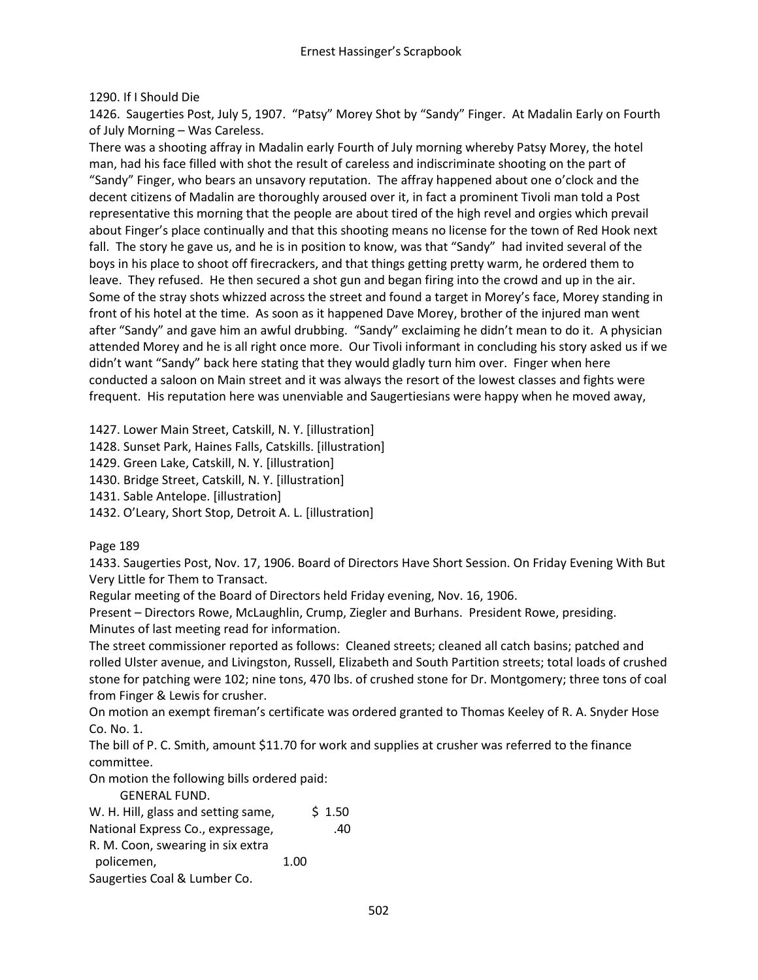## 1290. If I Should Die

1426. Saugerties Post, July 5, 1907. "Patsy" Morey Shot by "Sandy" Finger. At Madalin Early on Fourth of July Morning – Was Careless.

There was a shooting affray in Madalin early Fourth of July morning whereby Patsy Morey, the hotel man, had his face filled with shot the result of careless and indiscriminate shooting on the part of "Sandy" Finger, who bears an unsavory reputation. The affray happened about one o'clock and the decent citizens of Madalin are thoroughly aroused over it, in fact a prominent Tivoli man told a Post representative this morning that the people are about tired of the high revel and orgies which prevail about Finger's place continually and that this shooting means no license for the town of Red Hook next fall. The story he gave us, and he is in position to know, was that "Sandy" had invited several of the boys in his place to shoot off firecrackers, and that things getting pretty warm, he ordered them to leave. They refused. He then secured a shot gun and began firing into the crowd and up in the air. Some of the stray shots whizzed across the street and found a target in Morey's face, Morey standing in front of his hotel at the time. As soon as it happened Dave Morey, brother of the injured man went after "Sandy" and gave him an awful drubbing. "Sandy" exclaiming he didn't mean to do it. A physician attended Morey and he is all right once more. Our Tivoli informant in concluding his story asked us if we didn't want "Sandy" back here stating that they would gladly turn him over. Finger when here conducted a saloon on Main street and it was always the resort of the lowest classes and fights were frequent. His reputation here was unenviable and Saugertiesians were happy when he moved away,

1427. Lower Main Street, Catskill, N. Y. [illustration]

1428. Sunset Park, Haines Falls, Catskills. [illustration]

1429. Green Lake, Catskill, N. Y. [illustration]

1430. Bridge Street, Catskill, N. Y. [illustration]

1431. Sable Antelope. [illustration]

1432. O'Leary, Short Stop, Detroit A. L. [illustration]

Page 189

1433. Saugerties Post, Nov. 17, 1906. Board of Directors Have Short Session. On Friday Evening With But Very Little for Them to Transact.

Regular meeting of the Board of Directors held Friday evening, Nov. 16, 1906.

Present – Directors Rowe, McLaughlin, Crump, Ziegler and Burhans. President Rowe, presiding. Minutes of last meeting read for information.

The street commissioner reported as follows: Cleaned streets; cleaned all catch basins; patched and rolled Ulster avenue, and Livingston, Russell, Elizabeth and South Partition streets; total loads of crushed stone for patching were 102; nine tons, 470 lbs. of crushed stone for Dr. Montgomery; three tons of coal from Finger & Lewis for crusher.

On motion an exempt fireman's certificate was ordered granted to Thomas Keeley of R. A. Snyder Hose Co. No. 1.

The bill of P. C. Smith, amount \$11.70 for work and supplies at crusher was referred to the finance committee.

On motion the following bills ordered paid:

GENERAL FUND.

| W. H. Hill, glass and setting same, |      | \$1.50 |
|-------------------------------------|------|--------|
| National Express Co., expressage,   |      | .40    |
| R. M. Coon, swearing in six extra   |      |        |
| policemen,                          | 1.00 |        |
| Saugerties Coal & Lumber Co.        |      |        |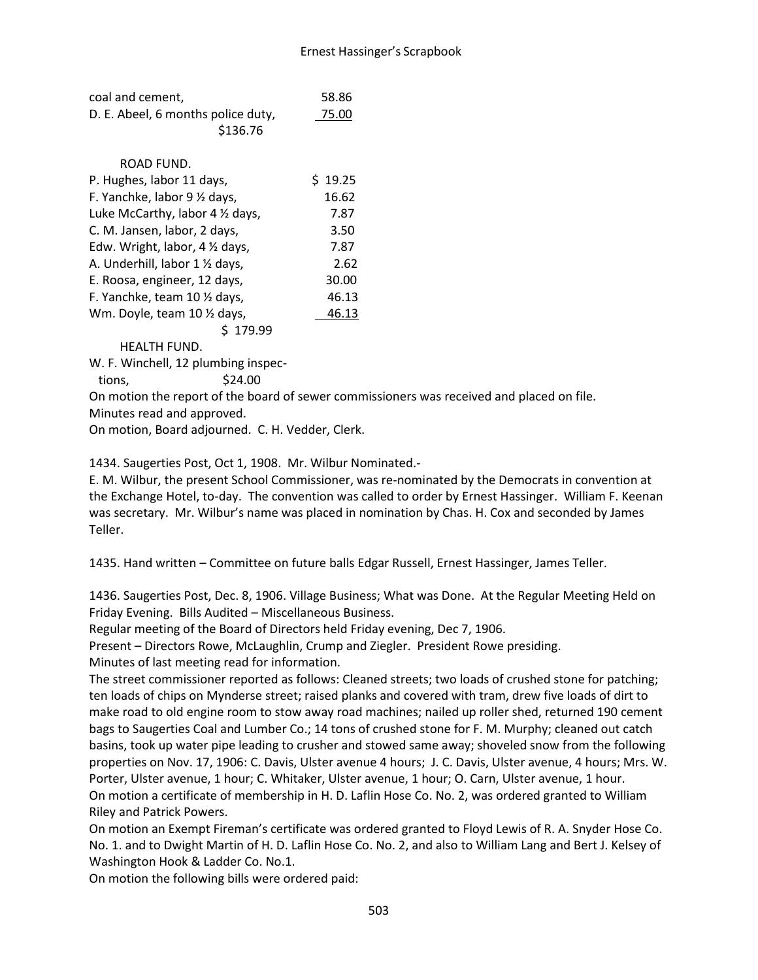| coal and cement,                   | 58.86 |
|------------------------------------|-------|
| D. E. Abeel, 6 months police duty, | 75.00 |
| \$136.76                           |       |

# ROAD FUND.

| P. Hughes, labor 11 days,        | 19.25 |
|----------------------------------|-------|
| F. Yanchke, labor 9 1/2 days,    | 16.62 |
| Luke McCarthy, labor 4 1/2 days, | 7.87  |
| C. M. Jansen, labor, 2 days,     | 3.50  |
| Edw. Wright, labor, 4 1/2 days,  | 7.87  |
| A. Underhill, labor 1 1/2 days,  | 2.62  |
| E. Roosa, engineer, 12 days,     | 30.00 |
| F. Yanchke, team 10 1/2 days,    | 46.13 |
| Wm. Doyle, team 10 1/2 days,     | 46.13 |
| 179.99                           |       |

HEALTH FUND.

W. F. Winchell, 12 plumbing inspec-

 $tions,$   $$24.00$ 

On motion the report of the board of sewer commissioners was received and placed on file. Minutes read and approved.

On motion, Board adjourned. C. H. Vedder, Clerk.

1434. Saugerties Post, Oct 1, 1908. Mr. Wilbur Nominated.-

E. M. Wilbur, the present School Commissioner, was re-nominated by the Democrats in convention at the Exchange Hotel, to-day. The convention was called to order by Ernest Hassinger. William F. Keenan was secretary. Mr. Wilbur's name was placed in nomination by Chas. H. Cox and seconded by James Teller.

1435. Hand written – Committee on future balls Edgar Russell, Ernest Hassinger, James Teller.

1436. Saugerties Post, Dec. 8, 1906. Village Business; What was Done. At the Regular Meeting Held on Friday Evening. Bills Audited – Miscellaneous Business.

Regular meeting of the Board of Directors held Friday evening, Dec 7, 1906.

Present – Directors Rowe, McLaughlin, Crump and Ziegler. President Rowe presiding. Minutes of last meeting read for information.

The street commissioner reported as follows: Cleaned streets; two loads of crushed stone for patching; ten loads of chips on Mynderse street; raised planks and covered with tram, drew five loads of dirt to make road to old engine room to stow away road machines; nailed up roller shed, returned 190 cement bags to Saugerties Coal and Lumber Co.; 14 tons of crushed stone for F. M. Murphy; cleaned out catch basins, took up water pipe leading to crusher and stowed same away; shoveled snow from the following properties on Nov. 17, 1906: C. Davis, Ulster avenue 4 hours; J. C. Davis, Ulster avenue, 4 hours; Mrs. W. Porter, Ulster avenue, 1 hour; C. Whitaker, Ulster avenue, 1 hour; O. Carn, Ulster avenue, 1 hour. On motion a certificate of membership in H. D. Laflin Hose Co. No. 2, was ordered granted to William Riley and Patrick Powers.

On motion an Exempt Fireman's certificate was ordered granted to Floyd Lewis of R. A. Snyder Hose Co. No. 1. and to Dwight Martin of H. D. Laflin Hose Co. No. 2, and also to William Lang and Bert J. Kelsey of Washington Hook & Ladder Co. No.1.

On motion the following bills were ordered paid: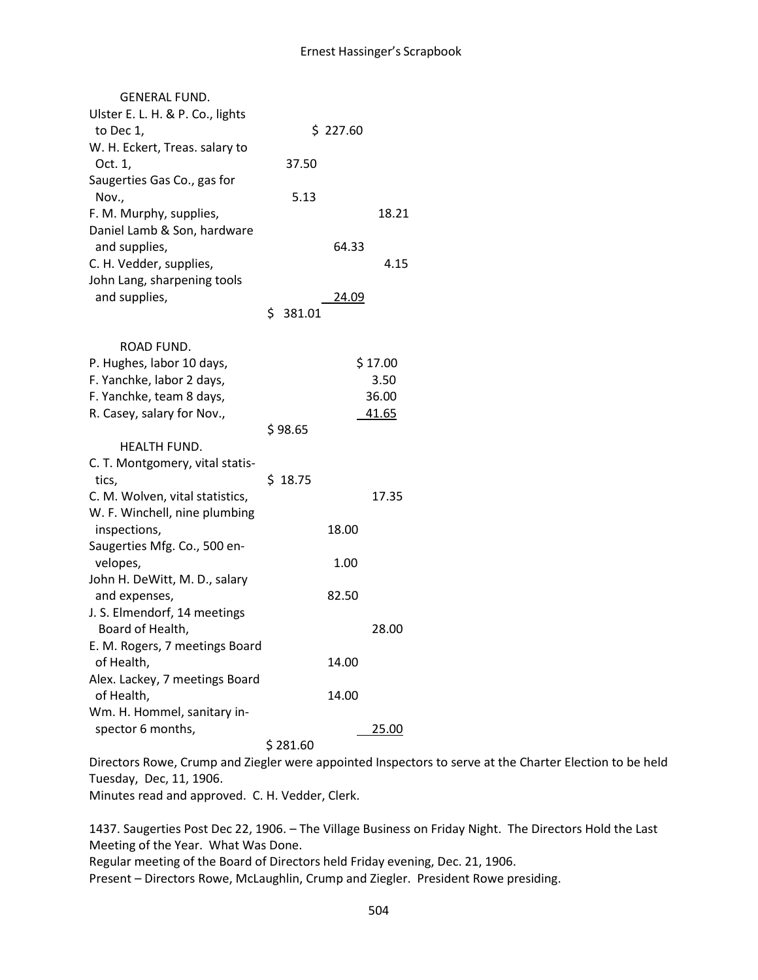| <b>GENERAL FUND.</b>             |              |          |         |
|----------------------------------|--------------|----------|---------|
| Ulster E. L. H. & P. Co., lights |              |          |         |
| to Dec 1,                        |              | \$227.60 |         |
| W. H. Eckert, Treas. salary to   |              |          |         |
| Oct. 1,                          | 37.50        |          |         |
| Saugerties Gas Co., gas for      |              |          |         |
| Nov.,                            | 5.13         |          |         |
| F. M. Murphy, supplies,          |              |          | 18.21   |
| Daniel Lamb & Son, hardware      |              |          |         |
| and supplies,                    |              | 64.33    |         |
| C. H. Vedder, supplies,          |              |          | 4.15    |
| John Lang, sharpening tools      |              |          |         |
| and supplies,                    |              | 24.09    |         |
|                                  | \$<br>381.01 |          |         |
|                                  |              |          |         |
| ROAD FUND.                       |              |          |         |
| P. Hughes, labor 10 days,        |              |          | \$17.00 |
| F. Yanchke, labor 2 days,        |              |          | 3.50    |
| F. Yanchke, team 8 days,         |              |          | 36.00   |
| R. Casey, salary for Nov.,       |              |          | 41.65   |
|                                  | \$98.65      |          |         |
| HEALTH FUND.                     |              |          |         |
| C. T. Montgomery, vital statis-  |              |          |         |
| tics,                            | \$18.75      |          |         |
| C. M. Wolven, vital statistics,  |              |          | 17.35   |
| W. F. Winchell, nine plumbing    |              |          |         |
| inspections,                     |              | 18.00    |         |
| Saugerties Mfg. Co., 500 en-     |              |          |         |
| velopes,                         |              | 1.00     |         |
| John H. DeWitt, M. D., salary    |              |          |         |
| and expenses,                    |              | 82.50    |         |
| J. S. Elmendorf, 14 meetings     |              |          |         |
| Board of Health,                 |              |          | 28.00   |
| E. M. Rogers, 7 meetings Board   |              |          |         |
| of Health,                       |              | 14.00    |         |
| Alex. Lackey, 7 meetings Board   |              |          |         |
| of Health,                       |              | 14.00    |         |
| Wm. H. Hommel, sanitary in-      |              |          |         |
| spector 6 months,                |              |          | 25.00   |
|                                  | \$281.60     |          |         |

Directors Rowe, Crump and Ziegler were appointed Inspectors to serve at the Charter Election to be held Tuesday, Dec, 11, 1906.

Minutes read and approved. C. H. Vedder, Clerk.

1437. Saugerties Post Dec 22, 1906. – The Village Business on Friday Night. The Directors Hold the Last Meeting of the Year. What Was Done. Regular meeting of the Board of Directors held Friday evening, Dec. 21, 1906.

Present – Directors Rowe, McLaughlin, Crump and Ziegler. President Rowe presiding.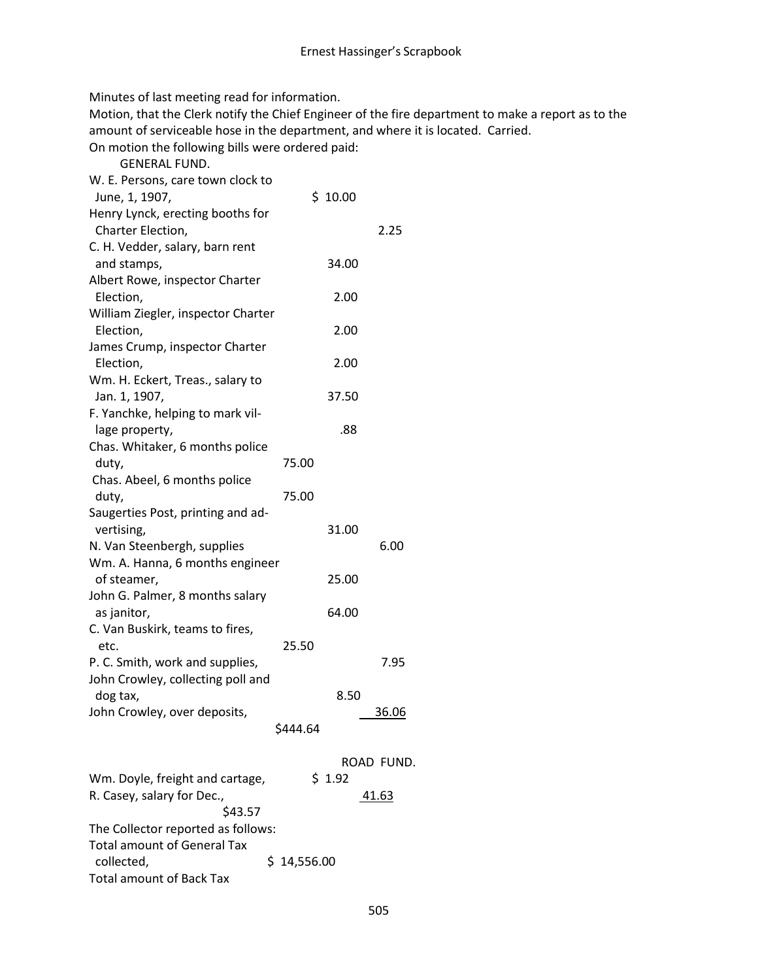Minutes of last meeting read for information.

Motion, that the Clerk notify the Chief Engineer of the fire department to make a report as to the amount of serviceable hose in the department, and where it is located. Carried.

On motion the following bills were ordered paid:

| <b>GENERAL FUND.</b>               |             |         |              |
|------------------------------------|-------------|---------|--------------|
| W. E. Persons, care town clock to  |             |         |              |
| June, 1, 1907,                     |             | \$10.00 |              |
| Henry Lynck, erecting booths for   |             |         |              |
| Charter Election,                  |             |         | 2.25         |
| C. H. Vedder, salary, barn rent    |             |         |              |
| and stamps,                        |             | 34.00   |              |
| Albert Rowe, inspector Charter     |             |         |              |
| Election,                          |             | 2.00    |              |
| William Ziegler, inspector Charter |             |         |              |
| Election,                          |             | 2.00    |              |
| James Crump, inspector Charter     |             |         |              |
| Election,                          |             | 2.00    |              |
| Wm. H. Eckert, Treas., salary to   |             |         |              |
| Jan. 1, 1907,                      |             | 37.50   |              |
| F. Yanchke, helping to mark vil-   |             |         |              |
| lage property,                     |             | .88     |              |
| Chas. Whitaker, 6 months police    |             |         |              |
| duty,                              | 75.00       |         |              |
| Chas. Abeel, 6 months police       |             |         |              |
| duty,                              | 75.00       |         |              |
| Saugerties Post, printing and ad-  |             |         |              |
| vertising,                         |             | 31.00   |              |
| N. Van Steenbergh, supplies        |             |         | 6.00         |
| Wm. A. Hanna, 6 months engineer    |             |         |              |
| of steamer,                        |             | 25.00   |              |
| John G. Palmer, 8 months salary    |             |         |              |
| as janitor,                        |             | 64.00   |              |
| C. Van Buskirk, teams to fires,    |             |         |              |
| etc.                               | 25.50       |         |              |
| P. C. Smith, work and supplies,    |             |         | 7.95         |
| John Crowley, collecting poll and  |             |         |              |
| dog tax,                           |             | 8.50    |              |
| John Crowley, over deposits,       |             |         | <u>36.06</u> |
|                                    | \$444.64    |         |              |
|                                    |             |         |              |
|                                    |             |         | ROAD FUND.   |
| Wm. Doyle, freight and cartage,    |             | \$1.92  |              |
| R. Casey, salary for Dec.,         |             |         | 41.63        |
| \$43.57                            |             |         |              |
| The Collector reported as follows: |             |         |              |
| <b>Total amount of General Tax</b> |             |         |              |
| collected,                         | \$14,556.00 |         |              |
| <b>Total amount of Back Tax</b>    |             |         |              |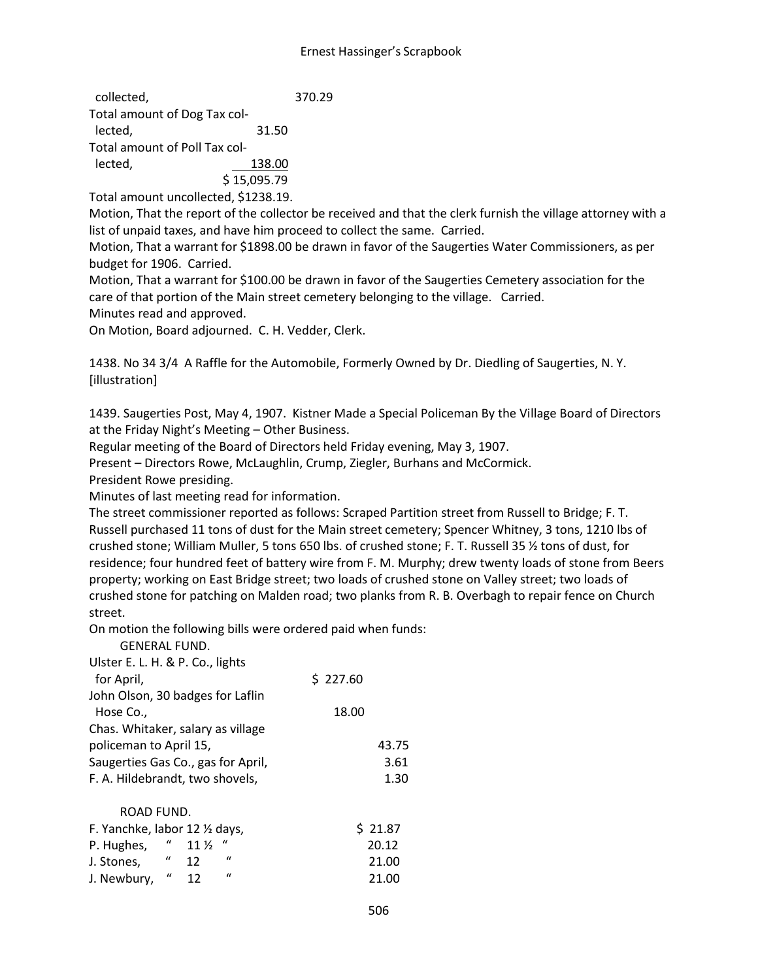| collected,                    |             | 370.29 |
|-------------------------------|-------------|--------|
| Total amount of Dog Tax col-  |             |        |
| lected,                       | 31.50       |        |
| Total amount of Poll Tax col- |             |        |
| lected,                       | 138.00      |        |
|                               | \$15,095.79 |        |

Total amount uncollected, \$1238.19.

Motion, That the report of the collector be received and that the clerk furnish the village attorney with a list of unpaid taxes, and have him proceed to collect the same. Carried.

Motion, That a warrant for \$1898.00 be drawn in favor of the Saugerties Water Commissioners, as per budget for 1906. Carried.

Motion, That a warrant for \$100.00 be drawn in favor of the Saugerties Cemetery association for the care of that portion of the Main street cemetery belonging to the village. Carried.

Minutes read and approved.

On Motion, Board adjourned. C. H. Vedder, Clerk.

1438. No 34 3/4 A Raffle for the Automobile, Formerly Owned by Dr. Diedling of Saugerties, N. Y. [illustration]

1439. Saugerties Post, May 4, 1907. Kistner Made a Special Policeman By the Village Board of Directors at the Friday Night's Meeting – Other Business.

Regular meeting of the Board of Directors held Friday evening, May 3, 1907.

Present – Directors Rowe, McLaughlin, Crump, Ziegler, Burhans and McCormick.

President Rowe presiding.

GENERAL FUND.

Minutes of last meeting read for information.

The street commissioner reported as follows: Scraped Partition street from Russell to Bridge; F. T. Russell purchased 11 tons of dust for the Main street cemetery; Spencer Whitney, 3 tons, 1210 lbs of crushed stone; William Muller, 5 tons 650 lbs. of crushed stone; F. T. Russell 35 ½ tons of dust, for residence; four hundred feet of battery wire from F. M. Murphy; drew twenty loads of stone from Beers property; working on East Bridge street; two loads of crushed stone on Valley street; two loads of crushed stone for patching on Malden road; two planks from R. B. Overbagh to repair fence on Church street.

On motion the following bills were ordered paid when funds:

| \$227.60 |
|----------|
|          |
| 18.00    |
|          |
| 43.75    |
| 3.61     |
| 1.30     |
|          |
| \$21.87  |
| 20.12    |
| 21.00    |
|          |

J. Newbury, " 12 " 21.00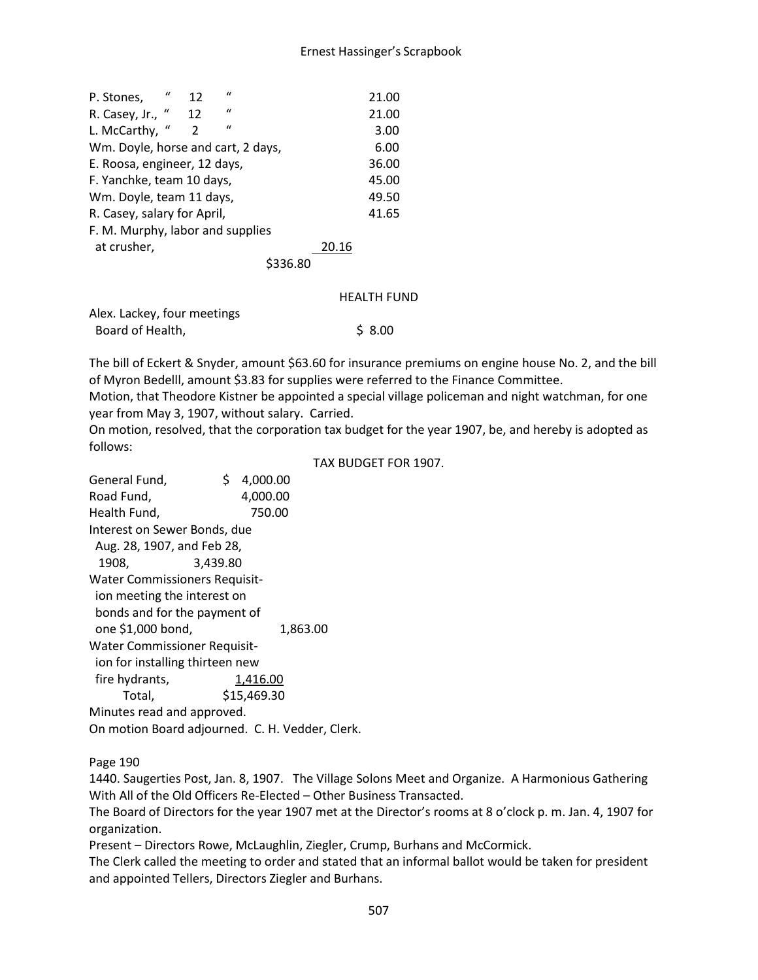| P. Stones,                         | $\iota$ | 12 | $\mathbf{u}$ |      |       | 21.00 |
|------------------------------------|---------|----|--------------|------|-------|-------|
| R. Casey, Jr., "                   |         | 12 | $\mathbf{u}$ |      |       | 21.00 |
| L. McCarthy,                       | $\iota$ | 2  | $\mathbf{u}$ |      |       | 3.00  |
| Wm. Doyle, horse and cart, 2 days, |         |    |              |      |       | 6.00  |
| E. Roosa, engineer, 12 days,       |         |    |              |      |       | 36.00 |
| F. Yanchke, team 10 days,          |         |    |              |      |       | 45.00 |
| Wm. Doyle, team 11 days,           |         |    |              |      |       | 49.50 |
| R. Casey, salary for April,        |         |    |              |      |       | 41.65 |
| F. M. Murphy, labor and supplies   |         |    |              |      |       |       |
| at crusher,                        |         |    |              |      | 20.16 |       |
|                                    |         |    |              | 6.80 |       |       |
|                                    |         |    |              |      |       |       |

#### HEALTH FUND

Alex. Lackey, four meetings Board of Health,  $\frac{1}{2}$  8.00

The bill of Eckert & Snyder, amount \$63.60 for insurance premiums on engine house No. 2, and the bill of Myron Bedelll, amount \$3.83 for supplies were referred to the Finance Committee.

Motion, that Theodore Kistner be appointed a special village policeman and night watchman, for one year from May 3, 1907, without salary. Carried.

On motion, resolved, that the corporation tax budget for the year 1907, be, and hereby is adopted as follows:

TAX BUDGET FOR 1907.

General Fund, \$ 4,000.00 Road Fund, 4,000.00 Health Fund, 750.00 Interest on Sewer Bonds, due Aug. 28, 1907, and Feb 28, 1908, 3,439.80 Water Commissioners Requisit ion meeting the interest on bonds and for the payment of one \$1,000 bond, 1,863.00 Water Commissioner Requisit ion for installing thirteen new fire hydrants, 1,416.00 Total, \$15,469.30 Minutes read and approved. On motion Board adjourned. C. H. Vedder, Clerk.

Page 190

1440. Saugerties Post, Jan. 8, 1907. The Village Solons Meet and Organize. A Harmonious Gathering With All of the Old Officers Re-Elected – Other Business Transacted.

The Board of Directors for the year 1907 met at the Director's rooms at 8 o'clock p. m. Jan. 4, 1907 for organization.

Present – Directors Rowe, McLaughlin, Ziegler, Crump, Burhans and McCormick.

The Clerk called the meeting to order and stated that an informal ballot would be taken for president and appointed Tellers, Directors Ziegler and Burhans.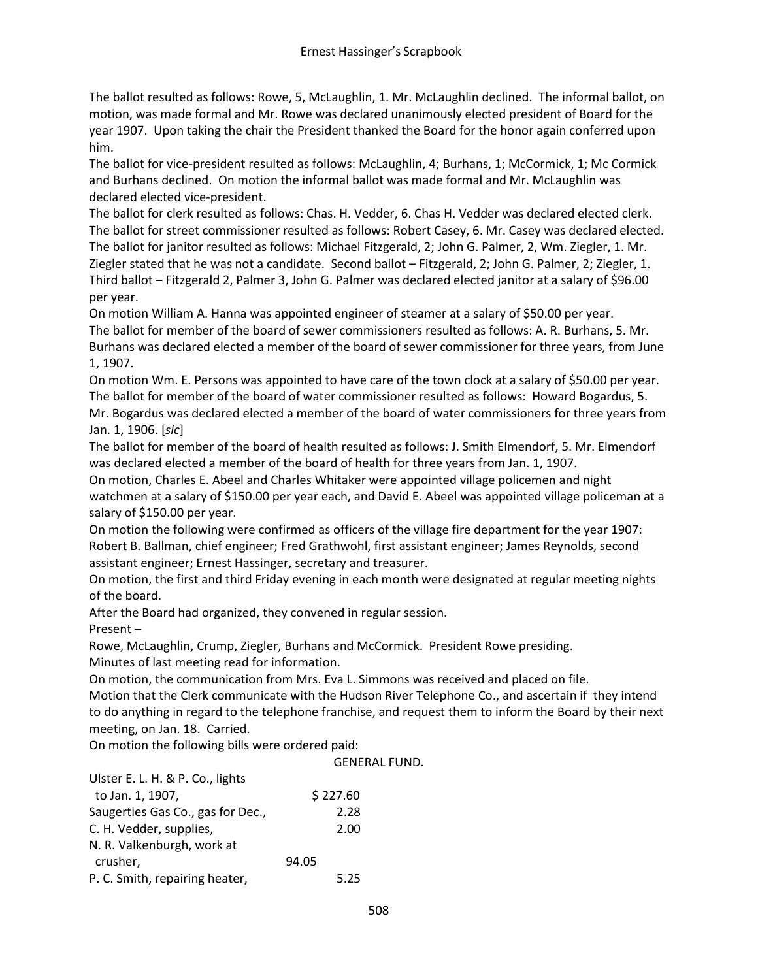The ballot resulted as follows: Rowe, 5, McLaughlin, 1. Mr. McLaughlin declined. The informal ballot, on motion, was made formal and Mr. Rowe was declared unanimously elected president of Board for the year 1907. Upon taking the chair the President thanked the Board for the honor again conferred upon him.

The ballot for vice-president resulted as follows: McLaughlin, 4; Burhans, 1; McCormick, 1; Mc Cormick and Burhans declined. On motion the informal ballot was made formal and Mr. McLaughlin was declared elected vice-president.

The ballot for clerk resulted as follows: Chas. H. Vedder, 6. Chas H. Vedder was declared elected clerk. The ballot for street commissioner resulted as follows: Robert Casey, 6. Mr. Casey was declared elected. The ballot for janitor resulted as follows: Michael Fitzgerald, 2; John G. Palmer, 2, Wm. Ziegler, 1. Mr. Ziegler stated that he was not a candidate. Second ballot – Fitzgerald, 2; John G. Palmer, 2; Ziegler, 1. Third ballot – Fitzgerald 2, Palmer 3, John G. Palmer was declared elected janitor at a salary of \$96.00 per year.

On motion William A. Hanna was appointed engineer of steamer at a salary of \$50.00 per year. The ballot for member of the board of sewer commissioners resulted as follows: A. R. Burhans, 5. Mr. Burhans was declared elected a member of the board of sewer commissioner for three years, from June 1, 1907.

On motion Wm. E. Persons was appointed to have care of the town clock at a salary of \$50.00 per year. The ballot for member of the board of water commissioner resulted as follows: Howard Bogardus, 5. Mr. Bogardus was declared elected a member of the board of water commissioners for three years from Jan. 1, 1906. [*sic*]

The ballot for member of the board of health resulted as follows: J. Smith Elmendorf, 5. Mr. Elmendorf was declared elected a member of the board of health for three years from Jan. 1, 1907.

On motion, Charles E. Abeel and Charles Whitaker were appointed village policemen and night watchmen at a salary of \$150.00 per year each, and David E. Abeel was appointed village policeman at a salary of \$150.00 per year.

On motion the following were confirmed as officers of the village fire department for the year 1907: Robert B. Ballman, chief engineer; Fred Grathwohl, first assistant engineer; James Reynolds, second assistant engineer; Ernest Hassinger, secretary and treasurer.

On motion, the first and third Friday evening in each month were designated at regular meeting nights of the board.

After the Board had organized, they convened in regular session.

Present –

Rowe, McLaughlin, Crump, Ziegler, Burhans and McCormick. President Rowe presiding. Minutes of last meeting read for information.

On motion, the communication from Mrs. Eva L. Simmons was received and placed on file.

Motion that the Clerk communicate with the Hudson River Telephone Co., and ascertain if they intend to do anything in regard to the telephone franchise, and request them to inform the Board by their next meeting, on Jan. 18. Carried.

On motion the following bills were ordered paid:

|                                   | <b>GENERAL FUND.</b> |
|-----------------------------------|----------------------|
| Ulster E. L. H. & P. Co., lights  |                      |
| to Jan. 1, 1907,                  | \$227.60             |
| Saugerties Gas Co., gas for Dec., | 2.28                 |
| C. H. Vedder, supplies,           | 2.00                 |
| N. R. Valkenburgh, work at        |                      |
| crusher,                          | 94.05                |
| P. C. Smith, repairing heater,    | 5.25                 |
|                                   |                      |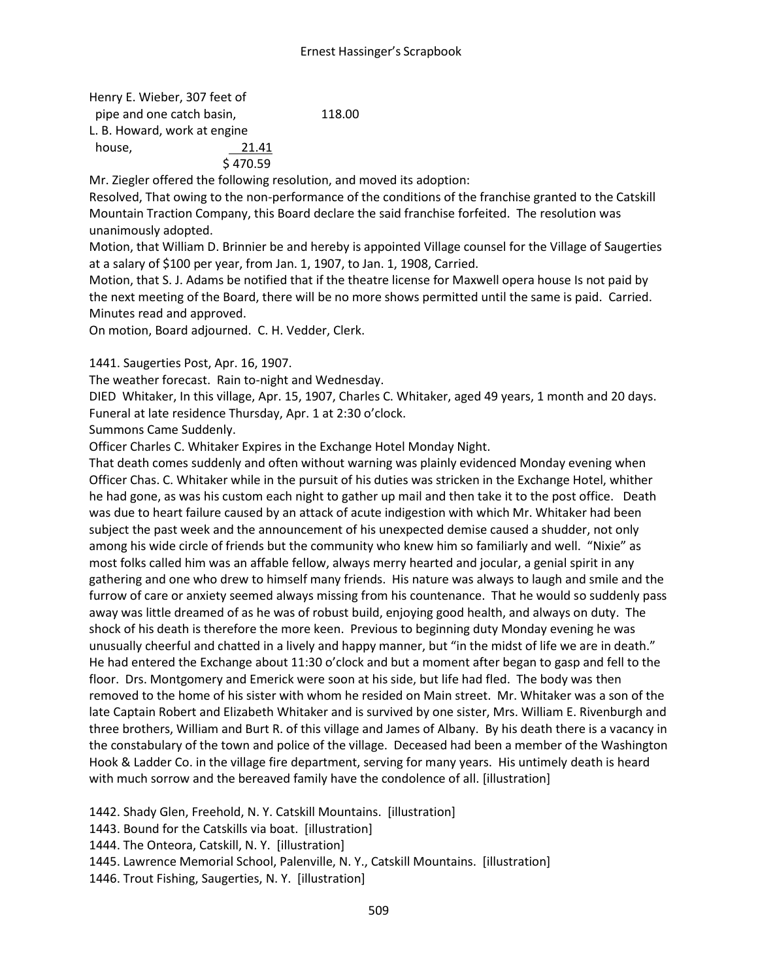Henry E. Wieber, 307 feet of pipe and one catch basin, 118.00 L. B. Howard, work at engine house, 21.41 \$ 470.59

Mr. Ziegler offered the following resolution, and moved its adoption:

Resolved, That owing to the non-performance of the conditions of the franchise granted to the Catskill Mountain Traction Company, this Board declare the said franchise forfeited. The resolution was unanimously adopted.

Motion, that William D. Brinnier be and hereby is appointed Village counsel for the Village of Saugerties at a salary of \$100 per year, from Jan. 1, 1907, to Jan. 1, 1908, Carried.

Motion, that S. J. Adams be notified that if the theatre license for Maxwell opera house Is not paid by the next meeting of the Board, there will be no more shows permitted until the same is paid. Carried. Minutes read and approved.

On motion, Board adjourned. C. H. Vedder, Clerk.

1441. Saugerties Post, Apr. 16, 1907.

The weather forecast. Rain to-night and Wednesday.

DIED Whitaker, In this village, Apr. 15, 1907, Charles C. Whitaker, aged 49 years, 1 month and 20 days. Funeral at late residence Thursday, Apr. 1 at 2:30 o'clock.

Summons Came Suddenly.

Officer Charles C. Whitaker Expires in the Exchange Hotel Monday Night.

That death comes suddenly and often without warning was plainly evidenced Monday evening when Officer Chas. C. Whitaker while in the pursuit of his duties was stricken in the Exchange Hotel, whither he had gone, as was his custom each night to gather up mail and then take it to the post office. Death was due to heart failure caused by an attack of acute indigestion with which Mr. Whitaker had been subject the past week and the announcement of his unexpected demise caused a shudder, not only among his wide circle of friends but the community who knew him so familiarly and well. "Nixie" as most folks called him was an affable fellow, always merry hearted and jocular, a genial spirit in any gathering and one who drew to himself many friends. His nature was always to laugh and smile and the furrow of care or anxiety seemed always missing from his countenance. That he would so suddenly pass away was little dreamed of as he was of robust build, enjoying good health, and always on duty. The shock of his death is therefore the more keen. Previous to beginning duty Monday evening he was unusually cheerful and chatted in a lively and happy manner, but "in the midst of life we are in death." He had entered the Exchange about 11:30 o'clock and but a moment after began to gasp and fell to the floor. Drs. Montgomery and Emerick were soon at his side, but life had fled. The body was then removed to the home of his sister with whom he resided on Main street. Mr. Whitaker was a son of the late Captain Robert and Elizabeth Whitaker and is survived by one sister, Mrs. William E. Rivenburgh and three brothers, William and Burt R. of this village and James of Albany. By his death there is a vacancy in the constabulary of the town and police of the village. Deceased had been a member of the Washington Hook & Ladder Co. in the village fire department, serving for many years. His untimely death is heard with much sorrow and the bereaved family have the condolence of all. [illustration]

1442. Shady Glen, Freehold, N. Y. Catskill Mountains. [illustration] 1443. Bound for the Catskills via boat. [illustration] 1444. The Onteora, Catskill, N. Y. [illustration] 1445. Lawrence Memorial School, Palenville, N. Y., Catskill Mountains. [illustration] 1446. Trout Fishing, Saugerties, N. Y. [illustration]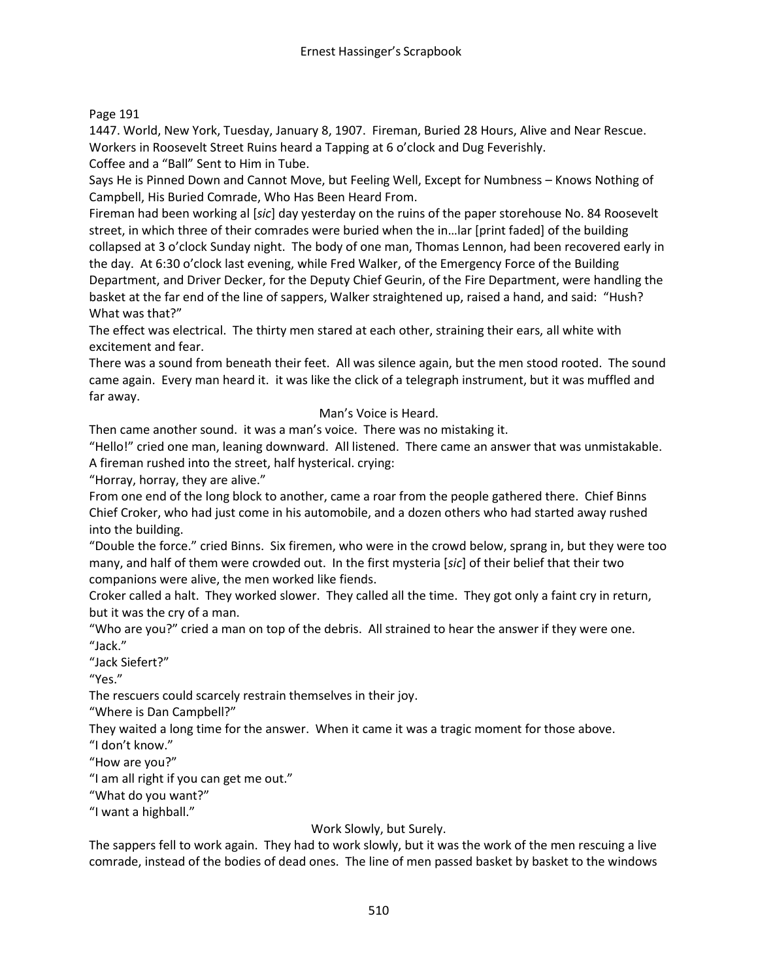# Page 191

1447. World, New York, Tuesday, January 8, 1907. Fireman, Buried 28 Hours, Alive and Near Rescue. Workers in Roosevelt Street Ruins heard a Tapping at 6 o'clock and Dug Feverishly.

Coffee and a "Ball" Sent to Him in Tube.

Says He is Pinned Down and Cannot Move, but Feeling Well, Except for Numbness – Knows Nothing of Campbell, His Buried Comrade, Who Has Been Heard From.

Fireman had been working al [*sic*] day yesterday on the ruins of the paper storehouse No. 84 Roosevelt street, in which three of their comrades were buried when the in…lar [print faded] of the building collapsed at 3 o'clock Sunday night. The body of one man, Thomas Lennon, had been recovered early in the day. At 6:30 o'clock last evening, while Fred Walker, of the Emergency Force of the Building Department, and Driver Decker, for the Deputy Chief Geurin, of the Fire Department, were handling the basket at the far end of the line of sappers, Walker straightened up, raised a hand, and said: "Hush? What was that?"

The effect was electrical. The thirty men stared at each other, straining their ears, all white with excitement and fear.

There was a sound from beneath their feet. All was silence again, but the men stood rooted. The sound came again. Every man heard it. it was like the click of a telegraph instrument, but it was muffled and far away.

## Man's Voice is Heard.

Then came another sound. it was a man's voice. There was no mistaking it.

"Hello!" cried one man, leaning downward. All listened. There came an answer that was unmistakable. A fireman rushed into the street, half hysterical. crying:

"Horray, horray, they are alive."

From one end of the long block to another, came a roar from the people gathered there. Chief Binns Chief Croker, who had just come in his automobile, and a dozen others who had started away rushed into the building.

"Double the force." cried Binns. Six firemen, who were in the crowd below, sprang in, but they were too many, and half of them were crowded out. In the first mysteria [*sic*] of their belief that their two companions were alive, the men worked like fiends.

Croker called a halt. They worked slower. They called all the time. They got only a faint cry in return, but it was the cry of a man.

"Who are you?" cried a man on top of the debris. All strained to hear the answer if they were one. "Jack."

"Jack Siefert?"

"Yes."

The rescuers could scarcely restrain themselves in their joy.

"Where is Dan Campbell?"

They waited a long time for the answer. When it came it was a tragic moment for those above.

"I don't know."

"How are you?"

"I am all right if you can get me out."

"What do you want?"

"I want a highball."

# Work Slowly, but Surely.

The sappers fell to work again. They had to work slowly, but it was the work of the men rescuing a live comrade, instead of the bodies of dead ones. The line of men passed basket by basket to the windows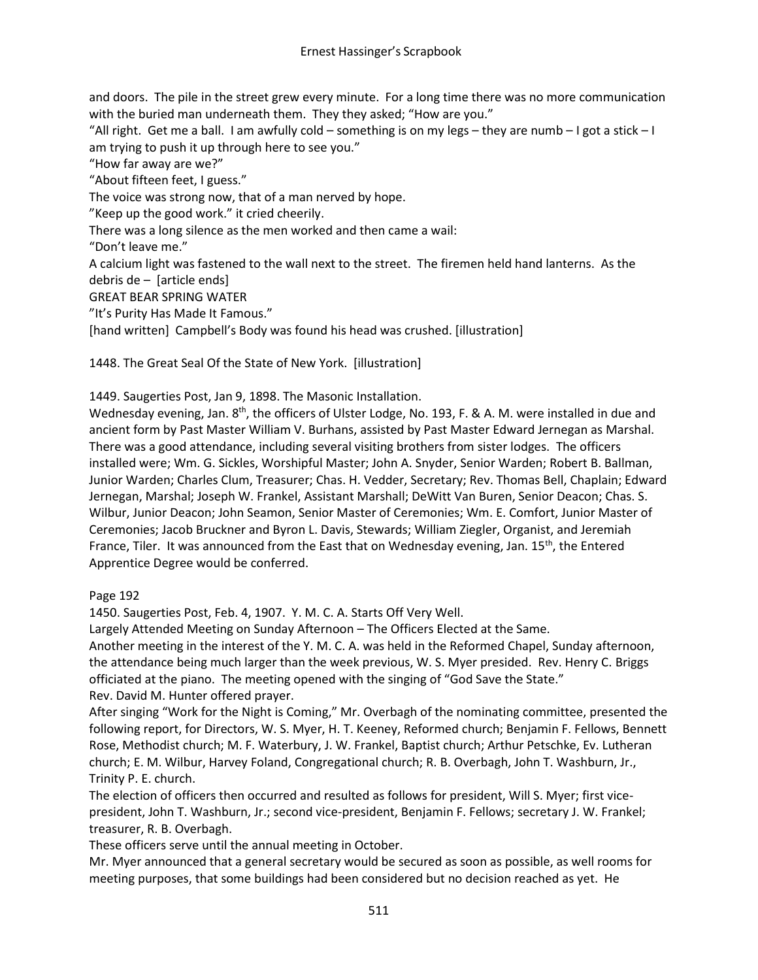and doors. The pile in the street grew every minute. For a long time there was no more communication with the buried man underneath them. They they asked; "How are you."

"All right. Get me a ball. I am awfully cold – something is on my legs – they are numb – I got a stick – I am trying to push it up through here to see you."

"How far away are we?"

"About fifteen feet, I guess."

The voice was strong now, that of a man nerved by hope.

"Keep up the good work." it cried cheerily.

There was a long silence as the men worked and then came a wail:

"Don't leave me."

A calcium light was fastened to the wall next to the street. The firemen held hand lanterns. As the debris de – [article ends]

GREAT BEAR SPRING WATER

"It's Purity Has Made It Famous."

[hand written] Campbell's Body was found his head was crushed. [illustration]

1448. The Great Seal Of the State of New York. [illustration]

1449. Saugerties Post, Jan 9, 1898. The Masonic Installation.

Wednesday evening, Jan.  $8<sup>th</sup>$ , the officers of Ulster Lodge, No. 193, F. & A. M. were installed in due and ancient form by Past Master William V. Burhans, assisted by Past Master Edward Jernegan as Marshal. There was a good attendance, including several visiting brothers from sister lodges. The officers installed were; Wm. G. Sickles, Worshipful Master; John A. Snyder, Senior Warden; Robert B. Ballman, Junior Warden; Charles Clum, Treasurer; Chas. H. Vedder, Secretary; Rev. Thomas Bell, Chaplain; Edward Jernegan, Marshal; Joseph W. Frankel, Assistant Marshall; DeWitt Van Buren, Senior Deacon; Chas. S. Wilbur, Junior Deacon; John Seamon, Senior Master of Ceremonies; Wm. E. Comfort, Junior Master of Ceremonies; Jacob Bruckner and Byron L. Davis, Stewards; William Ziegler, Organist, and Jeremiah France, Tiler. It was announced from the East that on Wednesday evening, Jan.  $15<sup>th</sup>$ , the Entered Apprentice Degree would be conferred.

Page 192

1450. Saugerties Post, Feb. 4, 1907. Y. M. C. A. Starts Off Very Well.

Largely Attended Meeting on Sunday Afternoon – The Officers Elected at the Same. Another meeting in the interest of the Y. M. C. A. was held in the Reformed Chapel, Sunday afternoon, the attendance being much larger than the week previous, W. S. Myer presided. Rev. Henry C. Briggs officiated at the piano. The meeting opened with the singing of "God Save the State." Rev. David M. Hunter offered prayer.

After singing "Work for the Night is Coming," Mr. Overbagh of the nominating committee, presented the following report, for Directors, W. S. Myer, H. T. Keeney, Reformed church; Benjamin F. Fellows, Bennett Rose, Methodist church; M. F. Waterbury, J. W. Frankel, Baptist church; Arthur Petschke, Ev. Lutheran church; E. M. Wilbur, Harvey Foland, Congregational church; R. B. Overbagh, John T. Washburn, Jr., Trinity P. E. church.

The election of officers then occurred and resulted as follows for president, Will S. Myer; first vicepresident, John T. Washburn, Jr.; second vice-president, Benjamin F. Fellows; secretary J. W. Frankel; treasurer, R. B. Overbagh.

These officers serve until the annual meeting in October.

Mr. Myer announced that a general secretary would be secured as soon as possible, as well rooms for meeting purposes, that some buildings had been considered but no decision reached as yet. He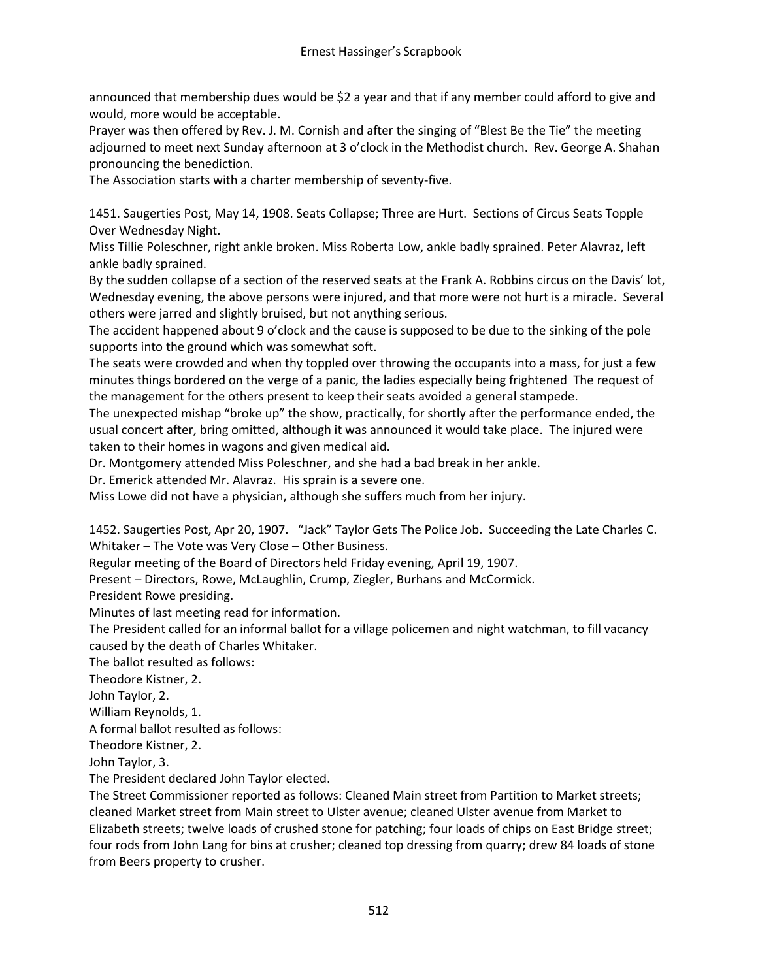announced that membership dues would be \$2 a year and that if any member could afford to give and would, more would be acceptable.

Prayer was then offered by Rev. J. M. Cornish and after the singing of "Blest Be the Tie" the meeting adjourned to meet next Sunday afternoon at 3 o'clock in the Methodist church. Rev. George A. Shahan pronouncing the benediction.

The Association starts with a charter membership of seventy-five.

1451. Saugerties Post, May 14, 1908. Seats Collapse; Three are Hurt. Sections of Circus Seats Topple Over Wednesday Night.

Miss Tillie Poleschner, right ankle broken. Miss Roberta Low, ankle badly sprained. Peter Alavraz, left ankle badly sprained.

By the sudden collapse of a section of the reserved seats at the Frank A. Robbins circus on the Davis' lot, Wednesday evening, the above persons were injured, and that more were not hurt is a miracle. Several others were jarred and slightly bruised, but not anything serious.

The accident happened about 9 o'clock and the cause is supposed to be due to the sinking of the pole supports into the ground which was somewhat soft.

The seats were crowded and when thy toppled over throwing the occupants into a mass, for just a few minutes things bordered on the verge of a panic, the ladies especially being frightened The request of the management for the others present to keep their seats avoided a general stampede.

The unexpected mishap "broke up" the show, practically, for shortly after the performance ended, the usual concert after, bring omitted, although it was announced it would take place. The injured were taken to their homes in wagons and given medical aid.

Dr. Montgomery attended Miss Poleschner, and she had a bad break in her ankle.

Dr. Emerick attended Mr. Alavraz. His sprain is a severe one.

Miss Lowe did not have a physician, although she suffers much from her injury.

1452. Saugerties Post, Apr 20, 1907. "Jack" Taylor Gets The Police Job. Succeeding the Late Charles C. Whitaker – The Vote was Very Close – Other Business.

Regular meeting of the Board of Directors held Friday evening, April 19, 1907.

Present – Directors, Rowe, McLaughlin, Crump, Ziegler, Burhans and McCormick.

President Rowe presiding.

Minutes of last meeting read for information.

The President called for an informal ballot for a village policemen and night watchman, to fill vacancy caused by the death of Charles Whitaker.

The ballot resulted as follows:

Theodore Kistner, 2.

John Taylor, 2.

William Reynolds, 1.

A formal ballot resulted as follows:

Theodore Kistner, 2.

John Taylor, 3.

The President declared John Taylor elected.

The Street Commissioner reported as follows: Cleaned Main street from Partition to Market streets; cleaned Market street from Main street to Ulster avenue; cleaned Ulster avenue from Market to Elizabeth streets; twelve loads of crushed stone for patching; four loads of chips on East Bridge street; four rods from John Lang for bins at crusher; cleaned top dressing from quarry; drew 84 loads of stone from Beers property to crusher.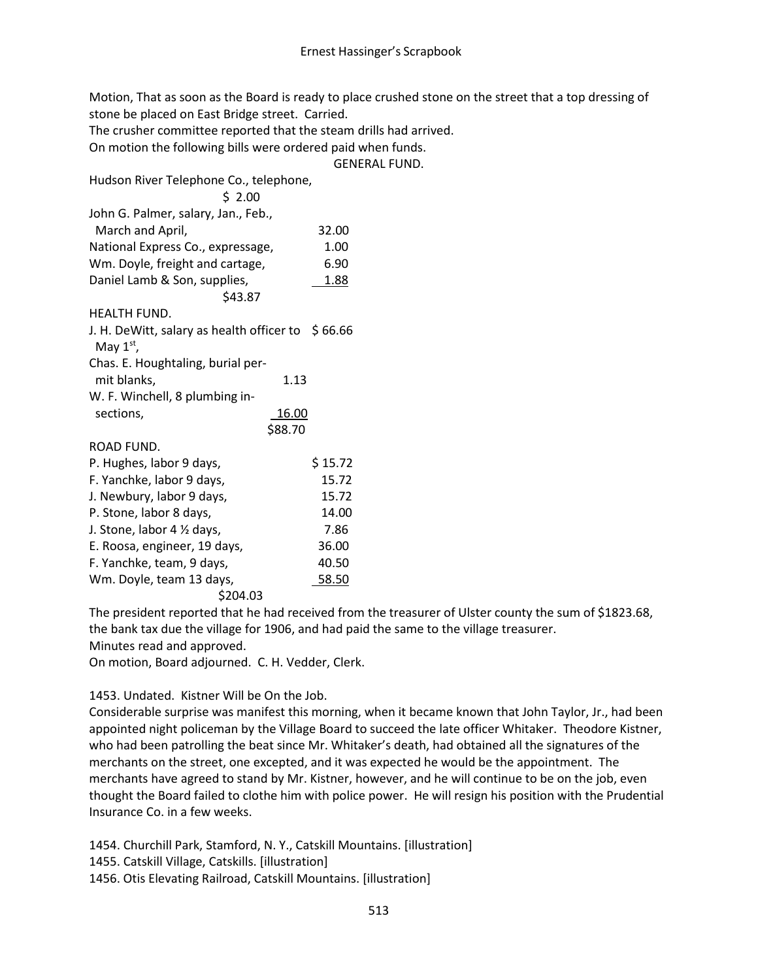Motion, That as soon as the Board is ready to place crushed stone on the street that a top dressing of stone be placed on East Bridge street. Carried.

The crusher committee reported that the steam drills had arrived.

On motion the following bills were ordered paid when funds.

GENERAL FUND.

Hudson River Telephone Co., telephone,

| \$ 2.00                                                  |         |         |
|----------------------------------------------------------|---------|---------|
| John G. Palmer, salary, Jan., Feb.,                      |         |         |
| March and April,                                         |         | 32.00   |
| National Express Co., expressage,                        |         | 1.00    |
| Wm. Doyle, freight and cartage,                          |         | 6.90    |
| Daniel Lamb & Son, supplies,                             |         | 1.88    |
| \$43.87                                                  |         |         |
| <b>HEALTH FUND.</b>                                      |         |         |
| J. H. DeWitt, salary as health officer to<br>May $1st$ , |         | \$66.66 |
| Chas. E. Houghtaling, burial per-                        |         |         |
| mit blanks,                                              | 1.13    |         |
| W. F. Winchell, 8 plumbing in-                           |         |         |
| sections,                                                | 16.00   |         |
|                                                          | \$88.70 |         |
| ROAD FUND.                                               |         |         |
| P. Hughes, labor 9 days,                                 |         | \$15.72 |
| F. Yanchke, labor 9 days,                                |         | 15.72   |
| J. Newbury, labor 9 days,                                |         | 15.72   |
| P. Stone, labor 8 days,                                  |         | 14.00   |
| J. Stone, labor 4 1/2 days,                              |         | 7.86    |
| E. Roosa, engineer, 19 days,                             |         | 36.00   |
| F. Yanchke, team, 9 days,                                |         | 40.50   |
| Wm. Doyle, team 13 days,                                 |         | 58.50   |
| \$204.03                                                 |         |         |

The president reported that he had received from the treasurer of Ulster county the sum of \$1823.68, the bank tax due the village for 1906, and had paid the same to the village treasurer. Minutes read and approved.

On motion, Board adjourned. C. H. Vedder, Clerk.

1453. Undated. Kistner Will be On the Job.

Considerable surprise was manifest this morning, when it became known that John Taylor, Jr., had been appointed night policeman by the Village Board to succeed the late officer Whitaker. Theodore Kistner, who had been patrolling the beat since Mr. Whitaker's death, had obtained all the signatures of the merchants on the street, one excepted, and it was expected he would be the appointment. The merchants have agreed to stand by Mr. Kistner, however, and he will continue to be on the job, even thought the Board failed to clothe him with police power. He will resign his position with the Prudential Insurance Co. in a few weeks.

1454. Churchill Park, Stamford, N. Y., Catskill Mountains. [illustration] 1455. Catskill Village, Catskills. [illustration] 1456. Otis Elevating Railroad, Catskill Mountains. [illustration]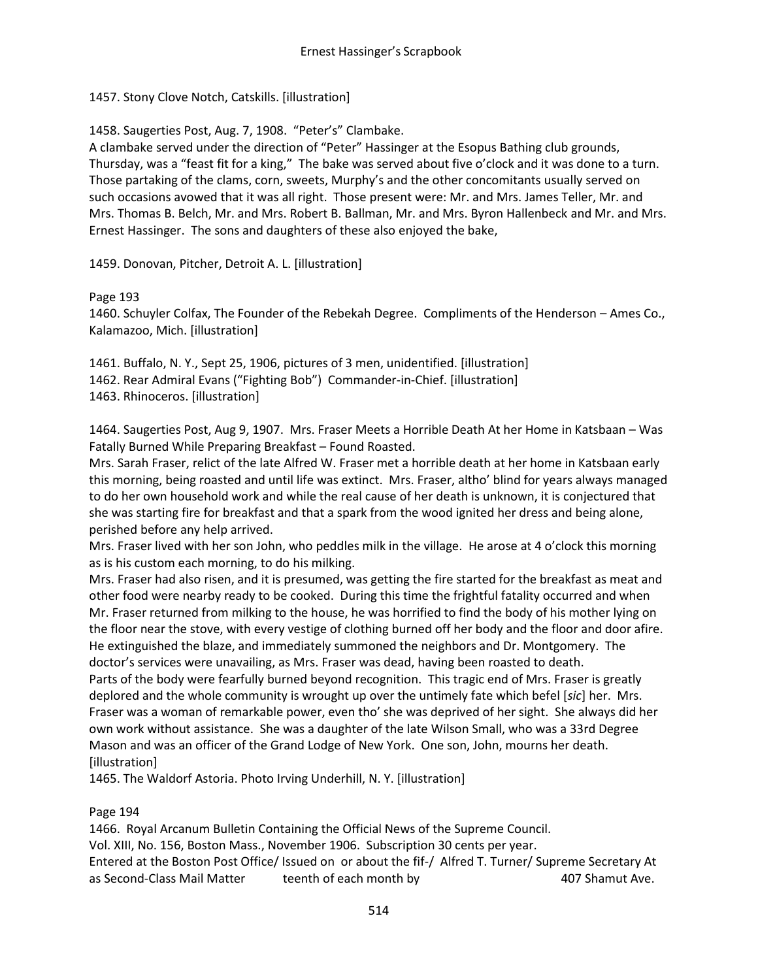1457. Stony Clove Notch, Catskills. [illustration]

1458. Saugerties Post, Aug. 7, 1908. "Peter's" Clambake.

A clambake served under the direction of "Peter" Hassinger at the Esopus Bathing club grounds, Thursday, was a "feast fit for a king," The bake was served about five o'clock and it was done to a turn. Those partaking of the clams, corn, sweets, Murphy's and the other concomitants usually served on such occasions avowed that it was all right. Those present were: Mr. and Mrs. James Teller, Mr. and Mrs. Thomas B. Belch, Mr. and Mrs. Robert B. Ballman, Mr. and Mrs. Byron Hallenbeck and Mr. and Mrs. Ernest Hassinger. The sons and daughters of these also enjoyed the bake,

1459. Donovan, Pitcher, Detroit A. L. [illustration]

#### Page 193

1460. Schuyler Colfax, The Founder of the Rebekah Degree. Compliments of the Henderson – Ames Co., Kalamazoo, Mich. [illustration]

1461. Buffalo, N. Y., Sept 25, 1906, pictures of 3 men, unidentified. [illustration] 1462. Rear Admiral Evans ("Fighting Bob") Commander-in-Chief. [illustration] 1463. Rhinoceros. [illustration]

1464. Saugerties Post, Aug 9, 1907. Mrs. Fraser Meets a Horrible Death At her Home in Katsbaan – Was Fatally Burned While Preparing Breakfast – Found Roasted.

Mrs. Sarah Fraser, relict of the late Alfred W. Fraser met a horrible death at her home in Katsbaan early this morning, being roasted and until life was extinct. Mrs. Fraser, altho' blind for years always managed to do her own household work and while the real cause of her death is unknown, it is conjectured that she was starting fire for breakfast and that a spark from the wood ignited her dress and being alone, perished before any help arrived.

Mrs. Fraser lived with her son John, who peddles milk in the village. He arose at 4 o'clock this morning as is his custom each morning, to do his milking.

Mrs. Fraser had also risen, and it is presumed, was getting the fire started for the breakfast as meat and other food were nearby ready to be cooked. During this time the frightful fatality occurred and when Mr. Fraser returned from milking to the house, he was horrified to find the body of his mother lying on the floor near the stove, with every vestige of clothing burned off her body and the floor and door afire. He extinguished the blaze, and immediately summoned the neighbors and Dr. Montgomery. The doctor's services were unavailing, as Mrs. Fraser was dead, having been roasted to death. Parts of the body were fearfully burned beyond recognition. This tragic end of Mrs. Fraser is greatly deplored and the whole community is wrought up over the untimely fate which befel [*sic*] her. Mrs. Fraser was a woman of remarkable power, even tho' she was deprived of her sight. She always did her own work without assistance. She was a daughter of the late Wilson Small, who was a 33rd Degree Mason and was an officer of the Grand Lodge of New York. One son, John, mourns her death. [illustration]

1465. The Waldorf Astoria. Photo Irving Underhill, N. Y. [illustration]

# Page 194

1466. Royal Arcanum Bulletin Containing the Official News of the Supreme Council. Vol. XIII, No. 156, Boston Mass., November 1906. Subscription 30 cents per year. Entered at the Boston Post Office/ Issued on or about the fif-/ Alfred T. Turner/ Supreme Secretary At as Second-Class Mail Matter teenth of each month by 407 Shamut Ave.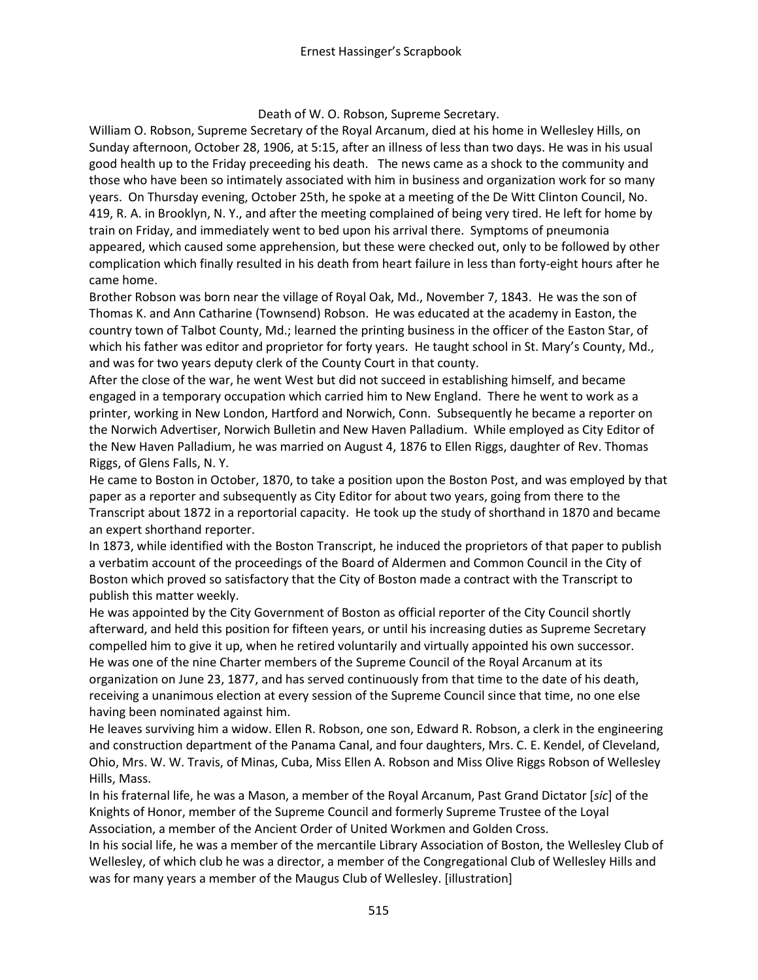Death of W. O. Robson, Supreme Secretary.

William O. Robson, Supreme Secretary of the Royal Arcanum, died at his home in Wellesley Hills, on Sunday afternoon, October 28, 1906, at 5:15, after an illness of less than two days. He was in his usual good health up to the Friday preceeding his death. The news came as a shock to the community and those who have been so intimately associated with him in business and organization work for so many years. On Thursday evening, October 25th, he spoke at a meeting of the De Witt Clinton Council, No. 419, R. A. in Brooklyn, N. Y., and after the meeting complained of being very tired. He left for home by train on Friday, and immediately went to bed upon his arrival there. Symptoms of pneumonia appeared, which caused some apprehension, but these were checked out, only to be followed by other complication which finally resulted in his death from heart failure in less than forty-eight hours after he came home.

Brother Robson was born near the village of Royal Oak, Md., November 7, 1843. He was the son of Thomas K. and Ann Catharine (Townsend) Robson. He was educated at the academy in Easton, the country town of Talbot County, Md.; learned the printing business in the officer of the Easton Star, of which his father was editor and proprietor for forty years. He taught school in St. Mary's County, Md., and was for two years deputy clerk of the County Court in that county.

After the close of the war, he went West but did not succeed in establishing himself, and became engaged in a temporary occupation which carried him to New England. There he went to work as a printer, working in New London, Hartford and Norwich, Conn. Subsequently he became a reporter on the Norwich Advertiser, Norwich Bulletin and New Haven Palladium. While employed as City Editor of the New Haven Palladium, he was married on August 4, 1876 to Ellen Riggs, daughter of Rev. Thomas Riggs, of Glens Falls, N. Y.

He came to Boston in October, 1870, to take a position upon the Boston Post, and was employed by that paper as a reporter and subsequently as City Editor for about two years, going from there to the Transcript about 1872 in a reportorial capacity. He took up the study of shorthand in 1870 and became an expert shorthand reporter.

In 1873, while identified with the Boston Transcript, he induced the proprietors of that paper to publish a verbatim account of the proceedings of the Board of Aldermen and Common Council in the City of Boston which proved so satisfactory that the City of Boston made a contract with the Transcript to publish this matter weekly.

He was appointed by the City Government of Boston as official reporter of the City Council shortly afterward, and held this position for fifteen years, or until his increasing duties as Supreme Secretary compelled him to give it up, when he retired voluntarily and virtually appointed his own successor. He was one of the nine Charter members of the Supreme Council of the Royal Arcanum at its organization on June 23, 1877, and has served continuously from that time to the date of his death, receiving a unanimous election at every session of the Supreme Council since that time, no one else having been nominated against him.

He leaves surviving him a widow. Ellen R. Robson, one son, Edward R. Robson, a clerk in the engineering and construction department of the Panama Canal, and four daughters, Mrs. C. E. Kendel, of Cleveland, Ohio, Mrs. W. W. Travis, of Minas, Cuba, Miss Ellen A. Robson and Miss Olive Riggs Robson of Wellesley Hills, Mass.

In his fraternal life, he was a Mason, a member of the Royal Arcanum, Past Grand Dictator [*sic*] of the Knights of Honor, member of the Supreme Council and formerly Supreme Trustee of the Loyal Association, a member of the Ancient Order of United Workmen and Golden Cross.

In his social life, he was a member of the mercantile Library Association of Boston, the Wellesley Club of Wellesley, of which club he was a director, a member of the Congregational Club of Wellesley Hills and was for many years a member of the Maugus Club of Wellesley. [illustration]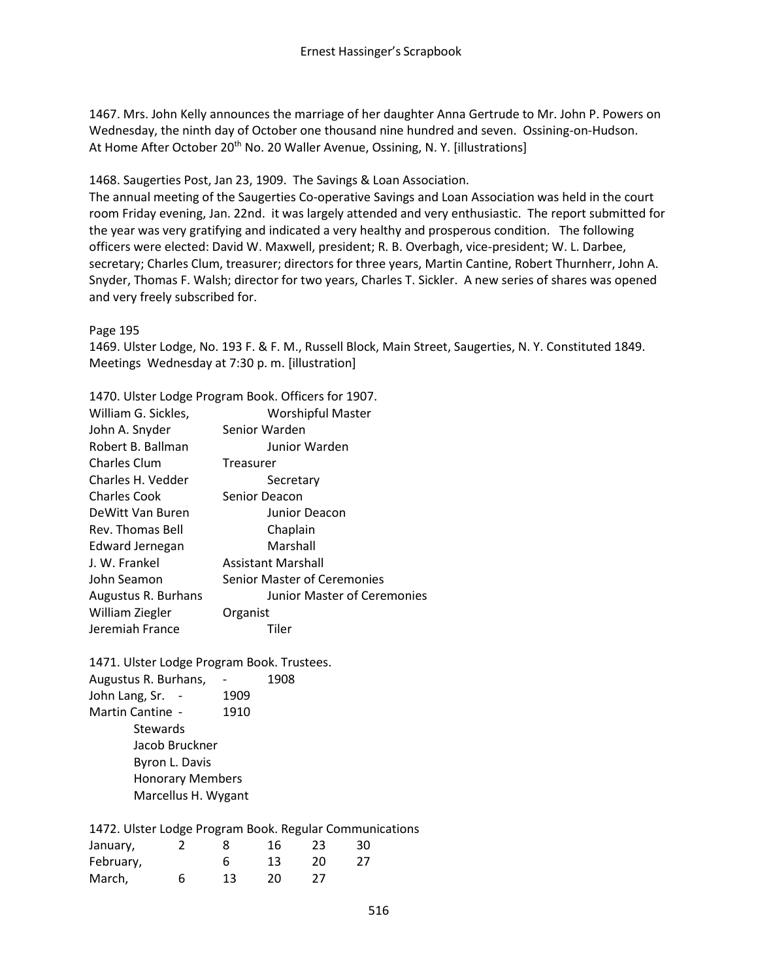1467. Mrs. John Kelly announces the marriage of her daughter Anna Gertrude to Mr. John P. Powers on Wednesday, the ninth day of October one thousand nine hundred and seven. Ossining-on-Hudson. At Home After October 20<sup>th</sup> No. 20 Waller Avenue, Ossining, N. Y. [illustrations]

1468. Saugerties Post, Jan 23, 1909. The Savings & Loan Association.

The annual meeting of the Saugerties Co-operative Savings and Loan Association was held in the court room Friday evening, Jan. 22nd. it was largely attended and very enthusiastic. The report submitted for the year was very gratifying and indicated a very healthy and prosperous condition. The following officers were elected: David W. Maxwell, president; R. B. Overbagh, vice-president; W. L. Darbee, secretary; Charles Clum, treasurer; directors for three years, Martin Cantine, Robert Thurnherr, John A. Snyder, Thomas F. Walsh; director for two years, Charles T. Sickler. A new series of shares was opened and very freely subscribed for.

Page 195

1469. Ulster Lodge, No. 193 F. & F. M., Russell Block, Main Street, Saugerties, N. Y. Constituted 1849. Meetings Wednesday at 7:30 p. m. [illustration]

1470. Ulster Lodge Program Book. Officers for 1907.

| William G. Sickles,    | <b>Worshipful Master</b>    |
|------------------------|-----------------------------|
| John A. Snyder         | Senior Warden               |
| Robert B. Ballman      | Junior Warden               |
| <b>Charles Clum</b>    | Treasurer                   |
| Charles H. Vedder      | Secretary                   |
| <b>Charles Cook</b>    | Senior Deacon               |
| DeWitt Van Buren       | Junior Deacon               |
| Rev. Thomas Bell       | Chaplain                    |
| <b>Edward Jernegan</b> | Marshall                    |
| J. W. Frankel          | Assistant Marshall          |
| John Seamon            | Senior Master of Ceremonies |
| Augustus R. Burhans    | Junior Master of Ceremonies |
| William Ziegler        | Organist                    |
| Jeremiah France        | Tiler                       |

1471. Ulster Lodge Program Book. Trustees. Augustus R. Burhans, - 1908 John Lang, Sr. - 1909 Martin Cantine - 1910 **Stewards** Jacob Bruckner Byron L. Davis Honorary Members Marcellus H. Wygant

1472. Ulster Lodge Program Book. Regular Communications

| January,  |   |    | 16 | 23 | 30 |
|-----------|---|----|----|----|----|
| February, |   |    | 13 | 20 | 27 |
| March,    | 6 | 13 | 20 | 27 |    |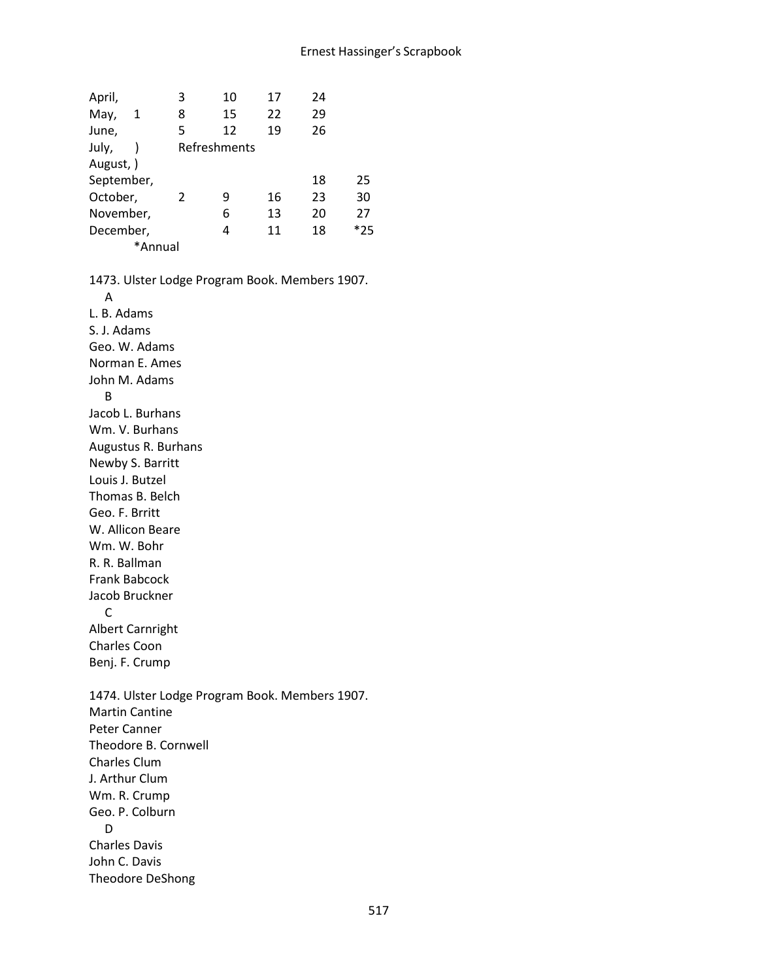| April,     | 3 | 10           | 17 | 24 |       |
|------------|---|--------------|----|----|-------|
| May,<br>1  | 8 | 15           | 22 | 29 |       |
| June,      | 5 | 12           | 19 | 26 |       |
| July,      |   | Refreshments |    |    |       |
| August, )  |   |              |    |    |       |
| September, |   |              |    | 18 | 25    |
| October,   | 2 | 9            | 16 | 23 | 30    |
| November,  |   | 6            | 13 | 20 | 27    |
| December,  |   | 4            | 11 | 18 | $*25$ |
| *Annual    |   |              |    |    |       |

1473. Ulster Lodge Program Book. Members 1907. A L. B. Adams S. J. Adams Geo. W. Adams Norman E. Ames John M. Adams B Jacob L. Burhans Wm. V. Burhans Augustus R. Burhans Newby S. Barritt Louis J. Butzel Thomas B. Belch Geo. F. Brritt W. Allicon Beare Wm. W. Bohr R. R. Ballman Frank Babcock Jacob Bruckner C Albert Carnright Charles Coon Benj. F. Crump 1474. Ulster Lodge Program Book. Members 1907. Martin Cantine Peter Canner Theodore B. Cornwell Charles Clum J. Arthur Clum Wm. R. Crump Geo. P. Colburn D Charles Davis John C. Davis Theodore DeShong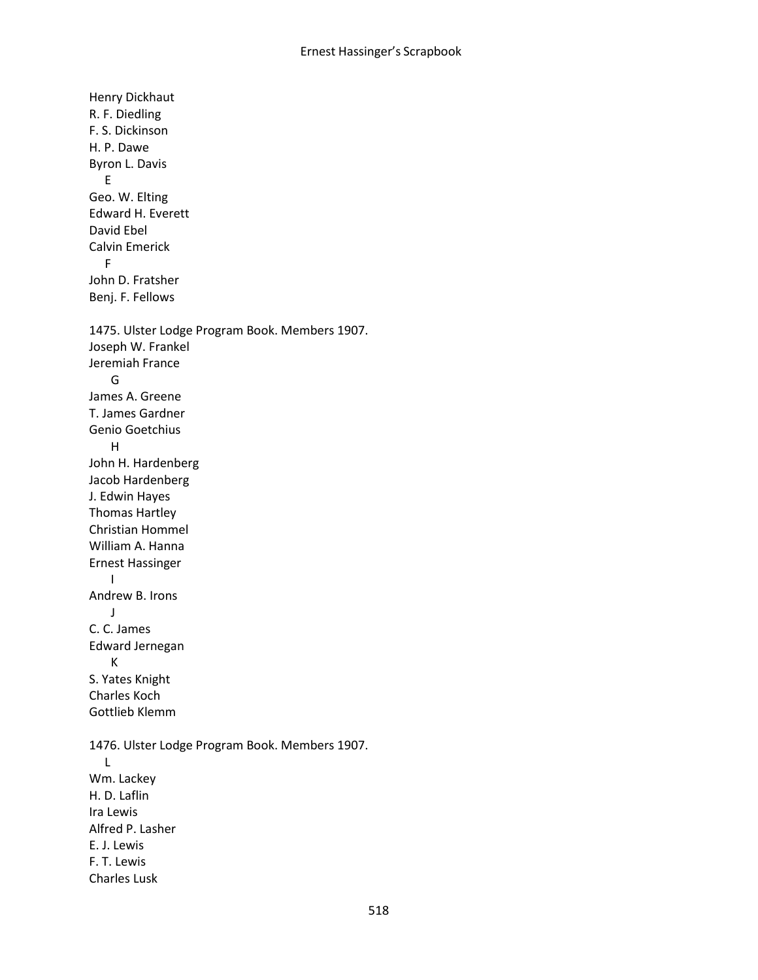Henry Dickhaut R. F. Diedling F. S. Dickinson H. P. Dawe Byron L. Davis E Geo. W. Elting Edward H. Everett David Ebel Calvin Emerick F John D. Fratsher Benj. F. Fellows 1475. Ulster Lodge Program Book. Members 1907. Joseph W. Frankel Jeremiah France G James A. Greene T. James Gardner Genio Goetchius H John H. Hardenberg Jacob Hardenberg J. Edwin Hayes Thomas Hartley Christian Hommel William A. Hanna Ernest Hassinger I Andrew B. Irons J C. C. James Edward Jernegan K S. Yates Knight Charles Koch Gottlieb Klemm 1476. Ulster Lodge Program Book. Members 1907. L Wm. Lackey H. D. Laflin Ira Lewis Alfred P. Lasher E. J. Lewis F. T. Lewis Charles Lusk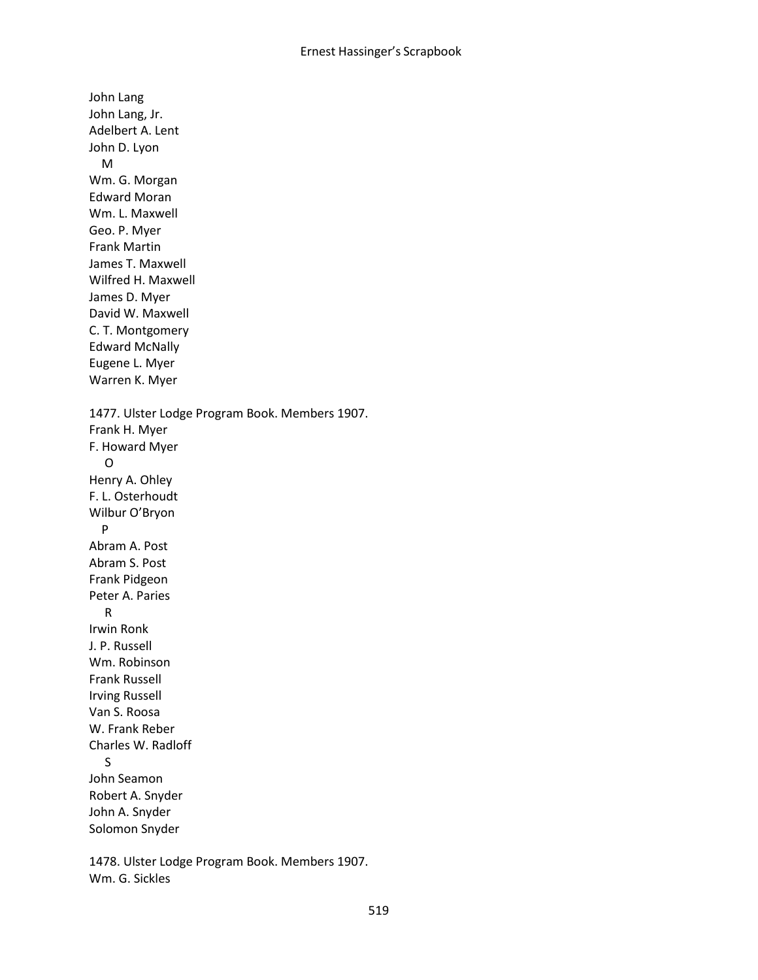John Lang John Lang, Jr. Adelbert A. Lent John D. Lyon M Wm. G. Morgan Edward Moran Wm. L. Maxwell Geo. P. Myer Frank Martin James T. Maxwell Wilfred H. Maxwell James D. Myer David W. Maxwell C. T. Montgomery Edward McNally Eugene L. Myer Warren K. Myer 1477. Ulster Lodge Program Book. Members 1907. Frank H. Myer F. Howard Myer O Henry A. Ohley F. L. Osterhoudt Wilbur O'Bryon P Abram A. Post Abram S. Post Frank Pidgeon Peter A. Paries R Irwin Ronk J. P. Russell Wm. Robinson Frank Russell Irving Russell Van S. Roosa W. Frank Reber Charles W. Radloff S John Seamon Robert A. Snyder John A. Snyder Solomon Snyder

1478. Ulster Lodge Program Book. Members 1907. Wm. G. Sickles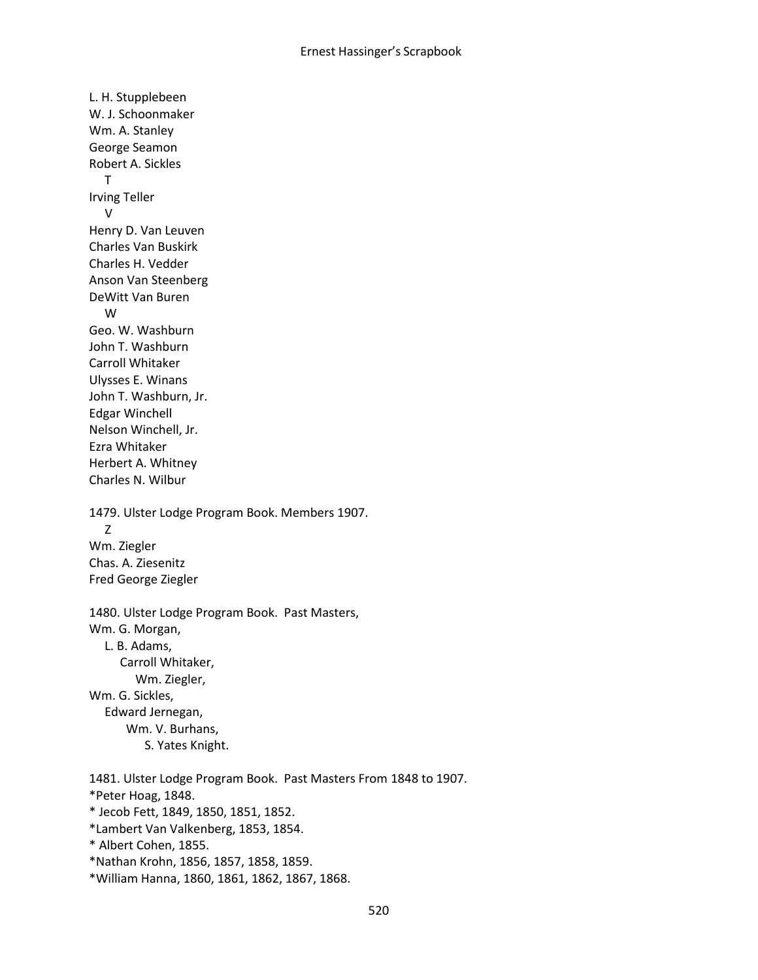L. H. Stupplebeen W. J. Schoonmaker Wm. A. Stanley George Seamon Robert A. Sickles T Irving Teller V Henry D. Van Leuven Charles Van Buskirk Charles H. Vedder Anson Van Steenberg DeWitt Van Buren W Geo. W. Washburn John T. Washburn Carroll Whitaker Ulysses E. Winans John T. Washburn, Jr. Edgar Winchell Nelson Winchell, Jr. Ezra Whitaker Herbert A. Whitney Charles N. Wilbur 1479. Ulster Lodge Program Book. Members 1907. Z Wm. Ziegler Chas. A. Ziesenitz Fred George Ziegler 1480. Ulster Lodge Program Book. Past Masters, Wm. G. Morgan, L. B. Adams, Carroll Whitaker, Wm. Ziegler, Wm. G. Sickles, Edward Jernegan, Wm. V. Burhans, S. Yates Knight. 1481. Ulster Lodge Program Book. Past Masters From 1848 to 1907. \*Peter Hoag, 1848. \* Jecob Fett, 1849, 1850, 1851, 1852. \*Lambert Van Valkenberg, 1853, 1854. \* Albert Cohen, 1855.

- \*Nathan Krohn, 1856, 1857, 1858, 1859.
- \*William Hanna, 1860, 1861, 1862, 1867, 1868.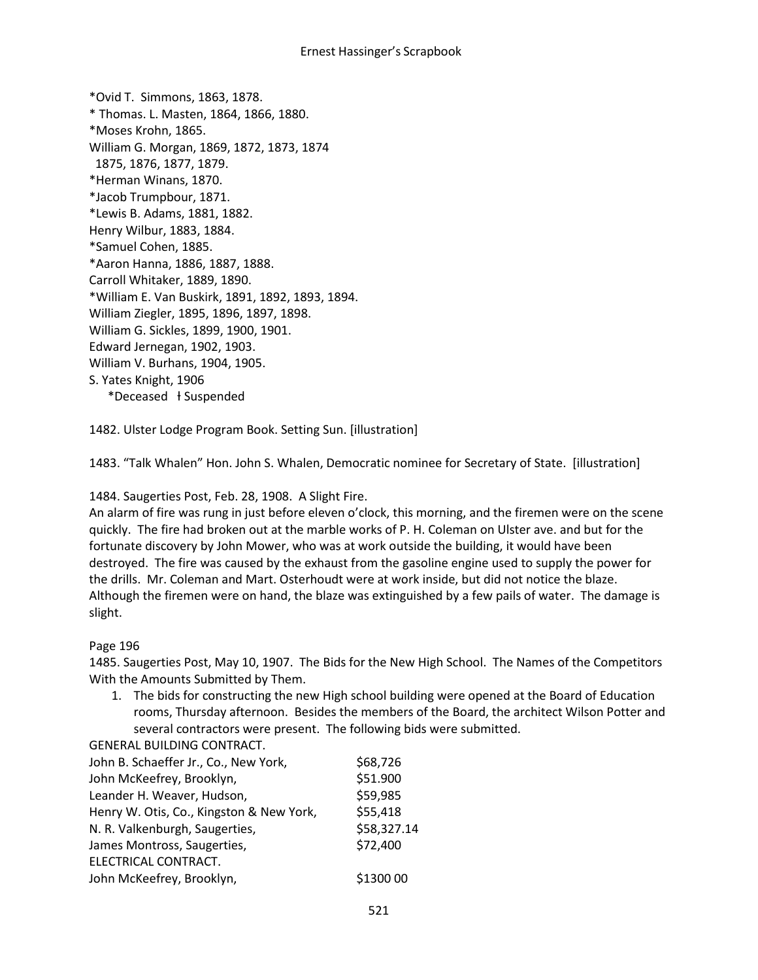\*Ovid T. Simmons, 1863, 1878. \* Thomas. L. Masten, 1864, 1866, 1880. \*Moses Krohn, 1865. William G. Morgan, 1869, 1872, 1873, 1874 1875, 1876, 1877, 1879. \*Herman Winans, 1870. \*Jacob Trumpbour, 1871. \*Lewis B. Adams, 1881, 1882. Henry Wilbur, 1883, 1884. \*Samuel Cohen, 1885. \*Aaron Hanna, 1886, 1887, 1888. Carroll Whitaker, 1889, 1890. \*William E. Van Buskirk, 1891, 1892, 1893, 1894. William Ziegler, 1895, 1896, 1897, 1898. William G. Sickles, 1899, 1900, 1901. Edward Jernegan, 1902, 1903. William V. Burhans, 1904, 1905. S. Yates Knight, 1906 \*Deceased ƚ Suspended

1482. Ulster Lodge Program Book. Setting Sun. [illustration]

1483. "Talk Whalen" Hon. John S. Whalen, Democratic nominee for Secretary of State. [illustration]

#### 1484. Saugerties Post, Feb. 28, 1908. A Slight Fire.

An alarm of fire was rung in just before eleven o'clock, this morning, and the firemen were on the scene quickly. The fire had broken out at the marble works of P. H. Coleman on Ulster ave. and but for the fortunate discovery by John Mower, who was at work outside the building, it would have been destroyed. The fire was caused by the exhaust from the gasoline engine used to supply the power for the drills. Mr. Coleman and Mart. Osterhoudt were at work inside, but did not notice the blaze. Although the firemen were on hand, the blaze was extinguished by a few pails of water. The damage is slight.

#### Page 196

1485. Saugerties Post, May 10, 1907. The Bids for the New High School. The Names of the Competitors With the Amounts Submitted by Them.

1. The bids for constructing the new High school building were opened at the Board of Education rooms, Thursday afternoon. Besides the members of the Board, the architect Wilson Potter and several contractors were present. The following bids were submitted.

#### GENERAL BUILDING CONTRACT.

| John B. Schaeffer Jr., Co., New York,    | \$68,726    |
|------------------------------------------|-------------|
| John McKeefrey, Brooklyn,                | \$51.900    |
| Leander H. Weaver, Hudson,               | \$59,985    |
| Henry W. Otis, Co., Kingston & New York, | \$55,418    |
| N. R. Valkenburgh, Saugerties,           | \$58,327.14 |
| James Montross, Saugerties,              | \$72,400    |
| ELECTRICAL CONTRACT.                     |             |
| John McKeefrey, Brooklyn,                | \$1300 00   |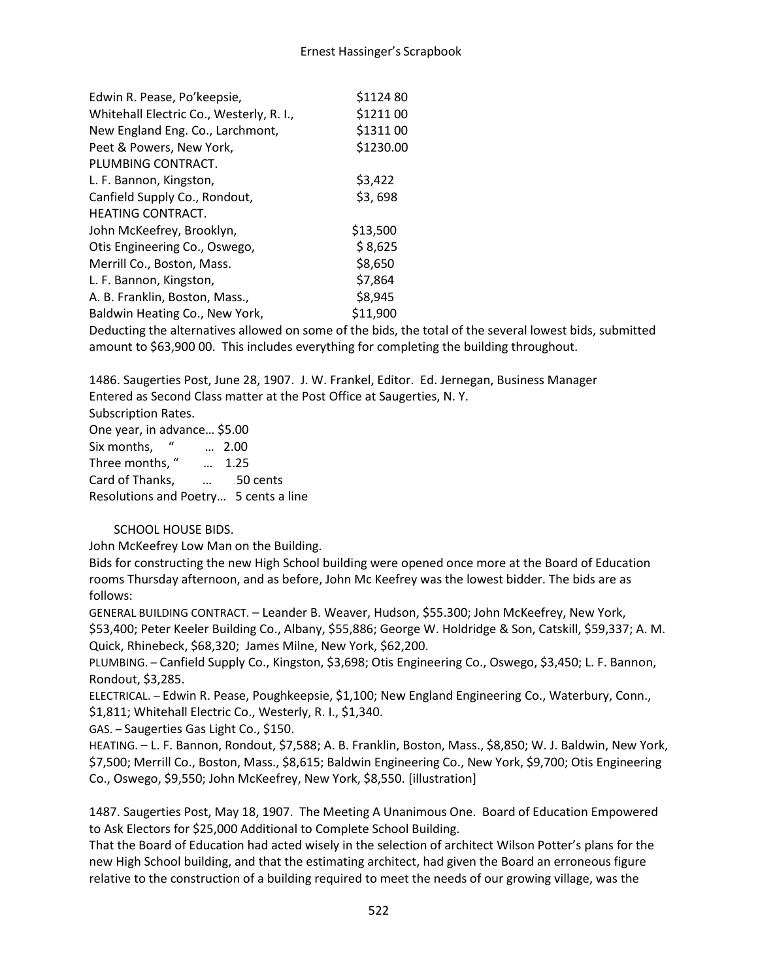| Edwin R. Pease, Po'keepsie,              | \$1124 80 |
|------------------------------------------|-----------|
| Whitehall Electric Co., Westerly, R. I., | \$1211 00 |
| New England Eng. Co., Larchmont,         | \$1311 00 |
| Peet & Powers, New York,                 | \$1230.00 |
| PLUMBING CONTRACT.                       |           |
| L. F. Bannon, Kingston,                  | \$3,422   |
| Canfield Supply Co., Rondout,            | \$3,698   |
| HEATING CONTRACT.                        |           |
| John McKeefrey, Brooklyn,                | \$13,500  |
| Otis Engineering Co., Oswego,            | \$8,625   |
| Merrill Co., Boston, Mass.               | \$8,650   |
| L. F. Bannon, Kingston,                  | \$7,864   |
| A. B. Franklin, Boston, Mass.,           | \$8,945   |
| Baldwin Heating Co., New York,           | \$11,900  |
|                                          |           |

Deducting the alternatives allowed on some of the bids, the total of the several lowest bids, submitted amount to \$63,900 00. This includes everything for completing the building throughout.

1486. Saugerties Post, June 28, 1907. J. W. Frankel, Editor. Ed. Jernegan, Business Manager Entered as Second Class matter at the Post Office at Saugerties, N. Y. Subscription Rates.

One year, in advance… \$5.00 Six months, " … 2.00 Three months, " … 1.25 Card of Thanks, … 50 cents Resolutions and Poetry… 5 cents a line

# SCHOOL HOUSE BIDS.

John McKeefrey Low Man on the Building.

Bids for constructing the new High School building were opened once more at the Board of Education rooms Thursday afternoon, and as before, John Mc Keefrey was the lowest bidder. The bids are as follows:

GENERAL BUILDING CONTRACT. – Leander B. Weaver, Hudson, \$55.300; John McKeefrey, New York, \$53,400; Peter Keeler Building Co., Albany, \$55,886; George W. Holdridge & Son, Catskill, \$59,337; A. M. Quick, Rhinebeck, \$68,320; James Milne, New York, \$62,200.

PLUMBING. – Canfield Supply Co., Kingston, \$3,698; Otis Engineering Co., Oswego, \$3,450; L. F. Bannon, Rondout, \$3,285.

ELECTRICAL. – Edwin R. Pease, Poughkeepsie, \$1,100; New England Engineering Co., Waterbury, Conn., \$1,811; Whitehall Electric Co., Westerly, R. I., \$1,340.

GAS. – Saugerties Gas Light Co., \$150.

HEATING. – L. F. Bannon, Rondout, \$7,588; A. B. Franklin, Boston, Mass., \$8,850; W. J. Baldwin, New York, \$7,500; Merrill Co., Boston, Mass., \$8,615; Baldwin Engineering Co., New York, \$9,700; Otis Engineering Co., Oswego, \$9,550; John McKeefrey, New York, \$8,550. [illustration]

1487. Saugerties Post, May 18, 1907. The Meeting A Unanimous One. Board of Education Empowered to Ask Electors for \$25,000 Additional to Complete School Building.

That the Board of Education had acted wisely in the selection of architect Wilson Potter's plans for the new High School building, and that the estimating architect, had given the Board an erroneous figure relative to the construction of a building required to meet the needs of our growing village, was the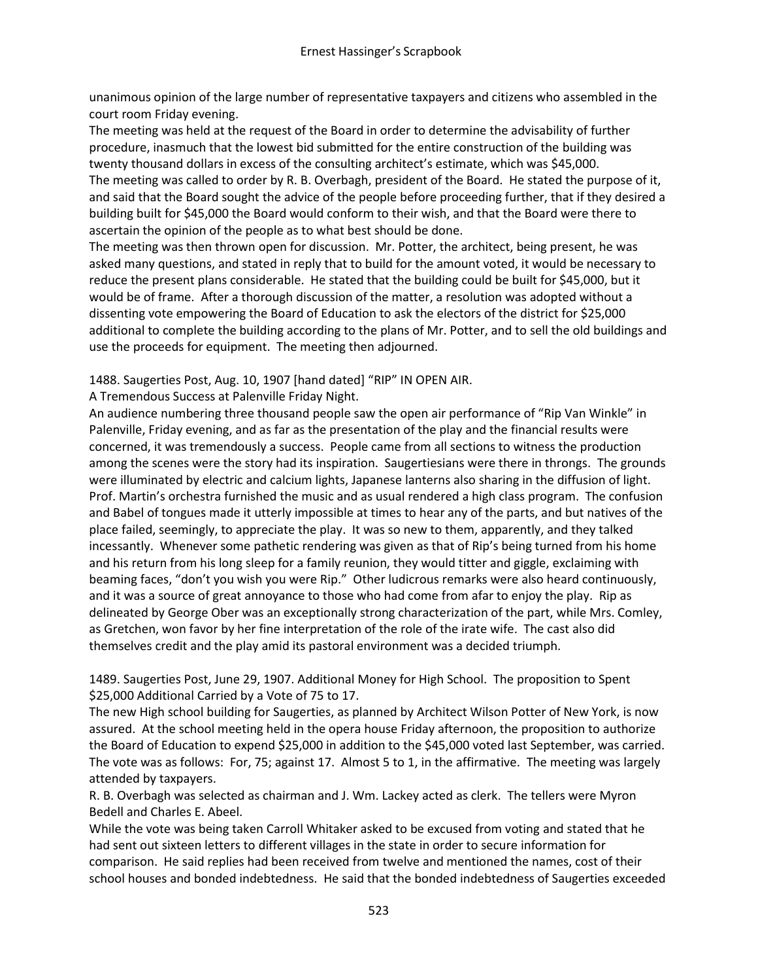unanimous opinion of the large number of representative taxpayers and citizens who assembled in the court room Friday evening.

The meeting was held at the request of the Board in order to determine the advisability of further procedure, inasmuch that the lowest bid submitted for the entire construction of the building was twenty thousand dollars in excess of the consulting architect's estimate, which was \$45,000. The meeting was called to order by R. B. Overbagh, president of the Board. He stated the purpose of it, and said that the Board sought the advice of the people before proceeding further, that if they desired a building built for \$45,000 the Board would conform to their wish, and that the Board were there to ascertain the opinion of the people as to what best should be done.

The meeting was then thrown open for discussion. Mr. Potter, the architect, being present, he was asked many questions, and stated in reply that to build for the amount voted, it would be necessary to reduce the present plans considerable. He stated that the building could be built for \$45,000, but it would be of frame. After a thorough discussion of the matter, a resolution was adopted without a dissenting vote empowering the Board of Education to ask the electors of the district for \$25,000 additional to complete the building according to the plans of Mr. Potter, and to sell the old buildings and use the proceeds for equipment. The meeting then adjourned.

1488. Saugerties Post, Aug. 10, 1907 [hand dated] "RIP" IN OPEN AIR.

A Tremendous Success at Palenville Friday Night.

An audience numbering three thousand people saw the open air performance of "Rip Van Winkle" in Palenville, Friday evening, and as far as the presentation of the play and the financial results were concerned, it was tremendously a success. People came from all sections to witness the production among the scenes were the story had its inspiration. Saugertiesians were there in throngs. The grounds were illuminated by electric and calcium lights, Japanese lanterns also sharing in the diffusion of light. Prof. Martin's orchestra furnished the music and as usual rendered a high class program. The confusion and Babel of tongues made it utterly impossible at times to hear any of the parts, and but natives of the place failed, seemingly, to appreciate the play. It was so new to them, apparently, and they talked incessantly. Whenever some pathetic rendering was given as that of Rip's being turned from his home and his return from his long sleep for a family reunion, they would titter and giggle, exclaiming with beaming faces, "don't you wish you were Rip." Other ludicrous remarks were also heard continuously, and it was a source of great annoyance to those who had come from afar to enjoy the play. Rip as delineated by George Ober was an exceptionally strong characterization of the part, while Mrs. Comley, as Gretchen, won favor by her fine interpretation of the role of the irate wife. The cast also did themselves credit and the play amid its pastoral environment was a decided triumph.

1489. Saugerties Post, June 29, 1907. Additional Money for High School. The proposition to Spent \$25,000 Additional Carried by a Vote of 75 to 17.

The new High school building for Saugerties, as planned by Architect Wilson Potter of New York, is now assured. At the school meeting held in the opera house Friday afternoon, the proposition to authorize the Board of Education to expend \$25,000 in addition to the \$45,000 voted last September, was carried. The vote was as follows: For, 75; against 17. Almost 5 to 1, in the affirmative. The meeting was largely attended by taxpayers.

R. B. Overbagh was selected as chairman and J. Wm. Lackey acted as clerk. The tellers were Myron Bedell and Charles E. Abeel.

While the vote was being taken Carroll Whitaker asked to be excused from voting and stated that he had sent out sixteen letters to different villages in the state in order to secure information for comparison. He said replies had been received from twelve and mentioned the names, cost of their school houses and bonded indebtedness. He said that the bonded indebtedness of Saugerties exceeded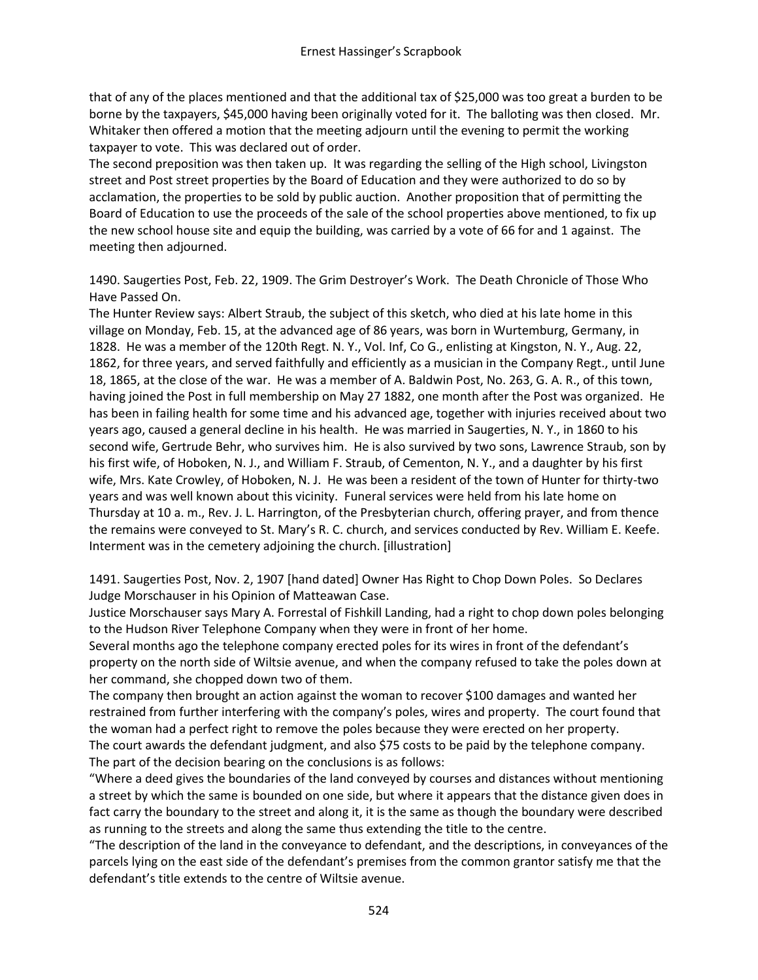that of any of the places mentioned and that the additional tax of \$25,000 was too great a burden to be borne by the taxpayers, \$45,000 having been originally voted for it. The balloting was then closed. Mr. Whitaker then offered a motion that the meeting adjourn until the evening to permit the working taxpayer to vote. This was declared out of order.

The second preposition was then taken up. It was regarding the selling of the High school, Livingston street and Post street properties by the Board of Education and they were authorized to do so by acclamation, the properties to be sold by public auction. Another proposition that of permitting the Board of Education to use the proceeds of the sale of the school properties above mentioned, to fix up the new school house site and equip the building, was carried by a vote of 66 for and 1 against. The meeting then adjourned.

1490. Saugerties Post, Feb. 22, 1909. The Grim Destroyer's Work. The Death Chronicle of Those Who Have Passed On.

The Hunter Review says: Albert Straub, the subject of this sketch, who died at his late home in this village on Monday, Feb. 15, at the advanced age of 86 years, was born in Wurtemburg, Germany, in 1828. He was a member of the 120th Regt. N. Y., Vol. Inf, Co G., enlisting at Kingston, N. Y., Aug. 22, 1862, for three years, and served faithfully and efficiently as a musician in the Company Regt., until June 18, 1865, at the close of the war. He was a member of A. Baldwin Post, No. 263, G. A. R., of this town, having joined the Post in full membership on May 27 1882, one month after the Post was organized. He has been in failing health for some time and his advanced age, together with injuries received about two years ago, caused a general decline in his health. He was married in Saugerties, N. Y., in 1860 to his second wife, Gertrude Behr, who survives him. He is also survived by two sons, Lawrence Straub, son by his first wife, of Hoboken, N. J., and William F. Straub, of Cementon, N. Y., and a daughter by his first wife, Mrs. Kate Crowley, of Hoboken, N. J. He was been a resident of the town of Hunter for thirty-two years and was well known about this vicinity. Funeral services were held from his late home on Thursday at 10 a. m., Rev. J. L. Harrington, of the Presbyterian church, offering prayer, and from thence the remains were conveyed to St. Mary's R. C. church, and services conducted by Rev. William E. Keefe. Interment was in the cemetery adjoining the church. [illustration]

1491. Saugerties Post, Nov. 2, 1907 [hand dated] Owner Has Right to Chop Down Poles. So Declares Judge Morschauser in his Opinion of Matteawan Case.

Justice Morschauser says Mary A. Forrestal of Fishkill Landing, had a right to chop down poles belonging to the Hudson River Telephone Company when they were in front of her home.

Several months ago the telephone company erected poles for its wires in front of the defendant's property on the north side of Wiltsie avenue, and when the company refused to take the poles down at her command, she chopped down two of them.

The company then brought an action against the woman to recover \$100 damages and wanted her restrained from further interfering with the company's poles, wires and property. The court found that the woman had a perfect right to remove the poles because they were erected on her property. The court awards the defendant judgment, and also \$75 costs to be paid by the telephone company. The part of the decision bearing on the conclusions is as follows:

"Where a deed gives the boundaries of the land conveyed by courses and distances without mentioning a street by which the same is bounded on one side, but where it appears that the distance given does in fact carry the boundary to the street and along it, it is the same as though the boundary were described as running to the streets and along the same thus extending the title to the centre.

"The description of the land in the conveyance to defendant, and the descriptions, in conveyances of the parcels lying on the east side of the defendant's premises from the common grantor satisfy me that the defendant's title extends to the centre of Wiltsie avenue.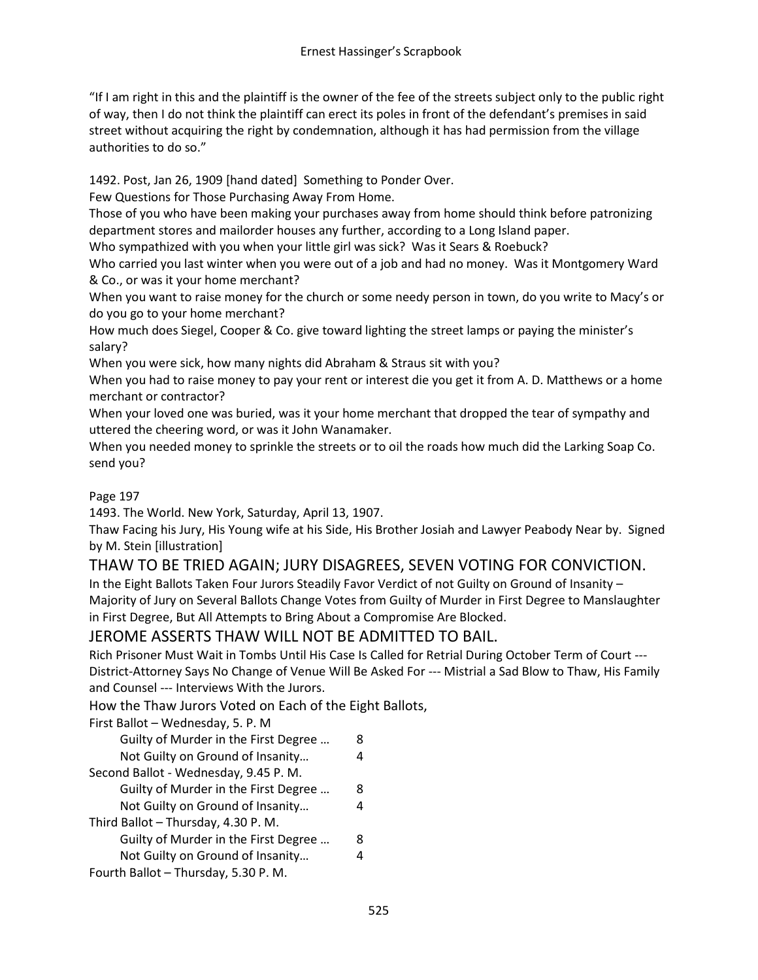"If I am right in this and the plaintiff is the owner of the fee of the streets subject only to the public right of way, then I do not think the plaintiff can erect its poles in front of the defendant's premises in said street without acquiring the right by condemnation, although it has had permission from the village authorities to do so."

1492. Post, Jan 26, 1909 [hand dated] Something to Ponder Over.

Few Questions for Those Purchasing Away From Home.

Those of you who have been making your purchases away from home should think before patronizing department stores and mailorder houses any further, according to a Long Island paper.

Who sympathized with you when your little girl was sick? Was it Sears & Roebuck?

Who carried you last winter when you were out of a job and had no money. Was it Montgomery Ward & Co., or was it your home merchant?

When you want to raise money for the church or some needy person in town, do you write to Macy's or do you go to your home merchant?

How much does Siegel, Cooper & Co. give toward lighting the street lamps or paying the minister's salary?

When you were sick, how many nights did Abraham & Straus sit with you?

When you had to raise money to pay your rent or interest die you get it from A. D. Matthews or a home merchant or contractor?

When your loved one was buried, was it your home merchant that dropped the tear of sympathy and uttered the cheering word, or was it John Wanamaker.

When you needed money to sprinkle the streets or to oil the roads how much did the Larking Soap Co. send you?

# Page 197

1493. The World. New York, Saturday, April 13, 1907.

Thaw Facing his Jury, His Young wife at his Side, His Brother Josiah and Lawyer Peabody Near by. Signed by M. Stein [illustration]

# THAW TO BE TRIED AGAIN; JURY DISAGREES, SEVEN VOTING FOR CONVICTION.

In the Eight Ballots Taken Four Jurors Steadily Favor Verdict of not Guilty on Ground of Insanity – Majority of Jury on Several Ballots Change Votes from Guilty of Murder in First Degree to Manslaughter in First Degree, But All Attempts to Bring About a Compromise Are Blocked.

# JEROME ASSERTS THAW WILL NOT BE ADMITTED TO BAIL.

Rich Prisoner Must Wait in Tombs Until His Case Is Called for Retrial During October Term of Court --- District-Attorney Says No Change of Venue Will Be Asked For --- Mistrial a Sad Blow to Thaw, His Family and Counsel --- Interviews With the Jurors.

How the Thaw Jurors Voted on Each of the Eight Ballots,

First Ballot – Wednesday, 5. P. M

| Guilty of Murder in the First Degree |   |
|--------------------------------------|---|
| Not Guilty on Ground of Insanity     |   |
| Second Ballot - Wednesday, 9.45 P.M. |   |
| Guilty of Murder in the First Degree | 8 |
| Not Guilty on Ground of Insanity     | 4 |
| Third Ballot - Thursday, 4.30 P.M.   |   |
| Guilty of Murder in the First Degree | 8 |
| Not Guilty on Ground of Insanity     |   |
| Fourth Ballot - Thursday, 5.30 P. M. |   |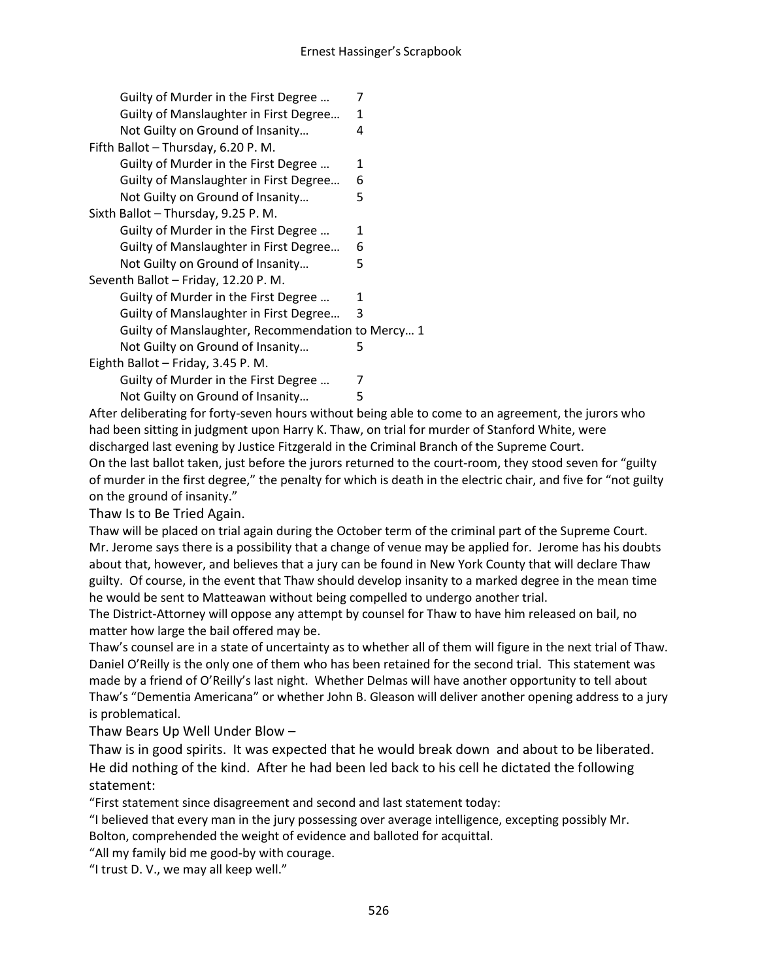| Guilty of Murder in the First Degree              | 7 |
|---------------------------------------------------|---|
| Guilty of Manslaughter in First Degree            | 1 |
| Not Guilty on Ground of Insanity                  | 4 |
| Fifth Ballot - Thursday, 6.20 P. M.               |   |
| Guilty of Murder in the First Degree              | 1 |
| Guilty of Manslaughter in First Degree            | 6 |
| Not Guilty on Ground of Insanity                  | 5 |
| Sixth Ballot - Thursday, 9.25 P. M.               |   |
| Guilty of Murder in the First Degree              | 1 |
| Guilty of Manslaughter in First Degree            | 6 |
| Not Guilty on Ground of Insanity                  | 5 |
| Seventh Ballot - Friday, 12.20 P. M.              |   |
| Guilty of Murder in the First Degree              | 1 |
| Guilty of Manslaughter in First Degree            | 3 |
| Guilty of Manslaughter, Recommendation to Mercy 1 |   |
| Not Guilty on Ground of Insanity                  | 5 |
| Eighth Ballot - Friday, 3.45 P. M.                |   |
| Guilty of Murder in the First Degree              | 7 |

Not Guilty on Ground of Insanity... 5

After deliberating for forty-seven hours without being able to come to an agreement, the jurors who had been sitting in judgment upon Harry K. Thaw, on trial for murder of Stanford White, were discharged last evening by Justice Fitzgerald in the Criminal Branch of the Supreme Court. On the last ballot taken, just before the jurors returned to the court-room, they stood seven for "guilty of murder in the first degree," the penalty for which is death in the electric chair, and five for "not guilty on the ground of insanity."

Thaw Is to Be Tried Again.

Thaw will be placed on trial again during the October term of the criminal part of the Supreme Court. Mr. Jerome says there is a possibility that a change of venue may be applied for. Jerome has his doubts about that, however, and believes that a jury can be found in New York County that will declare Thaw guilty. Of course, in the event that Thaw should develop insanity to a marked degree in the mean time he would be sent to Matteawan without being compelled to undergo another trial.

The District-Attorney will oppose any attempt by counsel for Thaw to have him released on bail, no matter how large the bail offered may be.

Thaw's counsel are in a state of uncertainty as to whether all of them will figure in the next trial of Thaw. Daniel O'Reilly is the only one of them who has been retained for the second trial. This statement was made by a friend of O'Reilly's last night. Whether Delmas will have another opportunity to tell about Thaw's "Dementia Americana" or whether John B. Gleason will deliver another opening address to a jury is problematical.

Thaw Bears Up Well Under Blow –

Thaw is in good spirits. It was expected that he would break down and about to be liberated. He did nothing of the kind. After he had been led back to his cell he dictated the following statement:

"First statement since disagreement and second and last statement today:

"I believed that every man in the jury possessing over average intelligence, excepting possibly Mr.

Bolton, comprehended the weight of evidence and balloted for acquittal.

"All my family bid me good-by with courage.

"I trust D. V., we may all keep well."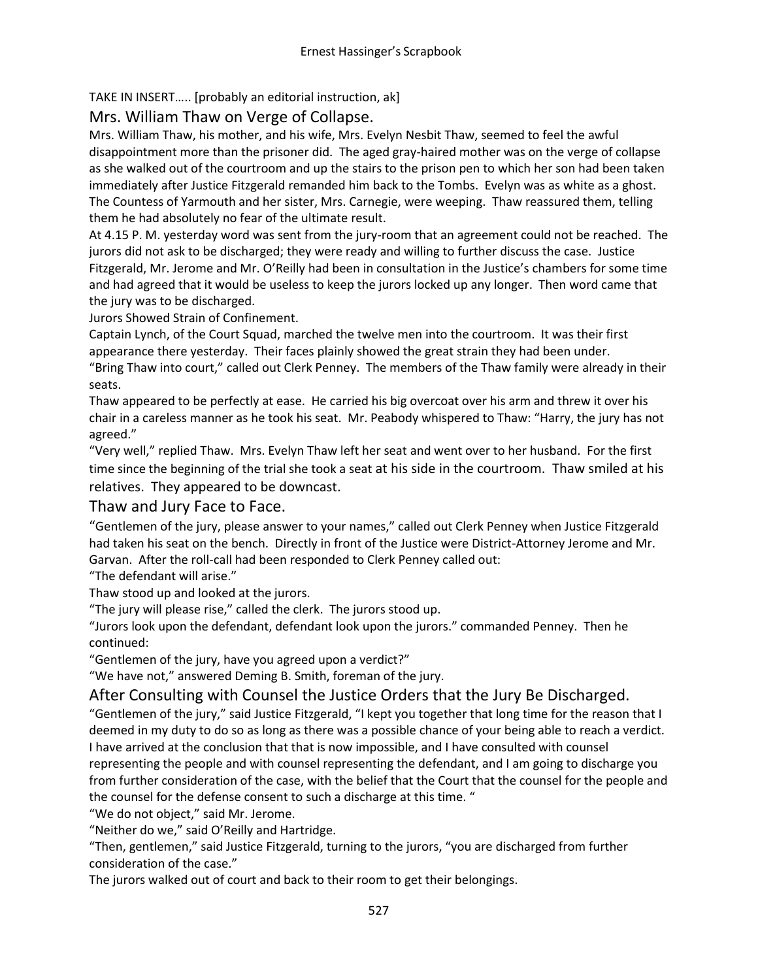TAKE IN INSERT….. [probably an editorial instruction, ak]

Mrs. William Thaw on Verge of Collapse.

Mrs. William Thaw, his mother, and his wife, Mrs. Evelyn Nesbit Thaw, seemed to feel the awful disappointment more than the prisoner did. The aged gray-haired mother was on the verge of collapse as she walked out of the courtroom and up the stairs to the prison pen to which her son had been taken immediately after Justice Fitzgerald remanded him back to the Tombs. Evelyn was as white as a ghost. The Countess of Yarmouth and her sister, Mrs. Carnegie, were weeping. Thaw reassured them, telling them he had absolutely no fear of the ultimate result.

At 4.15 P. M. yesterday word was sent from the jury-room that an agreement could not be reached. The jurors did not ask to be discharged; they were ready and willing to further discuss the case. Justice Fitzgerald, Mr. Jerome and Mr. O'Reilly had been in consultation in the Justice's chambers for some time and had agreed that it would be useless to keep the jurors locked up any longer. Then word came that the jury was to be discharged.

Jurors Showed Strain of Confinement.

Captain Lynch, of the Court Squad, marched the twelve men into the courtroom. It was their first appearance there yesterday. Their faces plainly showed the great strain they had been under. "Bring Thaw into court," called out Clerk Penney. The members of the Thaw family were already in their seats.

Thaw appeared to be perfectly at ease. He carried his big overcoat over his arm and threw it over his chair in a careless manner as he took his seat. Mr. Peabody whispered to Thaw: "Harry, the jury has not agreed."

"Very well," replied Thaw. Mrs. Evelyn Thaw left her seat and went over to her husband. For the first time since the beginning of the trial she took a seat at his side in the courtroom. Thaw smiled at his relatives. They appeared to be downcast.

# Thaw and Jury Face to Face.

"Gentlemen of the jury, please answer to your names," called out Clerk Penney when Justice Fitzgerald had taken his seat on the bench. Directly in front of the Justice were District-Attorney Jerome and Mr. Garvan. After the roll-call had been responded to Clerk Penney called out:

"The defendant will arise."

Thaw stood up and looked at the jurors.

"The jury will please rise," called the clerk. The jurors stood up.

"Jurors look upon the defendant, defendant look upon the jurors." commanded Penney. Then he continued:

"Gentlemen of the jury, have you agreed upon a verdict?"

"We have not," answered Deming B. Smith, foreman of the jury.

# After Consulting with Counsel the Justice Orders that the Jury Be Discharged.

"Gentlemen of the jury," said Justice Fitzgerald, "I kept you together that long time for the reason that I deemed in my duty to do so as long as there was a possible chance of your being able to reach a verdict. I have arrived at the conclusion that that is now impossible, and I have consulted with counsel representing the people and with counsel representing the defendant, and I am going to discharge you from further consideration of the case, with the belief that the Court that the counsel for the people and the counsel for the defense consent to such a discharge at this time. "

"We do not object," said Mr. Jerome.

"Neither do we," said O'Reilly and Hartridge.

"Then, gentlemen," said Justice Fitzgerald, turning to the jurors, "you are discharged from further consideration of the case."

The jurors walked out of court and back to their room to get their belongings.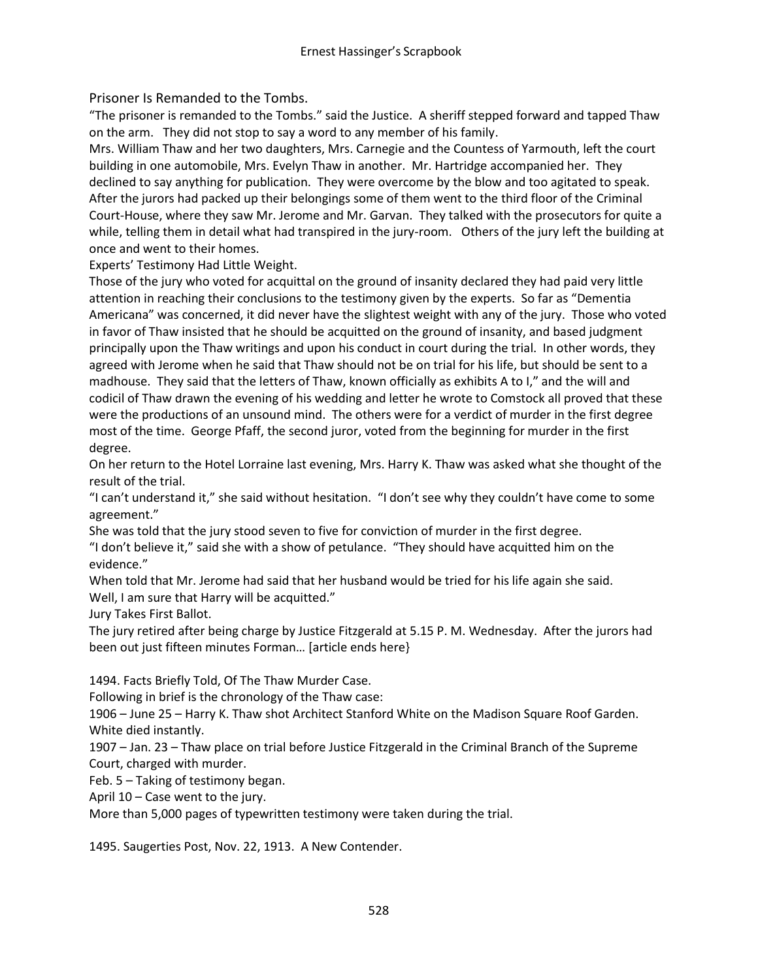Prisoner Is Remanded to the Tombs.

"The prisoner is remanded to the Tombs." said the Justice. A sheriff stepped forward and tapped Thaw on the arm. They did not stop to say a word to any member of his family.

Mrs. William Thaw and her two daughters, Mrs. Carnegie and the Countess of Yarmouth, left the court building in one automobile, Mrs. Evelyn Thaw in another. Mr. Hartridge accompanied her. They declined to say anything for publication. They were overcome by the blow and too agitated to speak. After the jurors had packed up their belongings some of them went to the third floor of the Criminal Court-House, where they saw Mr. Jerome and Mr. Garvan. They talked with the prosecutors for quite a while, telling them in detail what had transpired in the jury-room. Others of the jury left the building at once and went to their homes.

Experts' Testimony Had Little Weight.

Those of the jury who voted for acquittal on the ground of insanity declared they had paid very little attention in reaching their conclusions to the testimony given by the experts. So far as "Dementia Americana" was concerned, it did never have the slightest weight with any of the jury. Those who voted in favor of Thaw insisted that he should be acquitted on the ground of insanity, and based judgment principally upon the Thaw writings and upon his conduct in court during the trial. In other words, they agreed with Jerome when he said that Thaw should not be on trial for his life, but should be sent to a madhouse. They said that the letters of Thaw, known officially as exhibits A to I," and the will and codicil of Thaw drawn the evening of his wedding and letter he wrote to Comstock all proved that these were the productions of an unsound mind. The others were for a verdict of murder in the first degree most of the time. George Pfaff, the second juror, voted from the beginning for murder in the first degree.

On her return to the Hotel Lorraine last evening, Mrs. Harry K. Thaw was asked what she thought of the result of the trial.

"I can't understand it," she said without hesitation. "I don't see why they couldn't have come to some agreement."

She was told that the jury stood seven to five for conviction of murder in the first degree.

"I don't believe it," said she with a show of petulance. "They should have acquitted him on the evidence."

When told that Mr. Jerome had said that her husband would be tried for his life again she said. Well, I am sure that Harry will be acquitted."

Jury Takes First Ballot.

The jury retired after being charge by Justice Fitzgerald at 5.15 P. M. Wednesday. After the jurors had been out just fifteen minutes Forman… [article ends here}

1494. Facts Briefly Told, Of The Thaw Murder Case.

Following in brief is the chronology of the Thaw case:

1906 – June 25 – Harry K. Thaw shot Architect Stanford White on the Madison Square Roof Garden. White died instantly.

1907 – Jan. 23 – Thaw place on trial before Justice Fitzgerald in the Criminal Branch of the Supreme Court, charged with murder.

Feb. 5 – Taking of testimony began.

April 10 – Case went to the jury.

More than 5,000 pages of typewritten testimony were taken during the trial.

1495. Saugerties Post, Nov. 22, 1913. A New Contender.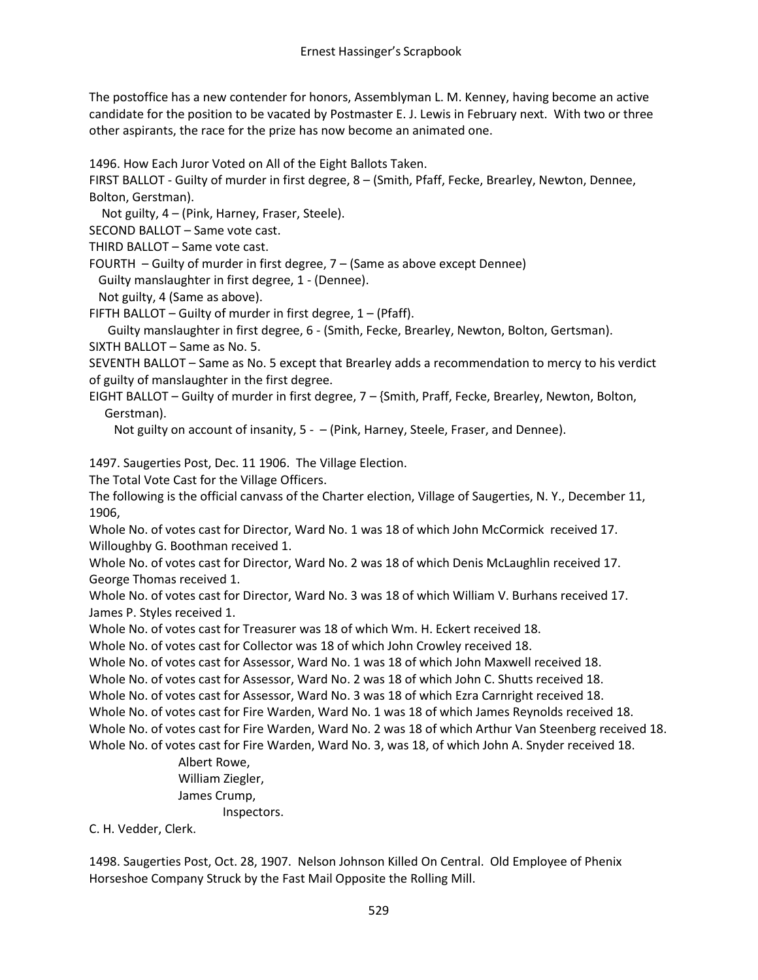The postoffice has a new contender for honors, Assemblyman L. M. Kenney, having become an active candidate for the position to be vacated by Postmaster E. J. Lewis in February next. With two or three other aspirants, the race for the prize has now become an animated one.

1496. How Each Juror Voted on All of the Eight Ballots Taken.

FIRST BALLOT - Guilty of murder in first degree, 8 – (Smith, Pfaff, Fecke, Brearley, Newton, Dennee, Bolton, Gerstman).

Not guilty, 4 – (Pink, Harney, Fraser, Steele).

SECOND BALLOT – Same vote cast.

THIRD BALLOT – Same vote cast.

FOURTH – Guilty of murder in first degree, 7 – (Same as above except Dennee)

Guilty manslaughter in first degree, 1 - (Dennee).

Not guilty, 4 (Same as above).

FIFTH BALLOT – Guilty of murder in first degree,  $1 - (Pfaff)$ .

 Guilty manslaughter in first degree, 6 - (Smith, Fecke, Brearley, Newton, Bolton, Gertsman). SIXTH BALLOT – Same as No. 5.

SEVENTH BALLOT – Same as No. 5 except that Brearley adds a recommendation to mercy to his verdict of guilty of manslaughter in the first degree.

EIGHT BALLOT – Guilty of murder in first degree, 7 – {Smith, Praff, Fecke, Brearley, Newton, Bolton, Gerstman).

Not guilty on account of insanity, 5 - - (Pink, Harney, Steele, Fraser, and Dennee).

1497. Saugerties Post, Dec. 11 1906. The Village Election.

The Total Vote Cast for the Village Officers.

The following is the official canvass of the Charter election, Village of Saugerties, N. Y., December 11, 1906,

Whole No. of votes cast for Director, Ward No. 1 was 18 of which John McCormick received 17. Willoughby G. Boothman received 1.

Whole No. of votes cast for Director, Ward No. 2 was 18 of which Denis McLaughlin received 17. George Thomas received 1.

Whole No. of votes cast for Director, Ward No. 3 was 18 of which William V. Burhans received 17. James P. Styles received 1.

Whole No. of votes cast for Treasurer was 18 of which Wm. H. Eckert received 18.

Whole No. of votes cast for Collector was 18 of which John Crowley received 18.

Whole No. of votes cast for Assessor, Ward No. 1 was 18 of which John Maxwell received 18.

Whole No. of votes cast for Assessor, Ward No. 2 was 18 of which John C. Shutts received 18.

Whole No. of votes cast for Assessor, Ward No. 3 was 18 of which Ezra Carnright received 18.

Whole No. of votes cast for Fire Warden, Ward No. 1 was 18 of which James Reynolds received 18. Whole No. of votes cast for Fire Warden, Ward No. 2 was 18 of which Arthur Van Steenberg received 18. Whole No. of votes cast for Fire Warden, Ward No. 3, was 18, of which John A. Snyder received 18.

Albert Rowe, William Ziegler, James Crump, Inspectors.

C. H. Vedder, Clerk.

1498. Saugerties Post, Oct. 28, 1907. Nelson Johnson Killed On Central. Old Employee of Phenix Horseshoe Company Struck by the Fast Mail Opposite the Rolling Mill.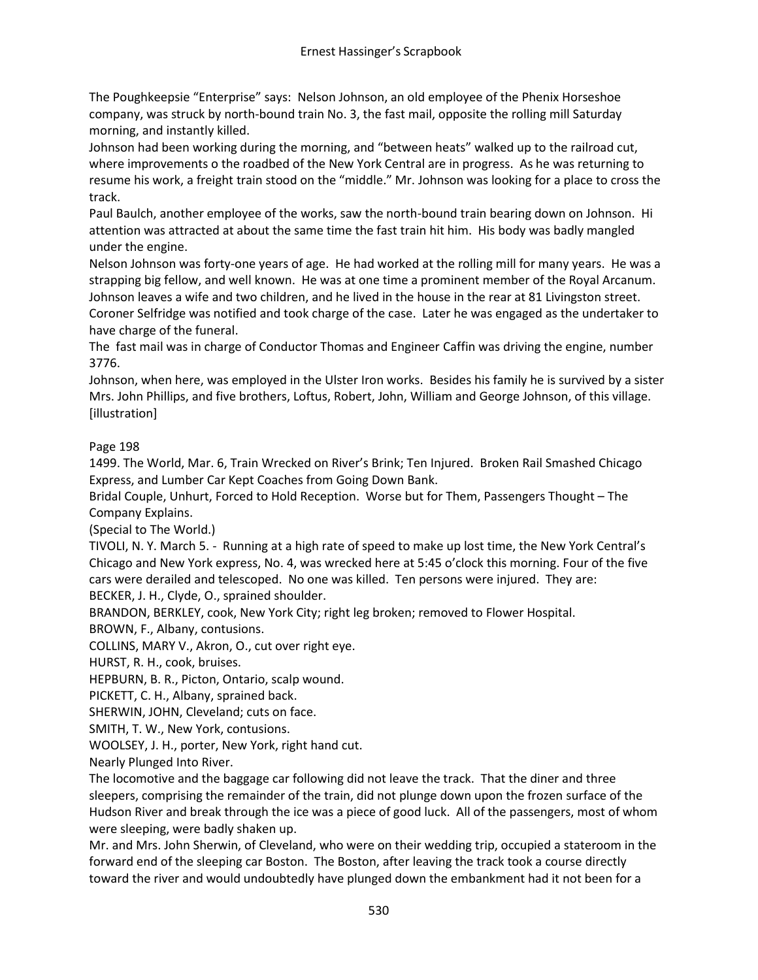The Poughkeepsie "Enterprise" says: Nelson Johnson, an old employee of the Phenix Horseshoe company, was struck by north-bound train No. 3, the fast mail, opposite the rolling mill Saturday morning, and instantly killed.

Johnson had been working during the morning, and "between heats" walked up to the railroad cut, where improvements o the roadbed of the New York Central are in progress. As he was returning to resume his work, a freight train stood on the "middle." Mr. Johnson was looking for a place to cross the track.

Paul Baulch, another employee of the works, saw the north-bound train bearing down on Johnson. Hi attention was attracted at about the same time the fast train hit him. His body was badly mangled under the engine.

Nelson Johnson was forty-one years of age. He had worked at the rolling mill for many years. He was a strapping big fellow, and well known. He was at one time a prominent member of the Royal Arcanum. Johnson leaves a wife and two children, and he lived in the house in the rear at 81 Livingston street. Coroner Selfridge was notified and took charge of the case. Later he was engaged as the undertaker to have charge of the funeral.

The fast mail was in charge of Conductor Thomas and Engineer Caffin was driving the engine, number 3776.

Johnson, when here, was employed in the Ulster Iron works. Besides his family he is survived by a sister Mrs. John Phillips, and five brothers, Loftus, Robert, John, William and George Johnson, of this village. [illustration]

# Page 198

1499. The World, Mar. 6, Train Wrecked on River's Brink; Ten Injured. Broken Rail Smashed Chicago Express, and Lumber Car Kept Coaches from Going Down Bank.

Bridal Couple, Unhurt, Forced to Hold Reception. Worse but for Them, Passengers Thought – The Company Explains.

(Special to The World.)

TIVOLI, N. Y. March 5. - Running at a high rate of speed to make up lost time, the New York Central's Chicago and New York express, No. 4, was wrecked here at 5:45 o'clock this morning. Four of the five cars were derailed and telescoped. No one was killed. Ten persons were injured. They are: BECKER, J. H., Clyde, O., sprained shoulder.

BRANDON, BERKLEY, cook, New York City; right leg broken; removed to Flower Hospital.

BROWN, F., Albany, contusions.

COLLINS, MARY V., Akron, O., cut over right eye.

HURST, R. H., cook, bruises.

HEPBURN, B. R., Picton, Ontario, scalp wound.

PICKETT, C. H., Albany, sprained back.

SHERWIN, JOHN, Cleveland; cuts on face.

SMITH, T. W., New York, contusions.

WOOLSEY, J. H., porter, New York, right hand cut.

Nearly Plunged Into River.

The locomotive and the baggage car following did not leave the track. That the diner and three sleepers, comprising the remainder of the train, did not plunge down upon the frozen surface of the Hudson River and break through the ice was a piece of good luck. All of the passengers, most of whom were sleeping, were badly shaken up.

Mr. and Mrs. John Sherwin, of Cleveland, who were on their wedding trip, occupied a stateroom in the forward end of the sleeping car Boston. The Boston, after leaving the track took a course directly toward the river and would undoubtedly have plunged down the embankment had it not been for a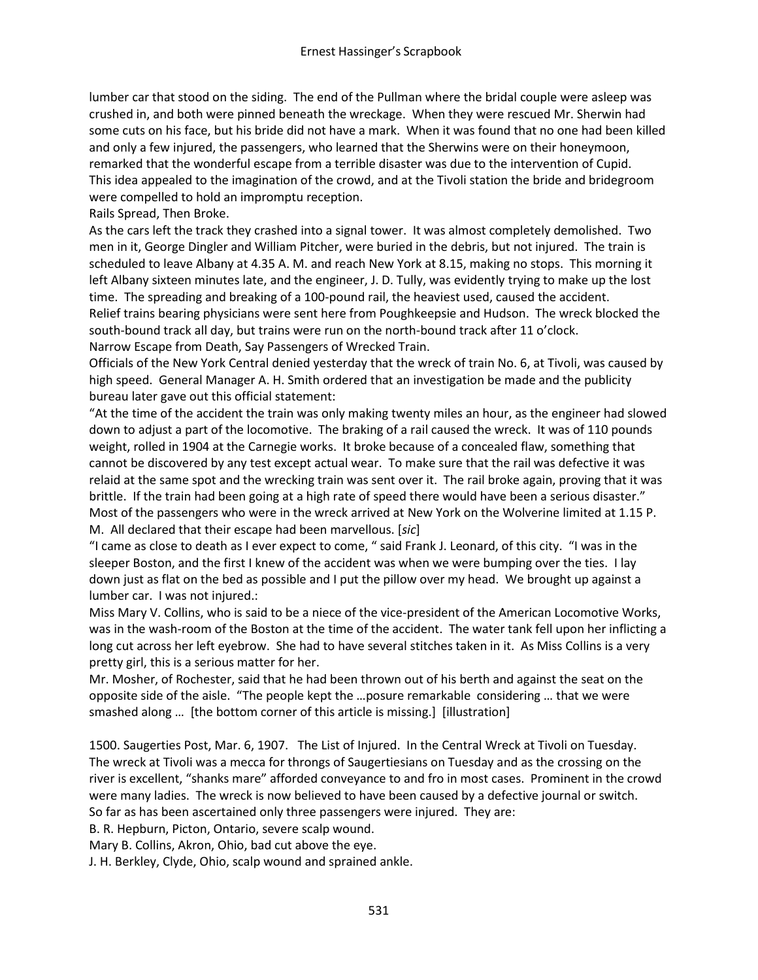lumber car that stood on the siding. The end of the Pullman where the bridal couple were asleep was crushed in, and both were pinned beneath the wreckage. When they were rescued Mr. Sherwin had some cuts on his face, but his bride did not have a mark. When it was found that no one had been killed and only a few injured, the passengers, who learned that the Sherwins were on their honeymoon, remarked that the wonderful escape from a terrible disaster was due to the intervention of Cupid. This idea appealed to the imagination of the crowd, and at the Tivoli station the bride and bridegroom were compelled to hold an impromptu reception.

Rails Spread, Then Broke.

As the cars left the track they crashed into a signal tower. It was almost completely demolished. Two men in it, George Dingler and William Pitcher, were buried in the debris, but not injured. The train is scheduled to leave Albany at 4.35 A. M. and reach New York at 8.15, making no stops. This morning it left Albany sixteen minutes late, and the engineer, J. D. Tully, was evidently trying to make up the lost time. The spreading and breaking of a 100-pound rail, the heaviest used, caused the accident. Relief trains bearing physicians were sent here from Poughkeepsie and Hudson. The wreck blocked the south-bound track all day, but trains were run on the north-bound track after 11 o'clock. Narrow Escape from Death, Say Passengers of Wrecked Train.

Officials of the New York Central denied yesterday that the wreck of train No. 6, at Tivoli, was caused by high speed. General Manager A. H. Smith ordered that an investigation be made and the publicity bureau later gave out this official statement:

"At the time of the accident the train was only making twenty miles an hour, as the engineer had slowed down to adjust a part of the locomotive. The braking of a rail caused the wreck. It was of 110 pounds weight, rolled in 1904 at the Carnegie works. It broke because of a concealed flaw, something that cannot be discovered by any test except actual wear. To make sure that the rail was defective it was relaid at the same spot and the wrecking train was sent over it. The rail broke again, proving that it was brittle. If the train had been going at a high rate of speed there would have been a serious disaster." Most of the passengers who were in the wreck arrived at New York on the Wolverine limited at 1.15 P. M. All declared that their escape had been marvellous. [*sic*]

"I came as close to death as I ever expect to come, " said Frank J. Leonard, of this city. "I was in the sleeper Boston, and the first I knew of the accident was when we were bumping over the ties. I lay down just as flat on the bed as possible and I put the pillow over my head. We brought up against a lumber car. I was not injured.:

Miss Mary V. Collins, who is said to be a niece of the vice-president of the American Locomotive Works, was in the wash-room of the Boston at the time of the accident. The water tank fell upon her inflicting a long cut across her left eyebrow. She had to have several stitches taken in it. As Miss Collins is a very pretty girl, this is a serious matter for her.

Mr. Mosher, of Rochester, said that he had been thrown out of his berth and against the seat on the opposite side of the aisle. "The people kept the …posure remarkable considering … that we were smashed along … [the bottom corner of this article is missing.] [illustration]

1500. Saugerties Post, Mar. 6, 1907. The List of Injured. In the Central Wreck at Tivoli on Tuesday. The wreck at Tivoli was a mecca for throngs of Saugertiesians on Tuesday and as the crossing on the river is excellent, "shanks mare" afforded conveyance to and fro in most cases. Prominent in the crowd were many ladies. The wreck is now believed to have been caused by a defective journal or switch. So far as has been ascertained only three passengers were injured. They are:

B. R. Hepburn, Picton, Ontario, severe scalp wound.

Mary B. Collins, Akron, Ohio, bad cut above the eye.

J. H. Berkley, Clyde, Ohio, scalp wound and sprained ankle.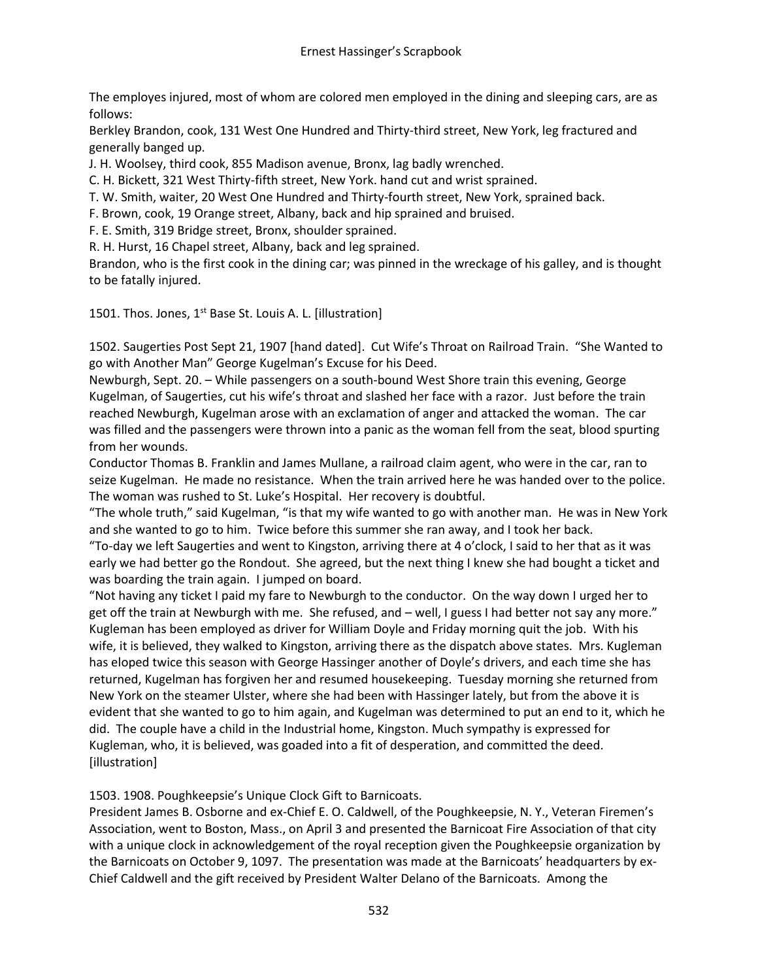The employes injured, most of whom are colored men employed in the dining and sleeping cars, are as follows:

Berkley Brandon, cook, 131 West One Hundred and Thirty-third street, New York, leg fractured and generally banged up.

J. H. Woolsey, third cook, 855 Madison avenue, Bronx, lag badly wrenched.

C. H. Bickett, 321 West Thirty-fifth street, New York. hand cut and wrist sprained.

T. W. Smith, waiter, 20 West One Hundred and Thirty-fourth street, New York, sprained back.

F. Brown, cook, 19 Orange street, Albany, back and hip sprained and bruised.

F. E. Smith, 319 Bridge street, Bronx, shoulder sprained.

R. H. Hurst, 16 Chapel street, Albany, back and leg sprained.

Brandon, who is the first cook in the dining car; was pinned in the wreckage of his galley, and is thought to be fatally injured.

1501. Thos. Jones, 1<sup>st</sup> Base St. Louis A. L. [illustration]

1502. Saugerties Post Sept 21, 1907 [hand dated]. Cut Wife's Throat on Railroad Train. "She Wanted to go with Another Man" George Kugelman's Excuse for his Deed.

Newburgh, Sept. 20. – While passengers on a south-bound West Shore train this evening, George Kugelman, of Saugerties, cut his wife's throat and slashed her face with a razor. Just before the train reached Newburgh, Kugelman arose with an exclamation of anger and attacked the woman. The car was filled and the passengers were thrown into a panic as the woman fell from the seat, blood spurting from her wounds.

Conductor Thomas B. Franklin and James Mullane, a railroad claim agent, who were in the car, ran to seize Kugelman. He made no resistance. When the train arrived here he was handed over to the police. The woman was rushed to St. Luke's Hospital. Her recovery is doubtful.

"The whole truth," said Kugelman, "is that my wife wanted to go with another man. He was in New York and she wanted to go to him. Twice before this summer she ran away, and I took her back.

"To-day we left Saugerties and went to Kingston, arriving there at 4 o'clock, I said to her that as it was early we had better go the Rondout. She agreed, but the next thing I knew she had bought a ticket and was boarding the train again. I jumped on board.

"Not having any ticket I paid my fare to Newburgh to the conductor. On the way down I urged her to get off the train at Newburgh with me. She refused, and – well, I guess I had better not say any more." Kugleman has been employed as driver for William Doyle and Friday morning quit the job. With his wife, it is believed, they walked to Kingston, arriving there as the dispatch above states. Mrs. Kugleman has eloped twice this season with George Hassinger another of Doyle's drivers, and each time she has returned, Kugelman has forgiven her and resumed housekeeping. Tuesday morning she returned from New York on the steamer Ulster, where she had been with Hassinger lately, but from the above it is evident that she wanted to go to him again, and Kugelman was determined to put an end to it, which he did. The couple have a child in the Industrial home, Kingston. Much sympathy is expressed for Kugleman, who, it is believed, was goaded into a fit of desperation, and committed the deed. [illustration]

1503. 1908. Poughkeepsie's Unique Clock Gift to Barnicoats.

President James B. Osborne and ex-Chief E. O. Caldwell, of the Poughkeepsie, N. Y., Veteran Firemen's Association, went to Boston, Mass., on April 3 and presented the Barnicoat Fire Association of that city with a unique clock in acknowledgement of the royal reception given the Poughkeepsie organization by the Barnicoats on October 9, 1097. The presentation was made at the Barnicoats' headquarters by ex-Chief Caldwell and the gift received by President Walter Delano of the Barnicoats. Among the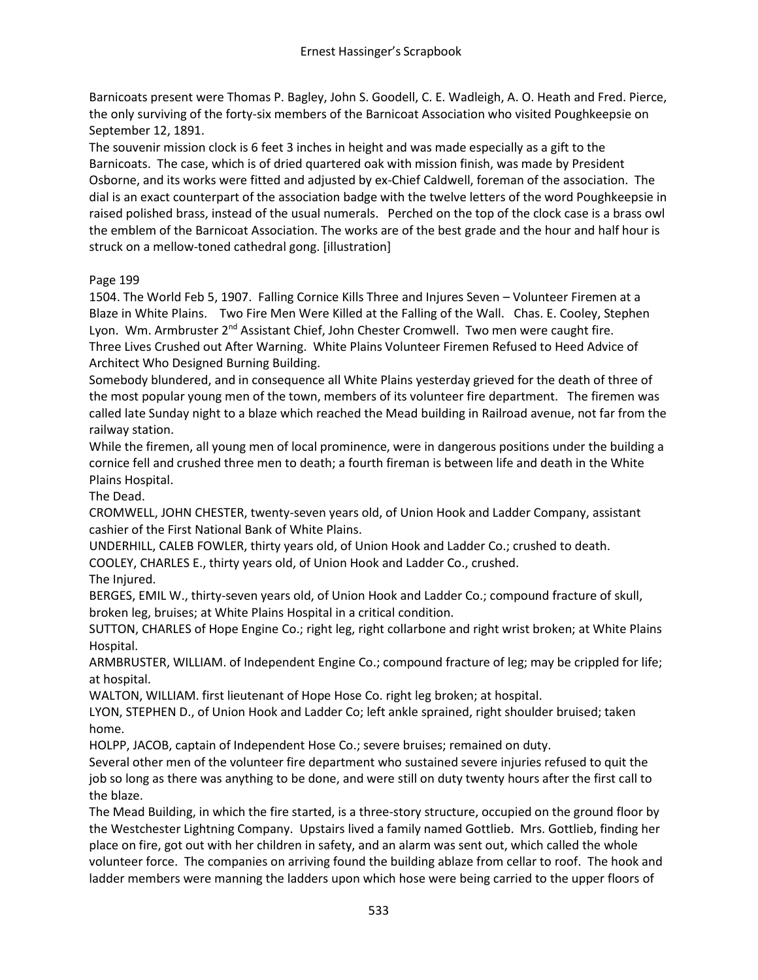Barnicoats present were Thomas P. Bagley, John S. Goodell, C. E. Wadleigh, A. O. Heath and Fred. Pierce, the only surviving of the forty-six members of the Barnicoat Association who visited Poughkeepsie on September 12, 1891.

The souvenir mission clock is 6 feet 3 inches in height and was made especially as a gift to the Barnicoats. The case, which is of dried quartered oak with mission finish, was made by President Osborne, and its works were fitted and adjusted by ex-Chief Caldwell, foreman of the association. The dial is an exact counterpart of the association badge with the twelve letters of the word Poughkeepsie in raised polished brass, instead of the usual numerals. Perched on the top of the clock case is a brass owl the emblem of the Barnicoat Association. The works are of the best grade and the hour and half hour is struck on a mellow-toned cathedral gong. [illustration]

## Page 199

1504. The World Feb 5, 1907. Falling Cornice Kills Three and Injures Seven – Volunteer Firemen at a Blaze in White Plains. Two Fire Men Were Killed at the Falling of the Wall. Chas. E. Cooley, Stephen Lyon. Wm. Armbruster 2<sup>nd</sup> Assistant Chief, John Chester Cromwell. Two men were caught fire. Three Lives Crushed out After Warning. White Plains Volunteer Firemen Refused to Heed Advice of Architect Who Designed Burning Building.

Somebody blundered, and in consequence all White Plains yesterday grieved for the death of three of the most popular young men of the town, members of its volunteer fire department. The firemen was called late Sunday night to a blaze which reached the Mead building in Railroad avenue, not far from the railway station.

While the firemen, all young men of local prominence, were in dangerous positions under the building a cornice fell and crushed three men to death; a fourth fireman is between life and death in the White Plains Hospital.

The Dead.

CROMWELL, JOHN CHESTER, twenty-seven years old, of Union Hook and Ladder Company, assistant cashier of the First National Bank of White Plains.

UNDERHILL, CALEB FOWLER, thirty years old, of Union Hook and Ladder Co.; crushed to death. COOLEY, CHARLES E., thirty years old, of Union Hook and Ladder Co., crushed.

The Injured.

BERGES, EMIL W., thirty-seven years old, of Union Hook and Ladder Co.; compound fracture of skull, broken leg, bruises; at White Plains Hospital in a critical condition.

SUTTON, CHARLES of Hope Engine Co.; right leg, right collarbone and right wrist broken; at White Plains Hospital.

ARMBRUSTER, WILLIAM. of Independent Engine Co.; compound fracture of leg; may be crippled for life; at hospital.

WALTON, WILLIAM. first lieutenant of Hope Hose Co. right leg broken; at hospital.

LYON, STEPHEN D., of Union Hook and Ladder Co; left ankle sprained, right shoulder bruised; taken home.

HOLPP, JACOB, captain of Independent Hose Co.; severe bruises; remained on duty.

Several other men of the volunteer fire department who sustained severe injuries refused to quit the job so long as there was anything to be done, and were still on duty twenty hours after the first call to the blaze.

The Mead Building, in which the fire started, is a three-story structure, occupied on the ground floor by the Westchester Lightning Company. Upstairs lived a family named Gottlieb. Mrs. Gottlieb, finding her place on fire, got out with her children in safety, and an alarm was sent out, which called the whole volunteer force. The companies on arriving found the building ablaze from cellar to roof. The hook and ladder members were manning the ladders upon which hose were being carried to the upper floors of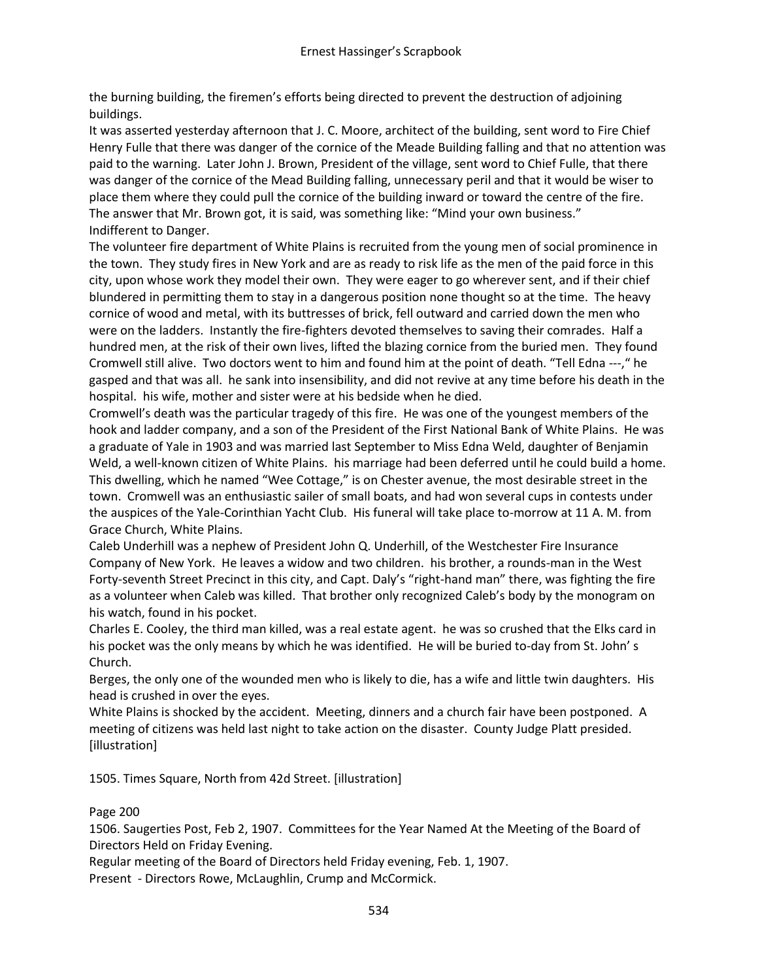the burning building, the firemen's efforts being directed to prevent the destruction of adjoining buildings.

It was asserted yesterday afternoon that J. C. Moore, architect of the building, sent word to Fire Chief Henry Fulle that there was danger of the cornice of the Meade Building falling and that no attention was paid to the warning. Later John J. Brown, President of the village, sent word to Chief Fulle, that there was danger of the cornice of the Mead Building falling, unnecessary peril and that it would be wiser to place them where they could pull the cornice of the building inward or toward the centre of the fire. The answer that Mr. Brown got, it is said, was something like: "Mind your own business." Indifferent to Danger.

The volunteer fire department of White Plains is recruited from the young men of social prominence in the town. They study fires in New York and are as ready to risk life as the men of the paid force in this city, upon whose work they model their own. They were eager to go wherever sent, and if their chief blundered in permitting them to stay in a dangerous position none thought so at the time. The heavy cornice of wood and metal, with its buttresses of brick, fell outward and carried down the men who were on the ladders. Instantly the fire-fighters devoted themselves to saving their comrades. Half a hundred men, at the risk of their own lives, lifted the blazing cornice from the buried men. They found Cromwell still alive. Two doctors went to him and found him at the point of death. "Tell Edna ---," he gasped and that was all. he sank into insensibility, and did not revive at any time before his death in the hospital. his wife, mother and sister were at his bedside when he died.

Cromwell's death was the particular tragedy of this fire. He was one of the youngest members of the hook and ladder company, and a son of the President of the First National Bank of White Plains. He was a graduate of Yale in 1903 and was married last September to Miss Edna Weld, daughter of Benjamin Weld, a well-known citizen of White Plains. his marriage had been deferred until he could build a home. This dwelling, which he named "Wee Cottage," is on Chester avenue, the most desirable street in the town. Cromwell was an enthusiastic sailer of small boats, and had won several cups in contests under the auspices of the Yale-Corinthian Yacht Club. His funeral will take place to-morrow at 11 A. M. from Grace Church, White Plains.

Caleb Underhill was a nephew of President John Q. Underhill, of the Westchester Fire Insurance Company of New York. He leaves a widow and two children. his brother, a rounds-man in the West Forty-seventh Street Precinct in this city, and Capt. Daly's "right-hand man" there, was fighting the fire as a volunteer when Caleb was killed. That brother only recognized Caleb's body by the monogram on his watch, found in his pocket.

Charles E. Cooley, the third man killed, was a real estate agent. he was so crushed that the Elks card in his pocket was the only means by which he was identified. He will be buried to-day from St. John' s Church.

Berges, the only one of the wounded men who is likely to die, has a wife and little twin daughters. His head is crushed in over the eyes.

White Plains is shocked by the accident. Meeting, dinners and a church fair have been postponed. A meeting of citizens was held last night to take action on the disaster. County Judge Platt presided. [illustration]

1505. Times Square, North from 42d Street. [illustration]

#### Page 200

1506. Saugerties Post, Feb 2, 1907. Committees for the Year Named At the Meeting of the Board of Directors Held on Friday Evening.

Regular meeting of the Board of Directors held Friday evening, Feb. 1, 1907.

Present - Directors Rowe, McLaughlin, Crump and McCormick.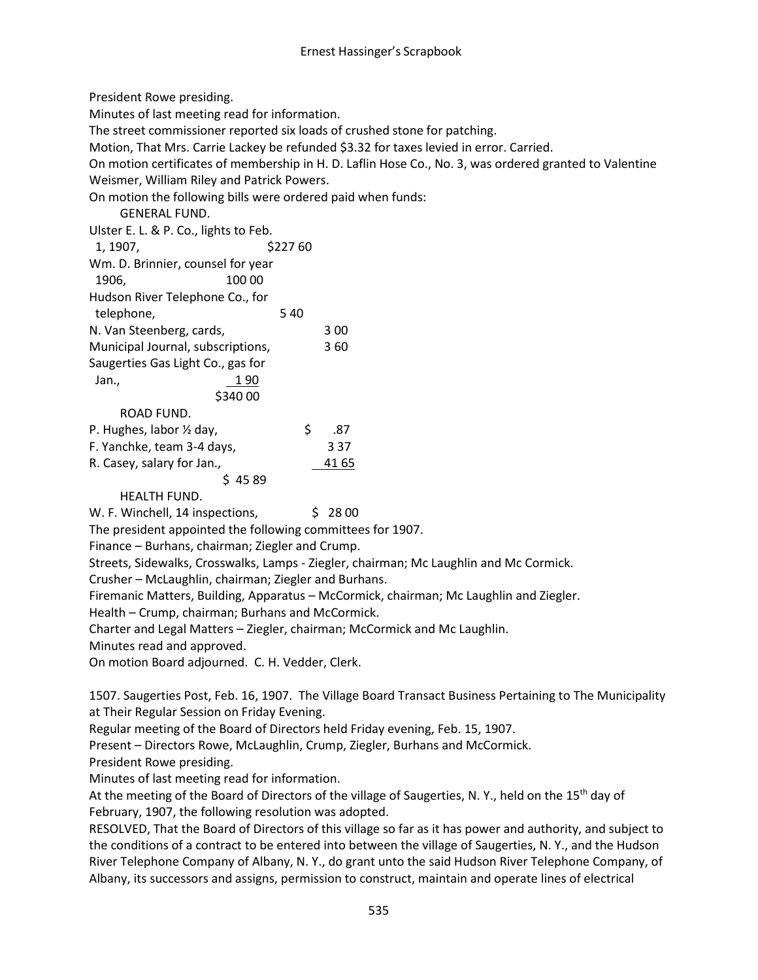President Rowe presiding.

Minutes of last meeting read for information.

The street commissioner reported six loads of crushed stone for patching.

Motion, That Mrs. Carrie Lackey be refunded \$3.32 for taxes levied in error. Carried.

On motion certificates of membership in H. D. Laflin Hose Co., No. 3, was ordered granted to Valentine Weismer, William Riley and Patrick Powers.

On motion the following bills were ordered paid when funds:

GENERAL FUND.

Ulster E. L. & P. Co., lights to Feb.

| 1, 1907,                          | \$22760 |       |
|-----------------------------------|---------|-------|
| Wm. D. Brinnier, counsel for year |         |       |
| 1906.<br>100 00                   |         |       |
| Hudson River Telephone Co., for   |         |       |
| telephone,                        | 540     |       |
| N. Van Steenberg, cards,          |         | 3 00  |
| Municipal Journal, subscriptions, |         | 360   |
| Saugerties Gas Light Co., gas for |         |       |
| Jan.,<br>1 90                     |         |       |
| \$340 00                          |         |       |
| ROAD FUND.                        |         |       |
| P. Hughes, labor 1/2 day,         | \$      | .87   |
| F. Yanchke, team 3-4 days,        |         | 3 3 7 |
| R. Casey, salary for Jan.,        |         | 41 65 |

 $$4589$ 

HEALTH FUND.

W. F. Winchell, 14 inspections,  $\frac{1}{5}$  28 00

The president appointed the following committees for 1907.

Finance – Burhans, chairman; Ziegler and Crump.

Streets, Sidewalks, Crosswalks, Lamps - Ziegler, chairman; Mc Laughlin and Mc Cormick.

Crusher – McLaughlin, chairman; Ziegler and Burhans.

Firemanic Matters, Building, Apparatus – McCormick, chairman; Mc Laughlin and Ziegler.

Health – Crump, chairman; Burhans and McCormick.

Charter and Legal Matters – Ziegler, chairman; McCormick and Mc Laughlin.

Minutes read and approved.

On motion Board adjourned. C. H. Vedder, Clerk.

1507. Saugerties Post, Feb. 16, 1907. The Village Board Transact Business Pertaining to The Municipality at Their Regular Session on Friday Evening.

Regular meeting of the Board of Directors held Friday evening, Feb. 15, 1907.

Present – Directors Rowe, McLaughlin, Crump, Ziegler, Burhans and McCormick.

President Rowe presiding.

Minutes of last meeting read for information.

At the meeting of the Board of Directors of the village of Saugerties, N. Y., held on the 15<sup>th</sup> day of February, 1907, the following resolution was adopted.

RESOLVED, That the Board of Directors of this village so far as it has power and authority, and subject to the conditions of a contract to be entered into between the village of Saugerties, N. Y., and the Hudson River Telephone Company of Albany, N. Y., do grant unto the said Hudson River Telephone Company, of Albany, its successors and assigns, permission to construct, maintain and operate lines of electrical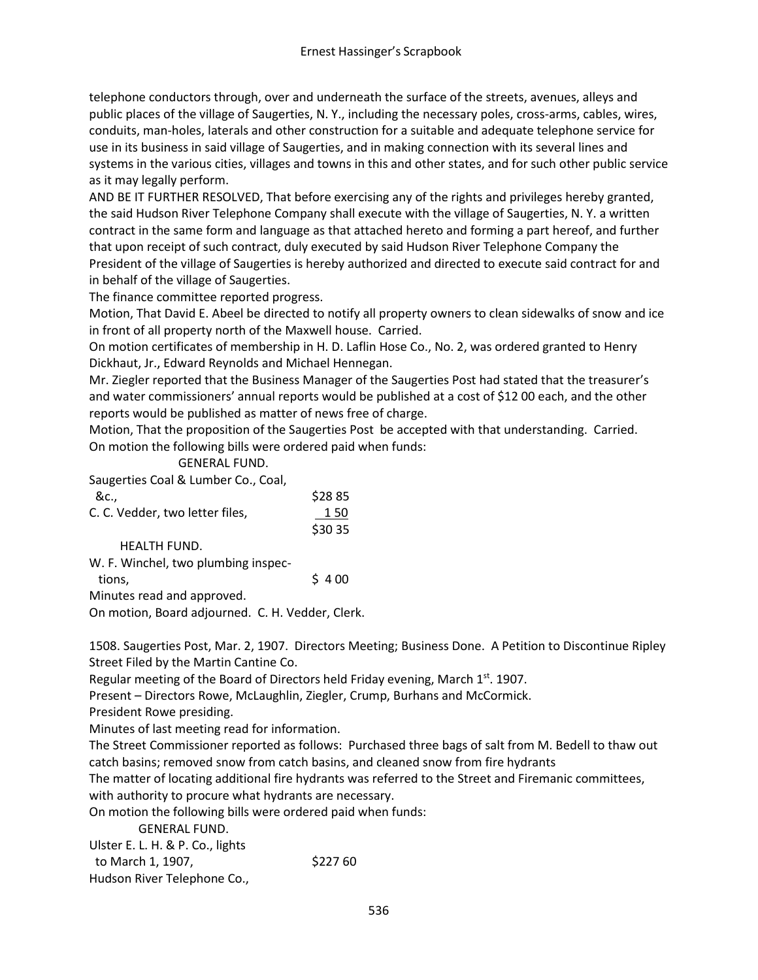telephone conductors through, over and underneath the surface of the streets, avenues, alleys and public places of the village of Saugerties, N. Y., including the necessary poles, cross-arms, cables, wires, conduits, man-holes, laterals and other construction for a suitable and adequate telephone service for use in its business in said village of Saugerties, and in making connection with its several lines and systems in the various cities, villages and towns in this and other states, and for such other public service as it may legally perform.

AND BE IT FURTHER RESOLVED, That before exercising any of the rights and privileges hereby granted, the said Hudson River Telephone Company shall execute with the village of Saugerties, N. Y. a written contract in the same form and language as that attached hereto and forming a part hereof, and further that upon receipt of such contract, duly executed by said Hudson River Telephone Company the President of the village of Saugerties is hereby authorized and directed to execute said contract for and in behalf of the village of Saugerties.

The finance committee reported progress.

Motion, That David E. Abeel be directed to notify all property owners to clean sidewalks of snow and ice in front of all property north of the Maxwell house. Carried.

On motion certificates of membership in H. D. Laflin Hose Co., No. 2, was ordered granted to Henry Dickhaut, Jr., Edward Reynolds and Michael Hennegan.

Mr. Ziegler reported that the Business Manager of the Saugerties Post had stated that the treasurer's and water commissioners' annual reports would be published at a cost of \$12 00 each, and the other reports would be published as matter of news free of charge.

Motion, That the proposition of the Saugerties Post be accepted with that understanding. Carried. On motion the following bills were ordered paid when funds:

GENERAL FUND.

Saugerties Coal & Lumber Co., Coal,

| -&c                             | \$2885  |
|---------------------------------|---------|
| C. C. Vedder, two letter files, | 150     |
|                                 | \$30 35 |

HEALTH FUND.

W. F. Winchel, two plumbing inspec-

tions,  $\frac{1}{5}$  4 00

Minutes read and approved.

On motion, Board adjourned. C. H. Vedder, Clerk.

1508. Saugerties Post, Mar. 2, 1907. Directors Meeting; Business Done. A Petition to Discontinue Ripley Street Filed by the Martin Cantine Co.

Regular meeting of the Board of Directors held Friday evening, March  $1<sup>st</sup>$ . 1907.

Present – Directors Rowe, McLaughlin, Ziegler, Crump, Burhans and McCormick.

President Rowe presiding.

Minutes of last meeting read for information.

The Street Commissioner reported as follows: Purchased three bags of salt from M. Bedell to thaw out catch basins; removed snow from catch basins, and cleaned snow from fire hydrants

The matter of locating additional fire hydrants was referred to the Street and Firemanic committees, with authority to procure what hydrants are necessary.

On motion the following bills were ordered paid when funds:

GENERAL FUND.

Ulster E. L. H. & P. Co., lights to March 1, 1907, \$227 60

Hudson River Telephone Co.,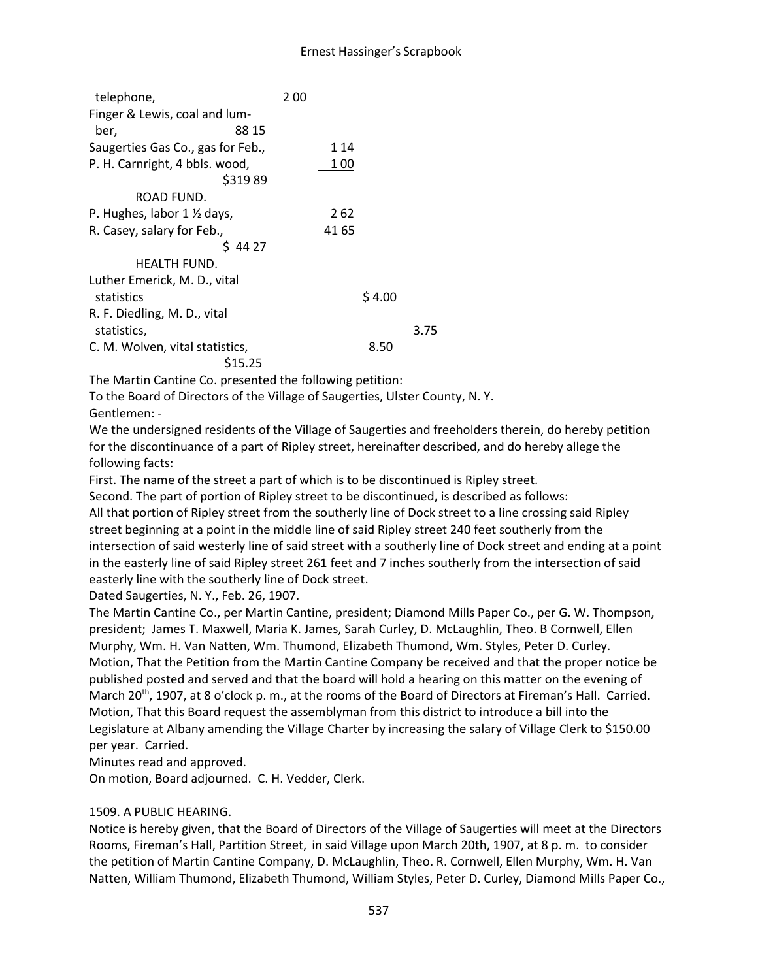## Ernest Hassinger's Scrapbook

| telephone,                                  | 200    |
|---------------------------------------------|--------|
| Finger & Lewis, coal and lum-               |        |
| 88 15<br>ber,                               |        |
| Saugerties Gas Co., gas for Feb.,           | 1 14   |
| P. H. Carnright, 4 bbls. wood,<br>\$31989   | 1 00   |
| ROAD FUND.                                  |        |
| P. Hughes, labor $1 \frac{1}{2}$ days,      | 2 62   |
| R. Casey, salary for Feb.,                  | 41 65  |
| \$4427                                      |        |
| <b>HEALTH FUND.</b>                         |        |
| Luther Emerick, M. D., vital                |        |
| statistics                                  | \$4.00 |
| R. F. Diedling, M. D., vital<br>statistics, | 3.75   |
| C. M. Wolven, vital statistics,<br>S15.25   | 8.50   |

The Martin Cantine Co. presented the following petition:

To the Board of Directors of the Village of Saugerties, Ulster County, N. Y. Gentlemen: -

We the undersigned residents of the Village of Saugerties and freeholders therein, do hereby petition for the discontinuance of a part of Ripley street, hereinafter described, and do hereby allege the following facts:

First. The name of the street a part of which is to be discontinued is Ripley street.

Second. The part of portion of Ripley street to be discontinued, is described as follows:

All that portion of Ripley street from the southerly line of Dock street to a line crossing said Ripley street beginning at a point in the middle line of said Ripley street 240 feet southerly from the intersection of said westerly line of said street with a southerly line of Dock street and ending at a point in the easterly line of said Ripley street 261 feet and 7 inches southerly from the intersection of said easterly line with the southerly line of Dock street.

Dated Saugerties, N. Y., Feb. 26, 1907.

The Martin Cantine Co., per Martin Cantine, president; Diamond Mills Paper Co., per G. W. Thompson, president; James T. Maxwell, Maria K. James, Sarah Curley, D. McLaughlin, Theo. B Cornwell, Ellen Murphy, Wm. H. Van Natten, Wm. Thumond, Elizabeth Thumond, Wm. Styles, Peter D. Curley. Motion, That the Petition from the Martin Cantine Company be received and that the proper notice be published posted and served and that the board will hold a hearing on this matter on the evening of March 20<sup>th</sup>, 1907, at 8 o'clock p. m., at the rooms of the Board of Directors at Fireman's Hall. Carried. Motion, That this Board request the assemblyman from this district to introduce a bill into the Legislature at Albany amending the Village Charter by increasing the salary of Village Clerk to \$150.00 per year. Carried.

Minutes read and approved.

On motion, Board adjourned. C. H. Vedder, Clerk.

#### 1509. A PUBLIC HEARING.

Notice is hereby given, that the Board of Directors of the Village of Saugerties will meet at the Directors Rooms, Fireman's Hall, Partition Street, in said Village upon March 20th, 1907, at 8 p. m. to consider the petition of Martin Cantine Company, D. McLaughlin, Theo. R. Cornwell, Ellen Murphy, Wm. H. Van Natten, William Thumond, Elizabeth Thumond, William Styles, Peter D. Curley, Diamond Mills Paper Co.,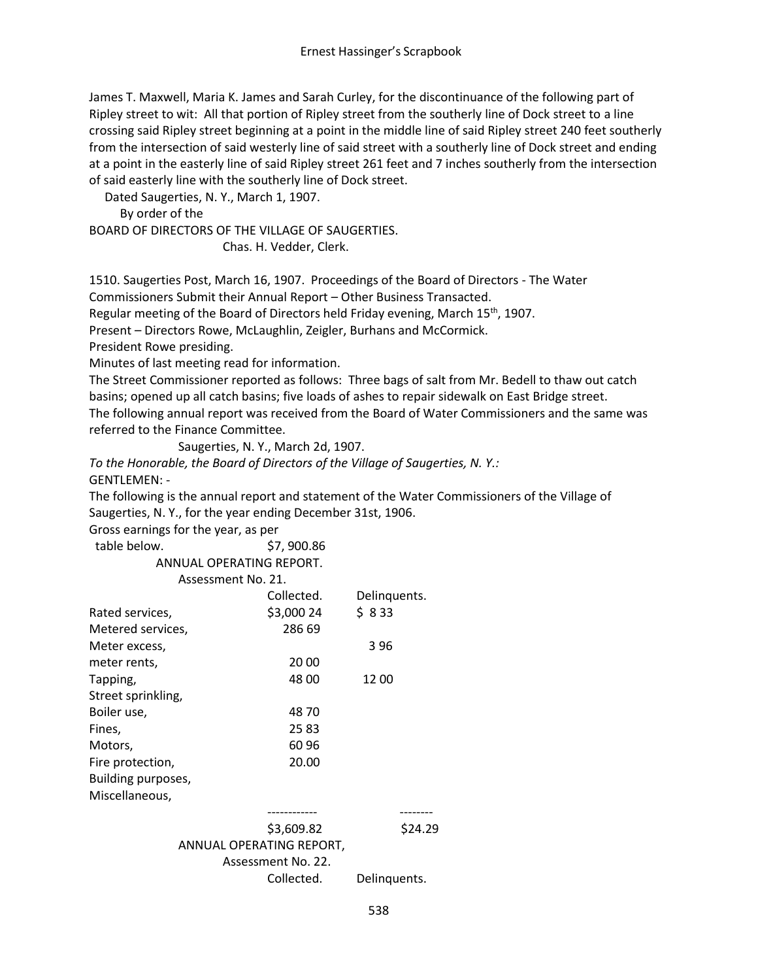James T. Maxwell, Maria K. James and Sarah Curley, for the discontinuance of the following part of Ripley street to wit: All that portion of Ripley street from the southerly line of Dock street to a line crossing said Ripley street beginning at a point in the middle line of said Ripley street 240 feet southerly from the intersection of said westerly line of said street with a southerly line of Dock street and ending at a point in the easterly line of said Ripley street 261 feet and 7 inches southerly from the intersection of said easterly line with the southerly line of Dock street.

Dated Saugerties, N. Y., March 1, 1907.

By order of the

BOARD OF DIRECTORS OF THE VILLAGE OF SAUGERTIES.

Chas. H. Vedder, Clerk.

1510. Saugerties Post, March 16, 1907. Proceedings of the Board of Directors - The Water Commissioners Submit their Annual Report – Other Business Transacted.

Regular meeting of the Board of Directors held Friday evening, March 15<sup>th</sup>, 1907.

Present – Directors Rowe, McLaughlin, Zeigler, Burhans and McCormick.

President Rowe presiding.

Minutes of last meeting read for information.

The Street Commissioner reported as follows: Three bags of salt from Mr. Bedell to thaw out catch basins; opened up all catch basins; five loads of ashes to repair sidewalk on East Bridge street. The following annual report was received from the Board of Water Commissioners and the same was referred to the Finance Committee.

```
Saugerties, N. Y., March 2d, 1907.
```
*To the Honorable, the Board of Directors of the Village of Saugerties, N. Y.:* GENTLEMEN: -

The following is the annual report and statement of the Water Commissioners of the Village of Saugerties, N. Y., for the year ending December 31st, 1906.

Gross earnings for the year, as per

table below. \$7, 900.86

ANNUAL OPERATING REPORT.

#### Assessment No. 21.

|                    | ASSESSMENT NO. ZT. |              |
|--------------------|--------------------|--------------|
|                    | Collected.         | Delinquents. |
| Rated services,    | \$3,000 24         | \$833        |
| Metered services,  | 286 69             |              |
| Meter excess,      |                    | 396          |
| meter rents,       | 20 00              |              |
| Tapping,           | 48 00              | 12 00        |
| Street sprinkling, |                    |              |
| Boiler use,        | 48 70              |              |
| Fines,             | 2583               |              |
| Motors,            | 60 96              |              |
| Fire protection,   | 20.00              |              |
| Building purposes, |                    |              |
| Miscellaneous,     |                    |              |
|                    |                    |              |
|                    | \$3,609.82         | 29           |
|                    |                    |              |

ANNUAL OPERATING REPORT, Assessment No. 22. Collected. Delinquents.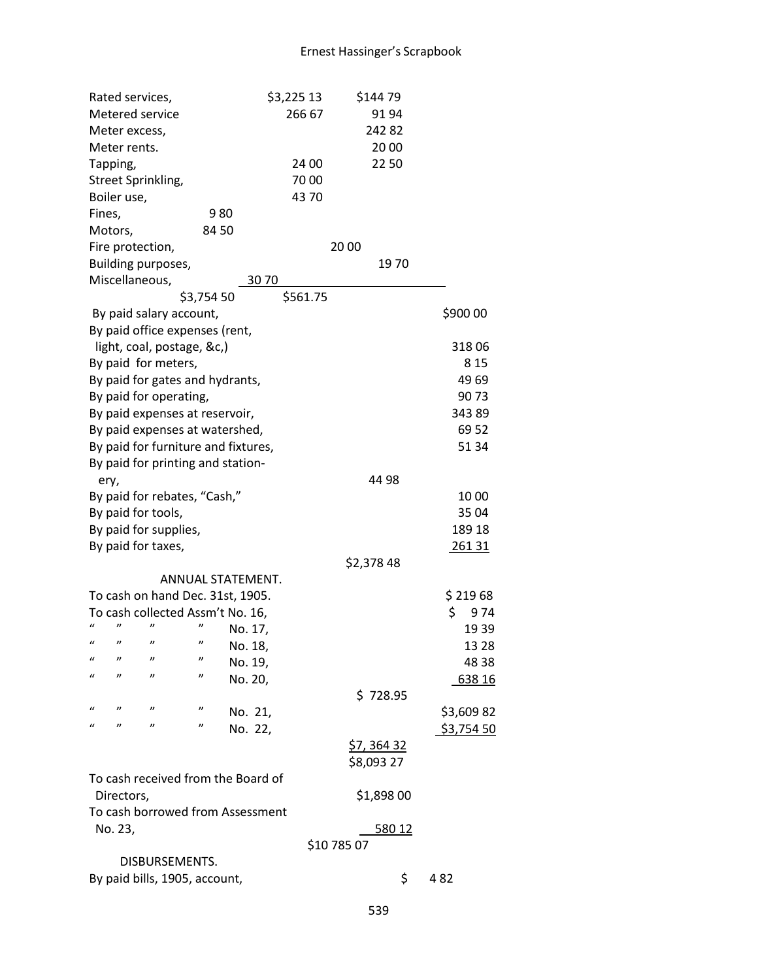|                                                                       | Rated services,     |                                   |                   |                   | \$3,225 13 |             | \$144 79   |            |  |
|-----------------------------------------------------------------------|---------------------|-----------------------------------|-------------------|-------------------|------------|-------------|------------|------------|--|
|                                                                       | Metered service     |                                   |                   |                   | 266 67     |             | 91 94      |            |  |
|                                                                       | Meter excess,       |                                   |                   |                   |            |             | 24282      |            |  |
|                                                                       | Meter rents.        |                                   |                   |                   |            |             | 20 00      |            |  |
|                                                                       | Tapping,            |                                   |                   |                   | 24 00      |             | 22 50      |            |  |
|                                                                       | Street Sprinkling,  |                                   |                   |                   | 7000       |             |            |            |  |
|                                                                       | Boiler use,         |                                   |                   |                   | 4370       |             |            |            |  |
| Fines,                                                                |                     |                                   | 980               |                   |            |             |            |            |  |
|                                                                       | Motors,             |                                   | 8450              |                   |            |             |            |            |  |
|                                                                       | Fire protection,    |                                   |                   |                   |            | 20 00       |            |            |  |
|                                                                       |                     | Building purposes,                |                   |                   |            |             | 1970       |            |  |
|                                                                       | Miscellaneous,      |                                   |                   | 3070              |            |             |            |            |  |
|                                                                       |                     |                                   | \$3,754 50        |                   | \$561.75   |             |            |            |  |
|                                                                       |                     | By paid salary account,           |                   |                   |            |             |            | \$900 00   |  |
|                                                                       |                     | By paid office expenses (rent,    |                   |                   |            |             |            |            |  |
|                                                                       |                     | light, coal, postage, &c,)        |                   |                   |            |             |            | 31806      |  |
|                                                                       |                     | By paid for meters,               |                   |                   |            |             |            | 8 1 5      |  |
|                                                                       |                     | By paid for gates and hydrants,   |                   |                   |            |             |            | 4969       |  |
|                                                                       |                     | By paid for operating,            |                   |                   |            |             |            | 9073       |  |
|                                                                       |                     | By paid expenses at reservoir,    |                   |                   |            |             |            | 34389      |  |
|                                                                       |                     |                                   |                   |                   |            |             |            | 69 52      |  |
| By paid expenses at watershed,<br>By paid for furniture and fixtures, |                     |                                   |                   |                   |            | 51 34       |            |            |  |
|                                                                       |                     | By paid for printing and station- |                   |                   |            |             |            |            |  |
| ery,                                                                  |                     |                                   |                   |                   |            |             | 44 98      |            |  |
|                                                                       |                     | By paid for rebates, "Cash,"      |                   |                   |            |             |            | 10 00      |  |
|                                                                       | By paid for tools,  |                                   |                   |                   |            |             |            | 35 04      |  |
|                                                                       |                     | By paid for supplies,             |                   |                   |            |             |            | 189 18     |  |
|                                                                       |                     | By paid for taxes,                |                   |                   |            |             |            | 261 31     |  |
|                                                                       |                     |                                   |                   |                   |            |             | \$2,378 48 |            |  |
|                                                                       |                     |                                   |                   | ANNUAL STATEMENT. |            |             |            |            |  |
| To cash on hand Dec. 31st, 1905.                                      |                     |                                   |                   |                   |            |             | \$21968    |            |  |
|                                                                       |                     | To cash collected Assm't No. 16,  |                   |                   |            |             |            | \$<br>974  |  |
|                                                                       |                     | "                                 |                   | No. 17,           |            |             |            | 1939       |  |
| $\boldsymbol{u}$                                                      | $\boldsymbol{\eta}$ | "                                 | "                 | No. 18,           |            |             |            | 13 28      |  |
| $\mathcal{U}$                                                         | "                   | "                                 | "                 | No. 19,           |            |             |            | 48 38      |  |
| $\iota$                                                               | "                   | "                                 | "                 | No. 20,           |            |             |            | 638 16     |  |
|                                                                       |                     |                                   |                   |                   |            |             | \$728.95   |            |  |
| $\epsilon$                                                            | $\boldsymbol{\eta}$ | "                                 | $^{\prime\prime}$ | No. 21,           |            |             |            | \$3,60982  |  |
| $\mathcal{U}$                                                         | "                   | "                                 | "                 | No. 22,           |            |             |            | \$3,754 50 |  |
|                                                                       |                     |                                   |                   |                   |            |             | \$7,36432  |            |  |
|                                                                       |                     |                                   |                   |                   |            |             | \$8,093 27 |            |  |
|                                                                       |                     |                                   |                   |                   |            |             |            |            |  |
| To cash received from the Board of<br>\$1,898 00<br>Directors,        |                     |                                   |                   |                   |            |             |            |            |  |
| To cash borrowed from Assessment                                      |                     |                                   |                   |                   |            |             |            |            |  |
|                                                                       | No. 23,             |                                   |                   |                   |            |             | 580 12     |            |  |
|                                                                       |                     |                                   |                   |                   |            | \$10 785 07 |            |            |  |
|                                                                       |                     | DISBURSEMENTS.                    |                   |                   |            |             |            |            |  |
|                                                                       |                     | By paid bills, 1905, account,     |                   |                   |            |             | \$         | 482        |  |
|                                                                       |                     |                                   |                   |                   |            |             |            |            |  |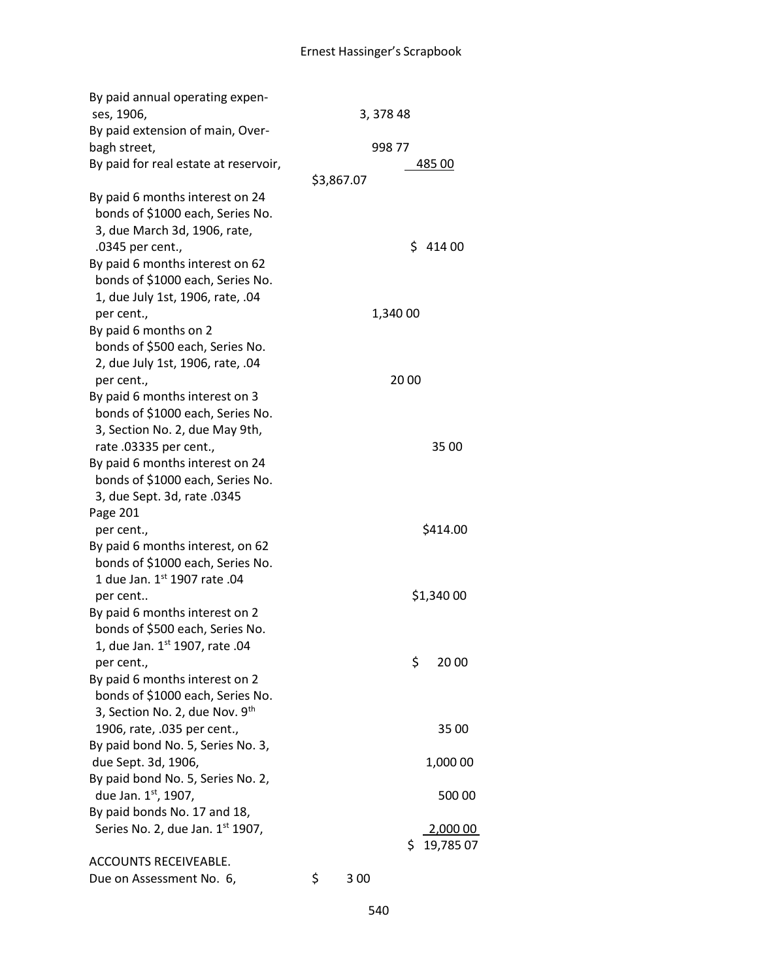| By paid annual operating expen-       |             |          |            |
|---------------------------------------|-------------|----------|------------|
| ses, 1906,                            | 3, 378 48   |          |            |
| By paid extension of main, Over-      |             |          |            |
| bagh street,                          |             | 998 77   |            |
| By paid for real estate at reservoir, |             |          | 485 00     |
|                                       | \$3,867.07  |          |            |
| By paid 6 months interest on 24       |             |          |            |
| bonds of \$1000 each, Series No.      |             |          |            |
| 3, due March 3d, 1906, rate,          |             |          |            |
| .0345 per cent.,                      |             |          | \$41400    |
| By paid 6 months interest on 62       |             |          |            |
| bonds of \$1000 each, Series No.      |             |          |            |
| 1, due July 1st, 1906, rate, .04      |             |          |            |
| per cent.,                            |             | 1,340 00 |            |
| By paid 6 months on 2                 |             |          |            |
| bonds of \$500 each, Series No.       |             |          |            |
| 2, due July 1st, 1906, rate, .04      |             |          |            |
| per cent.,                            |             | 20 00    |            |
| By paid 6 months interest on 3        |             |          |            |
| bonds of \$1000 each, Series No.      |             |          |            |
| 3, Section No. 2, due May 9th,        |             |          |            |
| rate .03335 per cent.,                |             |          | 35 00      |
| By paid 6 months interest on 24       |             |          |            |
| bonds of \$1000 each, Series No.      |             |          |            |
| 3, due Sept. 3d, rate .0345           |             |          |            |
| Page 201                              |             |          |            |
| per cent.,                            |             |          | \$414.00   |
| By paid 6 months interest, on 62      |             |          |            |
| bonds of \$1000 each, Series No.      |             |          |            |
| 1 due Jan. 1st 1907 rate .04          |             |          |            |
| per cent                              |             |          | \$1,340 00 |
| By paid 6 months interest on 2        |             |          |            |
| bonds of \$500 each, Series No.       |             |          |            |
| 1, due Jan. 1st 1907, rate .04        |             |          |            |
| per cent.,                            |             | \$       | 20 00      |
| By paid 6 months interest on 2        |             |          |            |
| bonds of \$1000 each, Series No.      |             |          |            |
| 3, Section No. 2, due Nov. 9th        |             |          |            |
| 1906, rate, .035 per cent.,           |             |          | 35 00      |
| By paid bond No. 5, Series No. 3,     |             |          |            |
| due Sept. 3d, 1906,                   |             |          | 1,000 00   |
| By paid bond No. 5, Series No. 2,     |             |          |            |
| due Jan. 1st, 1907,                   |             |          | 500 00     |
| By paid bonds No. 17 and 18,          |             |          |            |
| Series No. 2, due Jan. 1st 1907,      |             |          | 2,000 00   |
|                                       |             | \$.      | 19,785 07  |
| ACCOUNTS RECEIVEABLE.                 |             |          |            |
| Due on Assessment No. 6,              | \$<br>3 0 0 |          |            |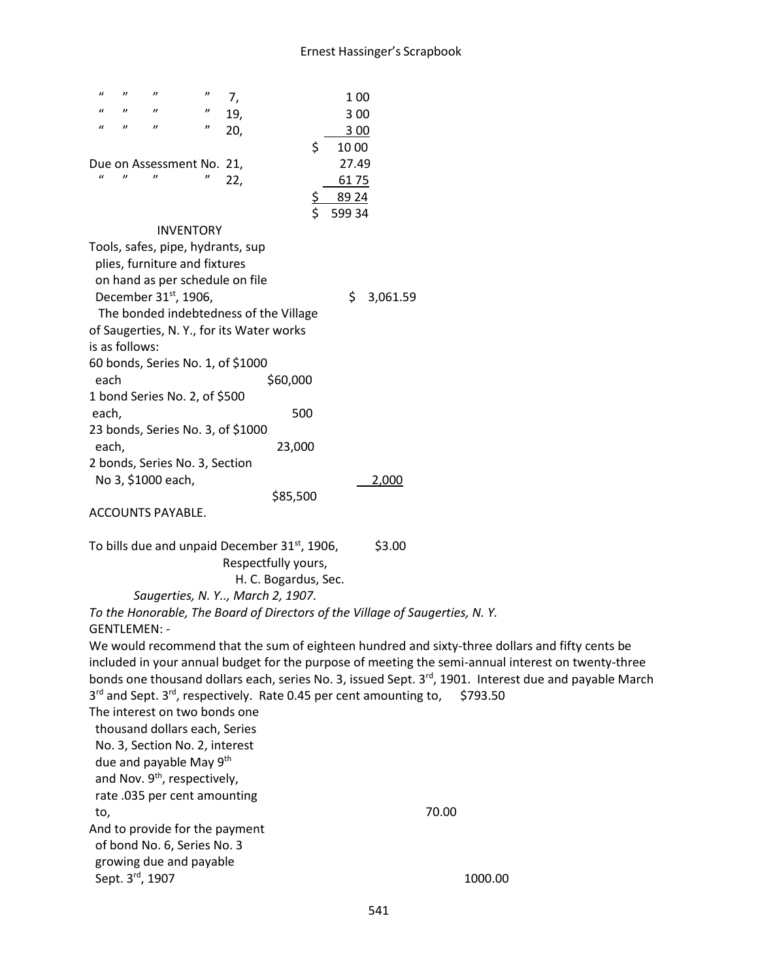| $\mathbf{u}$<br>$\boldsymbol{\eta}$<br>$^{\prime\prime}$<br>"<br>19,<br>3 0 0<br>$^{\prime\prime}$<br>$\boldsymbol{u}$<br>$^{\prime\prime}$<br>$\boldsymbol{\eta}$<br>20,<br>3 0 0<br>\$<br>10 00<br>27.49<br>Due on Assessment No. 21,<br>$\mathbf{u}$<br>$^{\prime\prime}$<br>$^{\prime\prime}$<br>$\boldsymbol{\eta}$<br>22,<br>6175<br>89 24<br>\$<br>599 34<br><b>INVENTORY</b><br>Tools, safes, pipe, hydrants, sup<br>plies, furniture and fixtures<br>on hand as per schedule on file<br>December 31 <sup>st</sup> , 1906,<br>\$<br>3,061.59<br>The bonded indebtedness of the Village<br>of Saugerties, N.Y., for its Water works<br>is as follows:<br>60 bonds, Series No. 1, of \$1000<br>\$60,000<br>each<br>1 bond Series No. 2, of \$500<br>500<br>each,<br>23 bonds, Series No. 3, of \$1000<br>each,<br>23,000<br>2 bonds, Series No. 3, Section<br>No 3, \$1000 each,<br>2,000<br>\$85,500<br>ACCOUNTS PAYABLE.<br>To bills due and unpaid December 31 <sup>st</sup> , 1906,<br>\$3.00<br>Respectfully yours,<br>H. C. Bogardus, Sec.<br>Saugerties, N.Y, March 2, 1907.<br>To the Honorable, The Board of Directors of the Village of Saugerties, N.Y.<br><b>GENTLEMEN: -</b><br>We would recommend that the sum of eighteen hundred and sixty-three dollars and fifty cents be<br>included in your annual budget for the purpose of meeting the semi-annual interest on twenty-three<br>bonds one thousand dollars each, series No. 3, issued Sept. 3 <sup>rd</sup> , 1901. Interest due and payable March<br>3rd and Sept. 3rd, respectively. Rate 0.45 per cent amounting to,<br>\$793.50<br>The interest on two bonds one<br>thousand dollars each, Series<br>No. 3, Section No. 2, interest<br>due and payable May 9th<br>and Nov. 9 <sup>th</sup> , respectively,<br>rate .035 per cent amounting<br>70.00<br>to,<br>And to provide for the payment<br>of bond No. 6, Series No. 3<br>growing due and payable | $\boldsymbol{u}$<br>$^{\prime\prime}$<br>$\boldsymbol{\eta}$<br>$\boldsymbol{\eta}$<br>7, | 1 0 0   |
|---------------------------------------------------------------------------------------------------------------------------------------------------------------------------------------------------------------------------------------------------------------------------------------------------------------------------------------------------------------------------------------------------------------------------------------------------------------------------------------------------------------------------------------------------------------------------------------------------------------------------------------------------------------------------------------------------------------------------------------------------------------------------------------------------------------------------------------------------------------------------------------------------------------------------------------------------------------------------------------------------------------------------------------------------------------------------------------------------------------------------------------------------------------------------------------------------------------------------------------------------------------------------------------------------------------------------------------------------------------------------------------------------------------------------------------------------------------------------------------------------------------------------------------------------------------------------------------------------------------------------------------------------------------------------------------------------------------------------------------------------------------------------------------------------------------------------------------------------------------------------------------------------------------------------------------|-------------------------------------------------------------------------------------------|---------|
|                                                                                                                                                                                                                                                                                                                                                                                                                                                                                                                                                                                                                                                                                                                                                                                                                                                                                                                                                                                                                                                                                                                                                                                                                                                                                                                                                                                                                                                                                                                                                                                                                                                                                                                                                                                                                                                                                                                                       |                                                                                           |         |
|                                                                                                                                                                                                                                                                                                                                                                                                                                                                                                                                                                                                                                                                                                                                                                                                                                                                                                                                                                                                                                                                                                                                                                                                                                                                                                                                                                                                                                                                                                                                                                                                                                                                                                                                                                                                                                                                                                                                       |                                                                                           |         |
|                                                                                                                                                                                                                                                                                                                                                                                                                                                                                                                                                                                                                                                                                                                                                                                                                                                                                                                                                                                                                                                                                                                                                                                                                                                                                                                                                                                                                                                                                                                                                                                                                                                                                                                                                                                                                                                                                                                                       |                                                                                           |         |
|                                                                                                                                                                                                                                                                                                                                                                                                                                                                                                                                                                                                                                                                                                                                                                                                                                                                                                                                                                                                                                                                                                                                                                                                                                                                                                                                                                                                                                                                                                                                                                                                                                                                                                                                                                                                                                                                                                                                       |                                                                                           |         |
|                                                                                                                                                                                                                                                                                                                                                                                                                                                                                                                                                                                                                                                                                                                                                                                                                                                                                                                                                                                                                                                                                                                                                                                                                                                                                                                                                                                                                                                                                                                                                                                                                                                                                                                                                                                                                                                                                                                                       |                                                                                           |         |
|                                                                                                                                                                                                                                                                                                                                                                                                                                                                                                                                                                                                                                                                                                                                                                                                                                                                                                                                                                                                                                                                                                                                                                                                                                                                                                                                                                                                                                                                                                                                                                                                                                                                                                                                                                                                                                                                                                                                       |                                                                                           |         |
|                                                                                                                                                                                                                                                                                                                                                                                                                                                                                                                                                                                                                                                                                                                                                                                                                                                                                                                                                                                                                                                                                                                                                                                                                                                                                                                                                                                                                                                                                                                                                                                                                                                                                                                                                                                                                                                                                                                                       |                                                                                           |         |
|                                                                                                                                                                                                                                                                                                                                                                                                                                                                                                                                                                                                                                                                                                                                                                                                                                                                                                                                                                                                                                                                                                                                                                                                                                                                                                                                                                                                                                                                                                                                                                                                                                                                                                                                                                                                                                                                                                                                       |                                                                                           |         |
|                                                                                                                                                                                                                                                                                                                                                                                                                                                                                                                                                                                                                                                                                                                                                                                                                                                                                                                                                                                                                                                                                                                                                                                                                                                                                                                                                                                                                                                                                                                                                                                                                                                                                                                                                                                                                                                                                                                                       |                                                                                           |         |
|                                                                                                                                                                                                                                                                                                                                                                                                                                                                                                                                                                                                                                                                                                                                                                                                                                                                                                                                                                                                                                                                                                                                                                                                                                                                                                                                                                                                                                                                                                                                                                                                                                                                                                                                                                                                                                                                                                                                       |                                                                                           |         |
|                                                                                                                                                                                                                                                                                                                                                                                                                                                                                                                                                                                                                                                                                                                                                                                                                                                                                                                                                                                                                                                                                                                                                                                                                                                                                                                                                                                                                                                                                                                                                                                                                                                                                                                                                                                                                                                                                                                                       |                                                                                           |         |
|                                                                                                                                                                                                                                                                                                                                                                                                                                                                                                                                                                                                                                                                                                                                                                                                                                                                                                                                                                                                                                                                                                                                                                                                                                                                                                                                                                                                                                                                                                                                                                                                                                                                                                                                                                                                                                                                                                                                       |                                                                                           |         |
|                                                                                                                                                                                                                                                                                                                                                                                                                                                                                                                                                                                                                                                                                                                                                                                                                                                                                                                                                                                                                                                                                                                                                                                                                                                                                                                                                                                                                                                                                                                                                                                                                                                                                                                                                                                                                                                                                                                                       |                                                                                           |         |
|                                                                                                                                                                                                                                                                                                                                                                                                                                                                                                                                                                                                                                                                                                                                                                                                                                                                                                                                                                                                                                                                                                                                                                                                                                                                                                                                                                                                                                                                                                                                                                                                                                                                                                                                                                                                                                                                                                                                       |                                                                                           |         |
|                                                                                                                                                                                                                                                                                                                                                                                                                                                                                                                                                                                                                                                                                                                                                                                                                                                                                                                                                                                                                                                                                                                                                                                                                                                                                                                                                                                                                                                                                                                                                                                                                                                                                                                                                                                                                                                                                                                                       |                                                                                           |         |
|                                                                                                                                                                                                                                                                                                                                                                                                                                                                                                                                                                                                                                                                                                                                                                                                                                                                                                                                                                                                                                                                                                                                                                                                                                                                                                                                                                                                                                                                                                                                                                                                                                                                                                                                                                                                                                                                                                                                       |                                                                                           |         |
|                                                                                                                                                                                                                                                                                                                                                                                                                                                                                                                                                                                                                                                                                                                                                                                                                                                                                                                                                                                                                                                                                                                                                                                                                                                                                                                                                                                                                                                                                                                                                                                                                                                                                                                                                                                                                                                                                                                                       |                                                                                           |         |
|                                                                                                                                                                                                                                                                                                                                                                                                                                                                                                                                                                                                                                                                                                                                                                                                                                                                                                                                                                                                                                                                                                                                                                                                                                                                                                                                                                                                                                                                                                                                                                                                                                                                                                                                                                                                                                                                                                                                       |                                                                                           |         |
|                                                                                                                                                                                                                                                                                                                                                                                                                                                                                                                                                                                                                                                                                                                                                                                                                                                                                                                                                                                                                                                                                                                                                                                                                                                                                                                                                                                                                                                                                                                                                                                                                                                                                                                                                                                                                                                                                                                                       |                                                                                           |         |
|                                                                                                                                                                                                                                                                                                                                                                                                                                                                                                                                                                                                                                                                                                                                                                                                                                                                                                                                                                                                                                                                                                                                                                                                                                                                                                                                                                                                                                                                                                                                                                                                                                                                                                                                                                                                                                                                                                                                       |                                                                                           |         |
|                                                                                                                                                                                                                                                                                                                                                                                                                                                                                                                                                                                                                                                                                                                                                                                                                                                                                                                                                                                                                                                                                                                                                                                                                                                                                                                                                                                                                                                                                                                                                                                                                                                                                                                                                                                                                                                                                                                                       |                                                                                           |         |
|                                                                                                                                                                                                                                                                                                                                                                                                                                                                                                                                                                                                                                                                                                                                                                                                                                                                                                                                                                                                                                                                                                                                                                                                                                                                                                                                                                                                                                                                                                                                                                                                                                                                                                                                                                                                                                                                                                                                       |                                                                                           |         |
|                                                                                                                                                                                                                                                                                                                                                                                                                                                                                                                                                                                                                                                                                                                                                                                                                                                                                                                                                                                                                                                                                                                                                                                                                                                                                                                                                                                                                                                                                                                                                                                                                                                                                                                                                                                                                                                                                                                                       |                                                                                           |         |
|                                                                                                                                                                                                                                                                                                                                                                                                                                                                                                                                                                                                                                                                                                                                                                                                                                                                                                                                                                                                                                                                                                                                                                                                                                                                                                                                                                                                                                                                                                                                                                                                                                                                                                                                                                                                                                                                                                                                       |                                                                                           |         |
|                                                                                                                                                                                                                                                                                                                                                                                                                                                                                                                                                                                                                                                                                                                                                                                                                                                                                                                                                                                                                                                                                                                                                                                                                                                                                                                                                                                                                                                                                                                                                                                                                                                                                                                                                                                                                                                                                                                                       |                                                                                           |         |
|                                                                                                                                                                                                                                                                                                                                                                                                                                                                                                                                                                                                                                                                                                                                                                                                                                                                                                                                                                                                                                                                                                                                                                                                                                                                                                                                                                                                                                                                                                                                                                                                                                                                                                                                                                                                                                                                                                                                       |                                                                                           |         |
|                                                                                                                                                                                                                                                                                                                                                                                                                                                                                                                                                                                                                                                                                                                                                                                                                                                                                                                                                                                                                                                                                                                                                                                                                                                                                                                                                                                                                                                                                                                                                                                                                                                                                                                                                                                                                                                                                                                                       |                                                                                           |         |
|                                                                                                                                                                                                                                                                                                                                                                                                                                                                                                                                                                                                                                                                                                                                                                                                                                                                                                                                                                                                                                                                                                                                                                                                                                                                                                                                                                                                                                                                                                                                                                                                                                                                                                                                                                                                                                                                                                                                       |                                                                                           |         |
|                                                                                                                                                                                                                                                                                                                                                                                                                                                                                                                                                                                                                                                                                                                                                                                                                                                                                                                                                                                                                                                                                                                                                                                                                                                                                                                                                                                                                                                                                                                                                                                                                                                                                                                                                                                                                                                                                                                                       |                                                                                           |         |
|                                                                                                                                                                                                                                                                                                                                                                                                                                                                                                                                                                                                                                                                                                                                                                                                                                                                                                                                                                                                                                                                                                                                                                                                                                                                                                                                                                                                                                                                                                                                                                                                                                                                                                                                                                                                                                                                                                                                       |                                                                                           |         |
|                                                                                                                                                                                                                                                                                                                                                                                                                                                                                                                                                                                                                                                                                                                                                                                                                                                                                                                                                                                                                                                                                                                                                                                                                                                                                                                                                                                                                                                                                                                                                                                                                                                                                                                                                                                                                                                                                                                                       |                                                                                           |         |
|                                                                                                                                                                                                                                                                                                                                                                                                                                                                                                                                                                                                                                                                                                                                                                                                                                                                                                                                                                                                                                                                                                                                                                                                                                                                                                                                                                                                                                                                                                                                                                                                                                                                                                                                                                                                                                                                                                                                       |                                                                                           |         |
|                                                                                                                                                                                                                                                                                                                                                                                                                                                                                                                                                                                                                                                                                                                                                                                                                                                                                                                                                                                                                                                                                                                                                                                                                                                                                                                                                                                                                                                                                                                                                                                                                                                                                                                                                                                                                                                                                                                                       |                                                                                           |         |
|                                                                                                                                                                                                                                                                                                                                                                                                                                                                                                                                                                                                                                                                                                                                                                                                                                                                                                                                                                                                                                                                                                                                                                                                                                                                                                                                                                                                                                                                                                                                                                                                                                                                                                                                                                                                                                                                                                                                       |                                                                                           |         |
|                                                                                                                                                                                                                                                                                                                                                                                                                                                                                                                                                                                                                                                                                                                                                                                                                                                                                                                                                                                                                                                                                                                                                                                                                                                                                                                                                                                                                                                                                                                                                                                                                                                                                                                                                                                                                                                                                                                                       |                                                                                           |         |
|                                                                                                                                                                                                                                                                                                                                                                                                                                                                                                                                                                                                                                                                                                                                                                                                                                                                                                                                                                                                                                                                                                                                                                                                                                                                                                                                                                                                                                                                                                                                                                                                                                                                                                                                                                                                                                                                                                                                       |                                                                                           |         |
|                                                                                                                                                                                                                                                                                                                                                                                                                                                                                                                                                                                                                                                                                                                                                                                                                                                                                                                                                                                                                                                                                                                                                                                                                                                                                                                                                                                                                                                                                                                                                                                                                                                                                                                                                                                                                                                                                                                                       |                                                                                           |         |
|                                                                                                                                                                                                                                                                                                                                                                                                                                                                                                                                                                                                                                                                                                                                                                                                                                                                                                                                                                                                                                                                                                                                                                                                                                                                                                                                                                                                                                                                                                                                                                                                                                                                                                                                                                                                                                                                                                                                       |                                                                                           |         |
|                                                                                                                                                                                                                                                                                                                                                                                                                                                                                                                                                                                                                                                                                                                                                                                                                                                                                                                                                                                                                                                                                                                                                                                                                                                                                                                                                                                                                                                                                                                                                                                                                                                                                                                                                                                                                                                                                                                                       |                                                                                           |         |
|                                                                                                                                                                                                                                                                                                                                                                                                                                                                                                                                                                                                                                                                                                                                                                                                                                                                                                                                                                                                                                                                                                                                                                                                                                                                                                                                                                                                                                                                                                                                                                                                                                                                                                                                                                                                                                                                                                                                       |                                                                                           |         |
|                                                                                                                                                                                                                                                                                                                                                                                                                                                                                                                                                                                                                                                                                                                                                                                                                                                                                                                                                                                                                                                                                                                                                                                                                                                                                                                                                                                                                                                                                                                                                                                                                                                                                                                                                                                                                                                                                                                                       |                                                                                           |         |
|                                                                                                                                                                                                                                                                                                                                                                                                                                                                                                                                                                                                                                                                                                                                                                                                                                                                                                                                                                                                                                                                                                                                                                                                                                                                                                                                                                                                                                                                                                                                                                                                                                                                                                                                                                                                                                                                                                                                       |                                                                                           |         |
|                                                                                                                                                                                                                                                                                                                                                                                                                                                                                                                                                                                                                                                                                                                                                                                                                                                                                                                                                                                                                                                                                                                                                                                                                                                                                                                                                                                                                                                                                                                                                                                                                                                                                                                                                                                                                                                                                                                                       |                                                                                           |         |
|                                                                                                                                                                                                                                                                                                                                                                                                                                                                                                                                                                                                                                                                                                                                                                                                                                                                                                                                                                                                                                                                                                                                                                                                                                                                                                                                                                                                                                                                                                                                                                                                                                                                                                                                                                                                                                                                                                                                       | Sept. 3rd, 1907                                                                           | 1000.00 |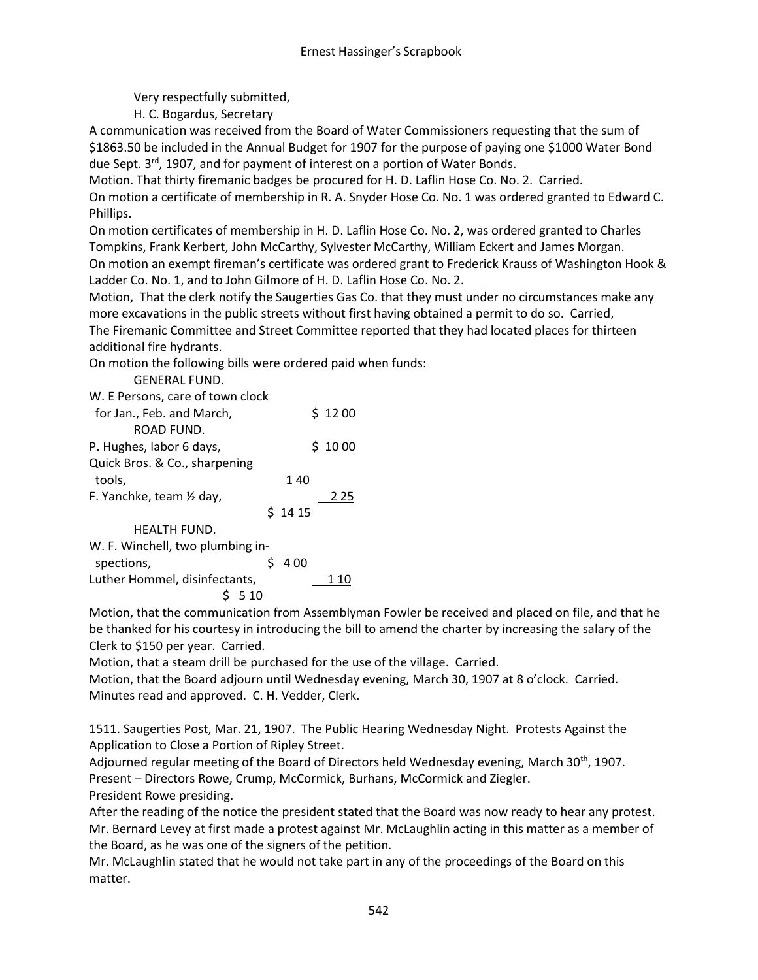Very respectfully submitted,

H. C. Bogardus, Secretary

A communication was received from the Board of Water Commissioners requesting that the sum of \$1863.50 be included in the Annual Budget for 1907 for the purpose of paying one \$1000 Water Bond due Sept. 3<sup>rd</sup>, 1907, and for payment of interest on a portion of Water Bonds.

Motion. That thirty firemanic badges be procured for H. D. Laflin Hose Co. No. 2. Carried. On motion a certificate of membership in R. A. Snyder Hose Co. No. 1 was ordered granted to Edward C. Phillips.

On motion certificates of membership in H. D. Laflin Hose Co. No. 2, was ordered granted to Charles Tompkins, Frank Kerbert, John McCarthy, Sylvester McCarthy, William Eckert and James Morgan. On motion an exempt fireman's certificate was ordered grant to Frederick Krauss of Washington Hook & Ladder Co. No. 1, and to John Gilmore of H. D. Laflin Hose Co. No. 2.

Motion, That the clerk notify the Saugerties Gas Co. that they must under no circumstances make any more excavations in the public streets without first having obtained a permit to do so. Carried, The Firemanic Committee and Street Committee reported that they had located places for thirteen additional fire hydrants.

On motion the following bills were ordered paid when funds:

GENERAL FUND.

|  |  | W. E Persons, care of town clock |  |  |  |  |
|--|--|----------------------------------|--|--|--|--|
|--|--|----------------------------------|--|--|--|--|

| for Jan., Feb. and March,        |        | \$1200 |
|----------------------------------|--------|--------|
| ROAD FUND.                       |        |        |
| P. Hughes, labor 6 days,         |        | \$1000 |
| Quick Bros. & Co., sharpening    |        |        |
| tools,                           | 140    |        |
| F. Yanchke, team 1/2 day,        |        | 2 2 5  |
|                                  | \$1415 |        |
| HEALTH FUND.                     |        |        |
| W. F. Winchell, two plumbing in- |        |        |
| spections,                       | 4 0 0  |        |
| Luther Hommel, disinfectants,    |        |        |
| $\sim$ $ \sim$ $\sim$            |        |        |

 $$5, 10$ 

Motion, that the communication from Assemblyman Fowler be received and placed on file, and that he be thanked for his courtesy in introducing the bill to amend the charter by increasing the salary of the Clerk to \$150 per year. Carried.

Motion, that a steam drill be purchased for the use of the village. Carried.

Motion, that the Board adjourn until Wednesday evening, March 30, 1907 at 8 o'clock. Carried. Minutes read and approved. C. H. Vedder, Clerk.

1511. Saugerties Post, Mar. 21, 1907. The Public Hearing Wednesday Night. Protests Against the Application to Close a Portion of Ripley Street.

Adjourned regular meeting of the Board of Directors held Wednesday evening, March 30<sup>th</sup>, 1907. Present – Directors Rowe, Crump, McCormick, Burhans, McCormick and Ziegler. President Rowe presiding.

After the reading of the notice the president stated that the Board was now ready to hear any protest. Mr. Bernard Levey at first made a protest against Mr. McLaughlin acting in this matter as a member of the Board, as he was one of the signers of the petition.

Mr. McLaughlin stated that he would not take part in any of the proceedings of the Board on this matter.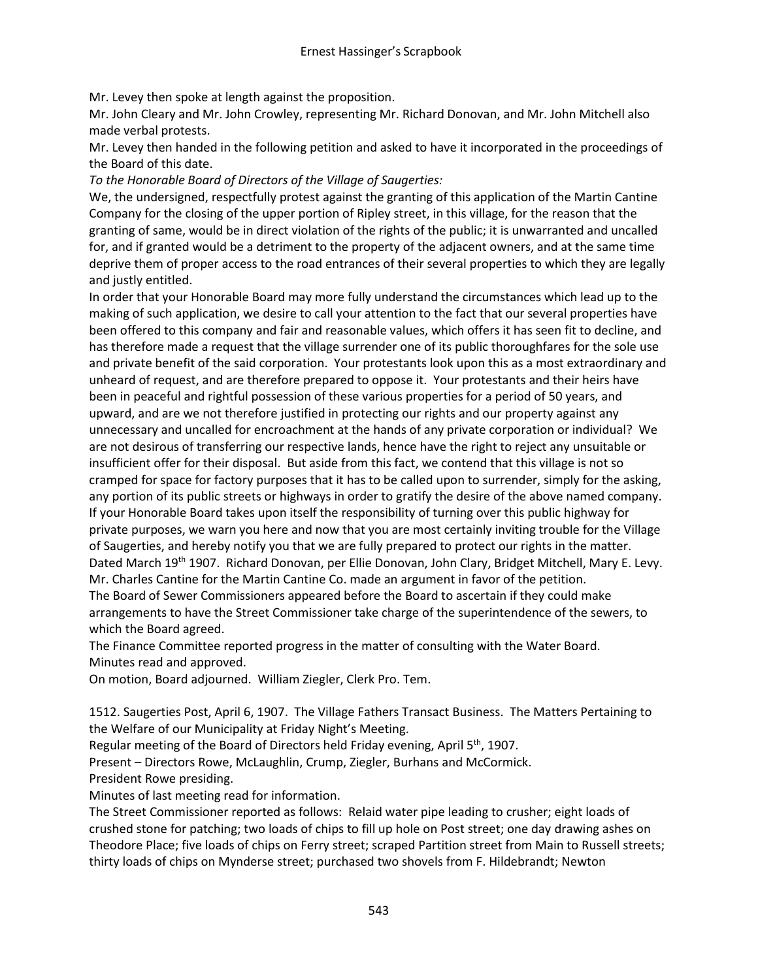Mr. Levey then spoke at length against the proposition.

Mr. John Cleary and Mr. John Crowley, representing Mr. Richard Donovan, and Mr. John Mitchell also made verbal protests.

Mr. Levey then handed in the following petition and asked to have it incorporated in the proceedings of the Board of this date.

*To the Honorable Board of Directors of the Village of Saugerties:*

We, the undersigned, respectfully protest against the granting of this application of the Martin Cantine Company for the closing of the upper portion of Ripley street, in this village, for the reason that the granting of same, would be in direct violation of the rights of the public; it is unwarranted and uncalled for, and if granted would be a detriment to the property of the adjacent owners, and at the same time deprive them of proper access to the road entrances of their several properties to which they are legally and justly entitled.

In order that your Honorable Board may more fully understand the circumstances which lead up to the making of such application, we desire to call your attention to the fact that our several properties have been offered to this company and fair and reasonable values, which offers it has seen fit to decline, and has therefore made a request that the village surrender one of its public thoroughfares for the sole use and private benefit of the said corporation. Your protestants look upon this as a most extraordinary and unheard of request, and are therefore prepared to oppose it. Your protestants and their heirs have been in peaceful and rightful possession of these various properties for a period of 50 years, and upward, and are we not therefore justified in protecting our rights and our property against any unnecessary and uncalled for encroachment at the hands of any private corporation or individual? We are not desirous of transferring our respective lands, hence have the right to reject any unsuitable or insufficient offer for their disposal. But aside from this fact, we contend that this village is not so cramped for space for factory purposes that it has to be called upon to surrender, simply for the asking, any portion of its public streets or highways in order to gratify the desire of the above named company. If your Honorable Board takes upon itself the responsibility of turning over this public highway for private purposes, we warn you here and now that you are most certainly inviting trouble for the Village of Saugerties, and hereby notify you that we are fully prepared to protect our rights in the matter. Dated March 19<sup>th</sup> 1907. Richard Donovan, per Ellie Donovan, John Clary, Bridget Mitchell, Mary E. Levy. Mr. Charles Cantine for the Martin Cantine Co. made an argument in favor of the petition. The Board of Sewer Commissioners appeared before the Board to ascertain if they could make arrangements to have the Street Commissioner take charge of the superintendence of the sewers, to which the Board agreed.

The Finance Committee reported progress in the matter of consulting with the Water Board. Minutes read and approved.

On motion, Board adjourned. William Ziegler, Clerk Pro. Tem.

1512. Saugerties Post, April 6, 1907. The Village Fathers Transact Business. The Matters Pertaining to the Welfare of our Municipality at Friday Night's Meeting.

Regular meeting of the Board of Directors held Friday evening, April 5<sup>th</sup>, 1907.

Present – Directors Rowe, McLaughlin, Crump, Ziegler, Burhans and McCormick.

President Rowe presiding.

Minutes of last meeting read for information.

The Street Commissioner reported as follows: Relaid water pipe leading to crusher; eight loads of crushed stone for patching; two loads of chips to fill up hole on Post street; one day drawing ashes on Theodore Place; five loads of chips on Ferry street; scraped Partition street from Main to Russell streets; thirty loads of chips on Mynderse street; purchased two shovels from F. Hildebrandt; Newton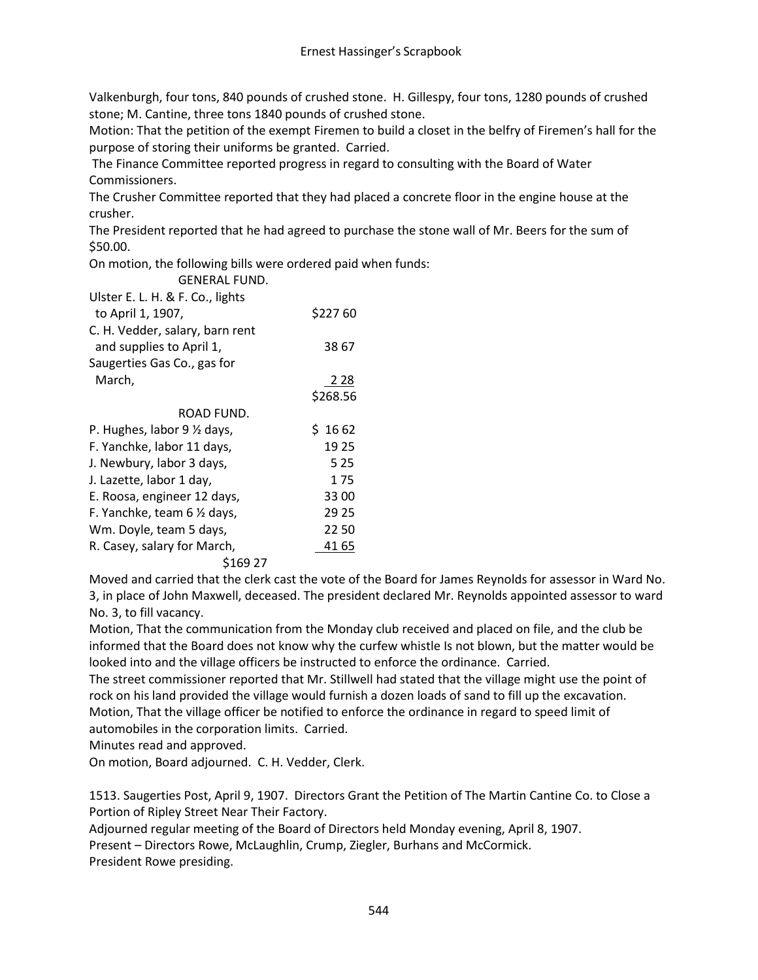Valkenburgh, four tons, 840 pounds of crushed stone. H. Gillespy, four tons, 1280 pounds of crushed stone; M. Cantine, three tons 1840 pounds of crushed stone.

Motion: That the petition of the exempt Firemen to build a closet in the belfry of Firemen's hall for the purpose of storing their uniforms be granted. Carried.

The Finance Committee reported progress in regard to consulting with the Board of Water Commissioners.

The Crusher Committee reported that they had placed a concrete floor in the engine house at the crusher.

The President reported that he had agreed to purchase the stone wall of Mr. Beers for the sum of \$50.00.

On motion, the following bills were ordered paid when funds:

GENERAL FUND.

| Ulster E. L. H. & F. Co., lights       |            |
|----------------------------------------|------------|
| to April 1, 1907,                      | \$22760    |
| C. H. Vedder, salary, barn rent        |            |
| and supplies to April 1,               | 38 67      |
| Saugerties Gas Co., gas for            |            |
| March,                                 | <u>228</u> |
|                                        | \$268.56   |
| ROAD FUND.                             |            |
| P. Hughes, labor $9 \frac{1}{2}$ days, | \$1662     |
| F. Yanchke, labor 11 days,             | 19 25      |
| J. Newbury, labor 3 days,              | 5 2 5      |
| J. Lazette, labor 1 day,               | 175        |
| E. Roosa, engineer 12 days,            | 3300       |
| F. Yanchke, team 6 1/2 days,           | 29 25      |
| Wm. Doyle, team 5 days,                | 2250       |
| R. Casey, salary for March,            | 41 65      |
| \$169 27                               |            |

Moved and carried that the clerk cast the vote of the Board for James Reynolds for assessor in Ward No. 3, in place of John Maxwell, deceased. The president declared Mr. Reynolds appointed assessor to ward No. 3, to fill vacancy.

Motion, That the communication from the Monday club received and placed on file, and the club be informed that the Board does not know why the curfew whistle Is not blown, but the matter would be looked into and the village officers be instructed to enforce the ordinance. Carried.

The street commissioner reported that Mr. Stillwell had stated that the village might use the point of rock on his land provided the village would furnish a dozen loads of sand to fill up the excavation. Motion, That the village officer be notified to enforce the ordinance in regard to speed limit of automobiles in the corporation limits. Carried.

Minutes read and approved.

On motion, Board adjourned. C. H. Vedder, Clerk.

1513. Saugerties Post, April 9, 1907. Directors Grant the Petition of The Martin Cantine Co. to Close a Portion of Ripley Street Near Their Factory.

Adjourned regular meeting of the Board of Directors held Monday evening, April 8, 1907.

Present – Directors Rowe, McLaughlin, Crump, Ziegler, Burhans and McCormick.

President Rowe presiding.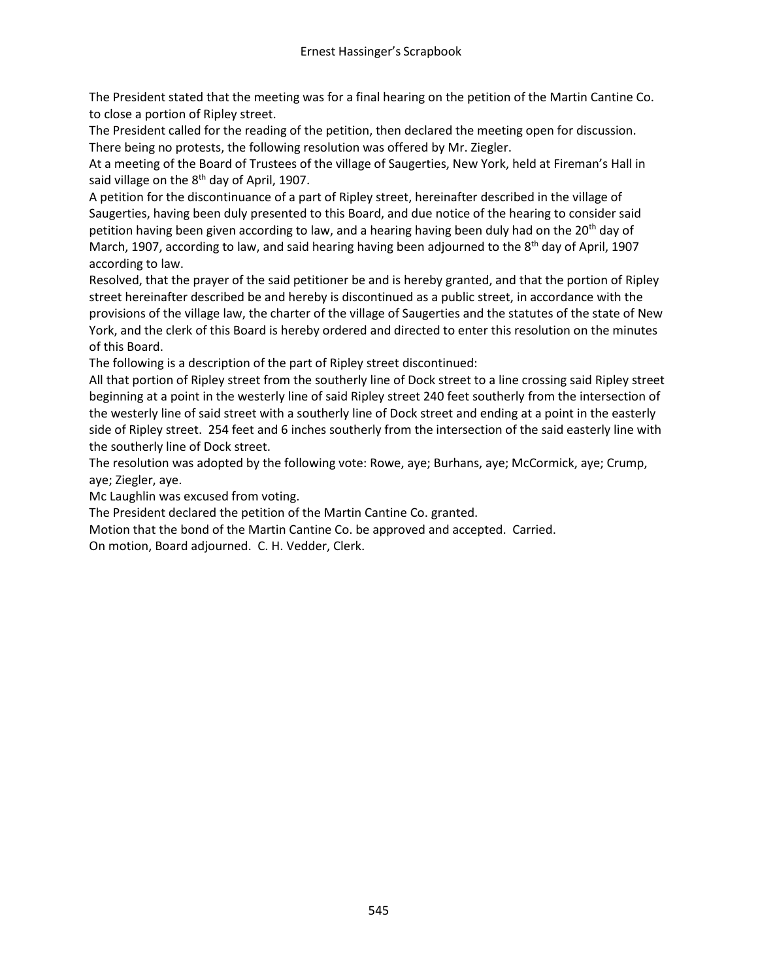The President stated that the meeting was for a final hearing on the petition of the Martin Cantine Co. to close a portion of Ripley street.

The President called for the reading of the petition, then declared the meeting open for discussion. There being no protests, the following resolution was offered by Mr. Ziegler.

At a meeting of the Board of Trustees of the village of Saugerties, New York, held at Fireman's Hall in said village on the 8<sup>th</sup> day of April, 1907.

A petition for the discontinuance of a part of Ripley street, hereinafter described in the village of Saugerties, having been duly presented to this Board, and due notice of the hearing to consider said petition having been given according to law, and a hearing having been duly had on the 20<sup>th</sup> day of March, 1907, according to law, and said hearing having been adjourned to the  $8<sup>th</sup>$  day of April, 1907 according to law.

Resolved, that the prayer of the said petitioner be and is hereby granted, and that the portion of Ripley street hereinafter described be and hereby is discontinued as a public street, in accordance with the provisions of the village law, the charter of the village of Saugerties and the statutes of the state of New York, and the clerk of this Board is hereby ordered and directed to enter this resolution on the minutes of this Board.

The following is a description of the part of Ripley street discontinued:

All that portion of Ripley street from the southerly line of Dock street to a line crossing said Ripley street beginning at a point in the westerly line of said Ripley street 240 feet southerly from the intersection of the westerly line of said street with a southerly line of Dock street and ending at a point in the easterly side of Ripley street. 254 feet and 6 inches southerly from the intersection of the said easterly line with the southerly line of Dock street.

The resolution was adopted by the following vote: Rowe, aye; Burhans, aye; McCormick, aye; Crump, aye; Ziegler, aye.

Mc Laughlin was excused from voting.

The President declared the petition of the Martin Cantine Co. granted.

Motion that the bond of the Martin Cantine Co. be approved and accepted. Carried.

On motion, Board adjourned. C. H. Vedder, Clerk.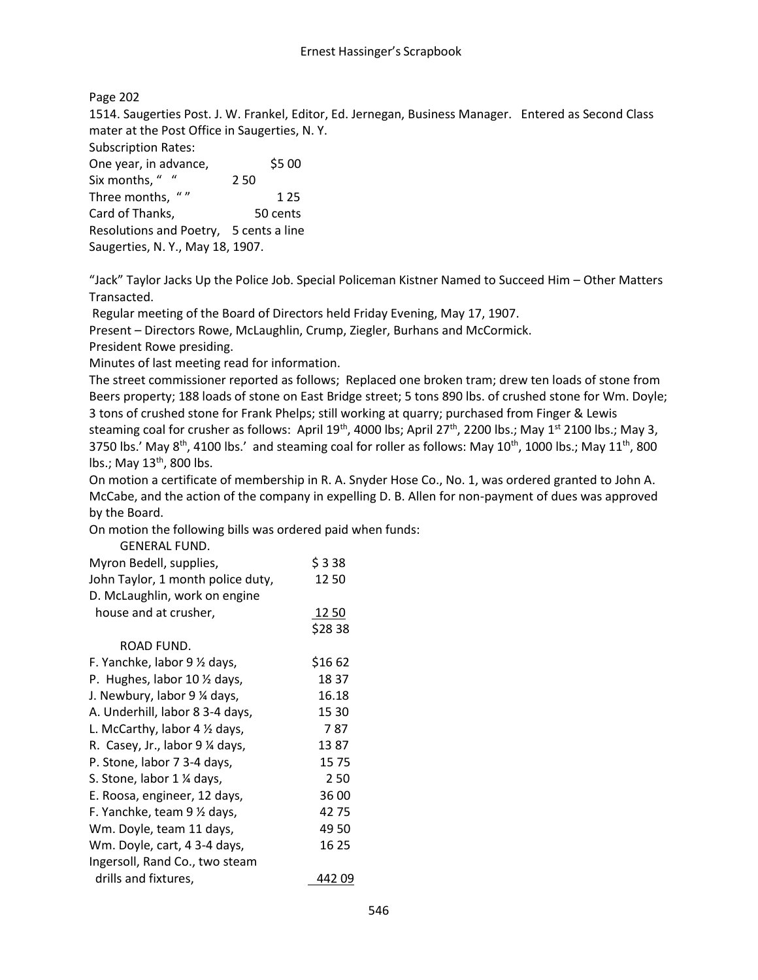Page 202 1514. Saugerties Post. J. W. Frankel, Editor, Ed. Jernegan, Business Manager. Entered as Second Class mater at the Post Office in Saugerties, N. Y. Subscription Rates: One year, in advance, \$5 00

Six months, " " 250 Three months, " " 125 Card of Thanks, 50 cents Resolutions and Poetry, 5 cents a line Saugerties, N. Y., May 18, 1907.

"Jack" Taylor Jacks Up the Police Job. Special Policeman Kistner Named to Succeed Him – Other Matters Transacted.

Regular meeting of the Board of Directors held Friday Evening, May 17, 1907.

Present – Directors Rowe, McLaughlin, Crump, Ziegler, Burhans and McCormick.

President Rowe presiding.

Minutes of last meeting read for information.

The street commissioner reported as follows; Replaced one broken tram; drew ten loads of stone from Beers property; 188 loads of stone on East Bridge street; 5 tons 890 lbs. of crushed stone for Wm. Doyle; 3 tons of crushed stone for Frank Phelps; still working at quarry; purchased from Finger & Lewis steaming coal for crusher as follows: April 19<sup>th</sup>, 4000 lbs; April 27<sup>th</sup>, 2200 lbs.; May 1<sup>st</sup> 2100 lbs.; May 3, 3750 lbs.' May  $8^{th}$ , 4100 lbs.' and steaming coal for roller as follows: May  $10^{th}$ , 1000 lbs.; May  $11^{th}$ , 800 lbs.; May 13<sup>th</sup>, 800 lbs.

On motion a certificate of membership in R. A. Snyder Hose Co., No. 1, was ordered granted to John A. McCabe, and the action of the company in expelling D. B. Allen for non-payment of dues was approved by the Board.

On motion the following bills was ordered paid when funds:

| <b>GENERAL FUND.</b>                    |               |
|-----------------------------------------|---------------|
| Myron Bedell, supplies,                 | \$338         |
| John Taylor, 1 month police duty,       | 1250          |
| D. McLaughlin, work on engine           |               |
| house and at crusher,                   | 12 50         |
|                                         | \$2838        |
| ROAD FUND.                              |               |
| F. Yanchke, labor 9 1/2 days,           | \$16 62       |
| P. Hughes, labor 10 1/2 days,           | 18 37         |
| J. Newbury, labor 9 1/4 days,           | 16.18         |
| A. Underhill, labor 8 3-4 days,         | 15 30         |
| L. McCarthy, labor $4\frac{1}{2}$ days, | 7 87          |
| R. Casey, Jr., labor 9 ¼ days,          | 1387          |
| P. Stone, labor 7 3-4 days,             | 1575          |
| S. Stone, labor 1 % days,               | 250           |
| E. Roosa, engineer, 12 days,            | 36 00         |
| F. Yanchke, team 9 1/2 days,            | 4275          |
| Wm. Doyle, team 11 days,                | 49 50         |
| Wm. Doyle, cart, 4 3-4 days,            | 16 25         |
| Ingersoll, Rand Co., two steam          |               |
| drills and fixtures,                    | 442 <u>09</u> |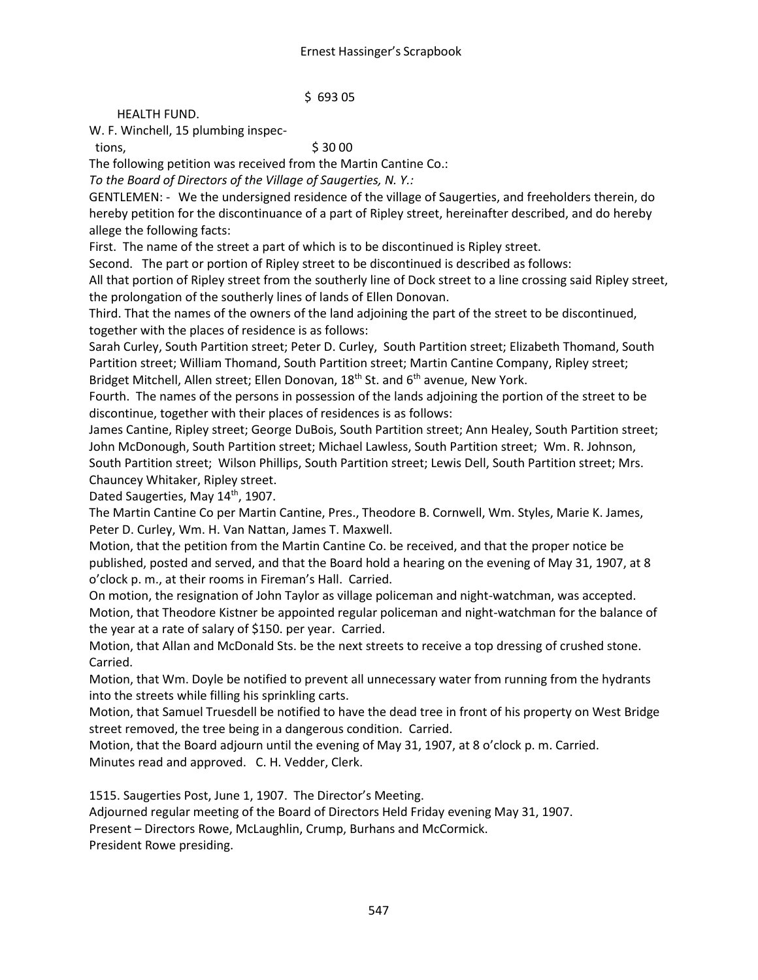\$ 693 05

## HEALTH FUND.

W. F. Winchell, 15 plumbing inspec-

tions,  $\frac{1}{5}$  30 00

The following petition was received from the Martin Cantine Co.:

*To the Board of Directors of the Village of Saugerties, N. Y.:*

GENTLEMEN: - We the undersigned residence of the village of Saugerties, and freeholders therein, do hereby petition for the discontinuance of a part of Ripley street, hereinafter described, and do hereby allege the following facts:

First. The name of the street a part of which is to be discontinued is Ripley street.

Second. The part or portion of Ripley street to be discontinued is described as follows:

All that portion of Ripley street from the southerly line of Dock street to a line crossing said Ripley street, the prolongation of the southerly lines of lands of Ellen Donovan.

Third. That the names of the owners of the land adjoining the part of the street to be discontinued, together with the places of residence is as follows:

Sarah Curley, South Partition street; Peter D. Curley, South Partition street; Elizabeth Thomand, South Partition street; William Thomand, South Partition street; Martin Cantine Company, Ripley street; Bridget Mitchell, Allen street; Ellen Donovan, 18<sup>th</sup> St. and 6<sup>th</sup> avenue, New York.

Fourth. The names of the persons in possession of the lands adjoining the portion of the street to be discontinue, together with their places of residences is as follows:

James Cantine, Ripley street; George DuBois, South Partition street; Ann Healey, South Partition street; John McDonough, South Partition street; Michael Lawless, South Partition street; Wm. R. Johnson, South Partition street; Wilson Phillips, South Partition street; Lewis Dell, South Partition street; Mrs. Chauncey Whitaker, Ripley street.

Dated Saugerties, May 14<sup>th</sup>, 1907.

The Martin Cantine Co per Martin Cantine, Pres., Theodore B. Cornwell, Wm. Styles, Marie K. James, Peter D. Curley, Wm. H. Van Nattan, James T. Maxwell.

Motion, that the petition from the Martin Cantine Co. be received, and that the proper notice be published, posted and served, and that the Board hold a hearing on the evening of May 31, 1907, at 8 o'clock p. m., at their rooms in Fireman's Hall. Carried.

On motion, the resignation of John Taylor as village policeman and night-watchman, was accepted. Motion, that Theodore Kistner be appointed regular policeman and night-watchman for the balance of the year at a rate of salary of \$150. per year. Carried.

Motion, that Allan and McDonald Sts. be the next streets to receive a top dressing of crushed stone. Carried.

Motion, that Wm. Doyle be notified to prevent all unnecessary water from running from the hydrants into the streets while filling his sprinkling carts.

Motion, that Samuel Truesdell be notified to have the dead tree in front of his property on West Bridge street removed, the tree being in a dangerous condition. Carried.

Motion, that the Board adjourn until the evening of May 31, 1907, at 8 o'clock p. m. Carried. Minutes read and approved. C. H. Vedder, Clerk.

1515. Saugerties Post, June 1, 1907. The Director's Meeting.

Adjourned regular meeting of the Board of Directors Held Friday evening May 31, 1907.

Present – Directors Rowe, McLaughlin, Crump, Burhans and McCormick.

President Rowe presiding.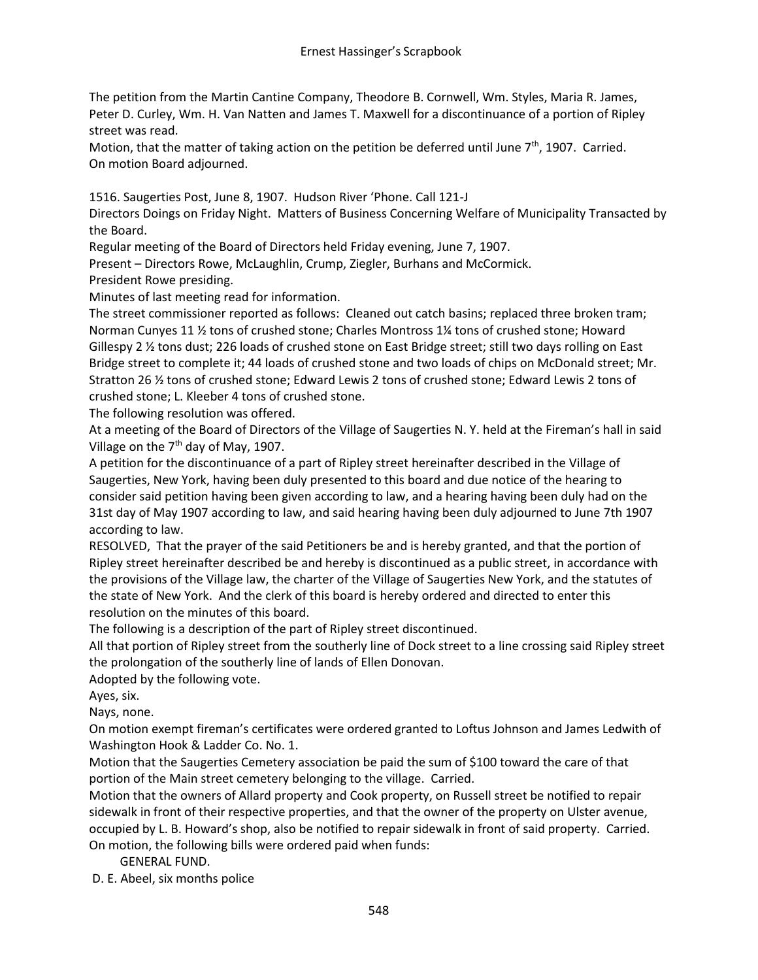The petition from the Martin Cantine Company, Theodore B. Cornwell, Wm. Styles, Maria R. James, Peter D. Curley, Wm. H. Van Natten and James T. Maxwell for a discontinuance of a portion of Ripley street was read.

Motion, that the matter of taking action on the petition be deferred until June  $7<sup>th</sup>$ , 1907. Carried. On motion Board adjourned.

1516. Saugerties Post, June 8, 1907. Hudson River 'Phone. Call 121-J

Directors Doings on Friday Night. Matters of Business Concerning Welfare of Municipality Transacted by the Board.

Regular meeting of the Board of Directors held Friday evening, June 7, 1907.

Present – Directors Rowe, McLaughlin, Crump, Ziegler, Burhans and McCormick.

President Rowe presiding.

Minutes of last meeting read for information.

The street commissioner reported as follows: Cleaned out catch basins; replaced three broken tram; Norman Cunyes 11 ½ tons of crushed stone; Charles Montross 1¼ tons of crushed stone; Howard Gillespy 2 ½ tons dust; 226 loads of crushed stone on East Bridge street; still two days rolling on East Bridge street to complete it; 44 loads of crushed stone and two loads of chips on McDonald street; Mr. Stratton 26 ½ tons of crushed stone; Edward Lewis 2 tons of crushed stone; Edward Lewis 2 tons of crushed stone; L. Kleeber 4 tons of crushed stone.

The following resolution was offered.

At a meeting of the Board of Directors of the Village of Saugerties N. Y. held at the Fireman's hall in said Village on the  $7<sup>th</sup>$  day of May, 1907.

A petition for the discontinuance of a part of Ripley street hereinafter described in the Village of Saugerties, New York, having been duly presented to this board and due notice of the hearing to consider said petition having been given according to law, and a hearing having been duly had on the 31st day of May 1907 according to law, and said hearing having been duly adjourned to June 7th 1907 according to law.

RESOLVED, That the prayer of the said Petitioners be and is hereby granted, and that the portion of Ripley street hereinafter described be and hereby is discontinued as a public street, in accordance with the provisions of the Village law, the charter of the Village of Saugerties New York, and the statutes of the state of New York. And the clerk of this board is hereby ordered and directed to enter this resolution on the minutes of this board.

The following is a description of the part of Ripley street discontinued.

All that portion of Ripley street from the southerly line of Dock street to a line crossing said Ripley street the prolongation of the southerly line of lands of Ellen Donovan.

Adopted by the following vote.

Ayes, six.

Nays, none.

On motion exempt fireman's certificates were ordered granted to Loftus Johnson and James Ledwith of Washington Hook & Ladder Co. No. 1.

Motion that the Saugerties Cemetery association be paid the sum of \$100 toward the care of that portion of the Main street cemetery belonging to the village. Carried.

Motion that the owners of Allard property and Cook property, on Russell street be notified to repair sidewalk in front of their respective properties, and that the owner of the property on Ulster avenue, occupied by L. B. Howard's shop, also be notified to repair sidewalk in front of said property. Carried. On motion, the following bills were ordered paid when funds:

GENERAL FUND.

D. E. Abeel, six months police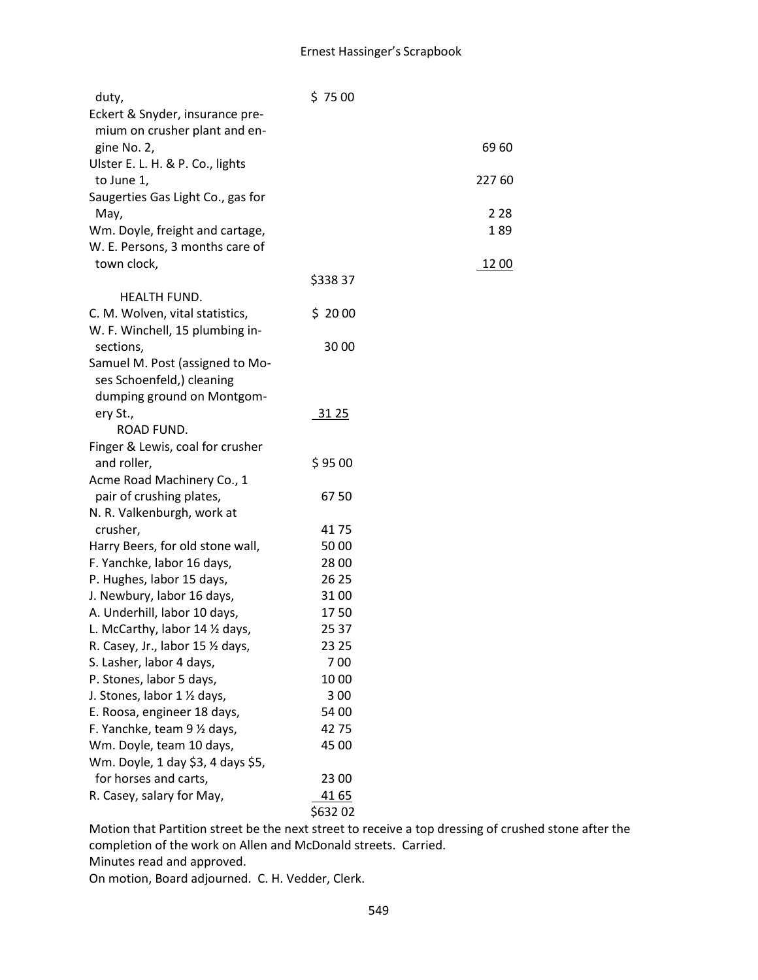| duty,                             | \$7500  |        |
|-----------------------------------|---------|--------|
| Eckert & Snyder, insurance pre-   |         |        |
| mium on crusher plant and en-     |         |        |
| gine No. 2,                       |         | 6960   |
| Ulster E. L. H. & P. Co., lights  |         |        |
| to June 1,                        |         | 227 60 |
| Saugerties Gas Light Co., gas for |         |        |
| May,                              |         | 2 2 8  |
| Wm. Doyle, freight and cartage,   |         | 189    |
| W. E. Persons, 3 months care of   |         |        |
| town clock,                       |         | 12 00  |
|                                   | \$33837 |        |
| <b>HEALTH FUND.</b>               |         |        |
| C. M. Wolven, vital statistics,   | \$2000  |        |
| W. F. Winchell, 15 plumbing in-   |         |        |
| sections,                         | 30 00   |        |
| Samuel M. Post (assigned to Mo-   |         |        |
| ses Schoenfeld,) cleaning         |         |        |
| dumping ground on Montgom-        |         |        |
| ery St.,                          | 31 25   |        |
| ROAD FUND.                        |         |        |
| Finger & Lewis, coal for crusher  |         |        |
| and roller,                       | \$9500  |        |
| Acme Road Machinery Co., 1        |         |        |
| pair of crushing plates,          | 6750    |        |
| N. R. Valkenburgh, work at        |         |        |
| crusher,                          | 4175    |        |
| Harry Beers, for old stone wall,  | 5000    |        |
| F. Yanchke, labor 16 days,        | 28 00   |        |
| P. Hughes, labor 15 days,         | 26 25   |        |
| J. Newbury, labor 16 days,        | 3100    |        |
| A. Underhill, labor 10 days,      | 1750    |        |
| L. McCarthy, labor 14 1/2 days,   | 25 37   |        |
| R. Casey, Jr., labor 15 1/2 days, | 23 25   |        |
| S. Lasher, labor 4 days,          | 700     |        |
| P. Stones, labor 5 days,          | 1000    |        |
| J. Stones, labor 1 1/2 days,      | 300     |        |
| E. Roosa, engineer 18 days,       | 54 00   |        |
| F. Yanchke, team 9 1/2 days,      | 4275    |        |
| Wm. Doyle, team 10 days,          | 45 00   |        |
| Wm. Doyle, 1 day \$3, 4 days \$5, |         |        |
| for horses and carts,             | 23 00   |        |
| R. Casey, salary for May,         | 41 65   |        |
|                                   | \$63202 |        |
|                                   |         |        |

Motion that Partition street be the next street to receive a top dressing of crushed stone after the completion of the work on Allen and McDonald streets. Carried.

Minutes read and approved.

On motion, Board adjourned. C. H. Vedder, Clerk.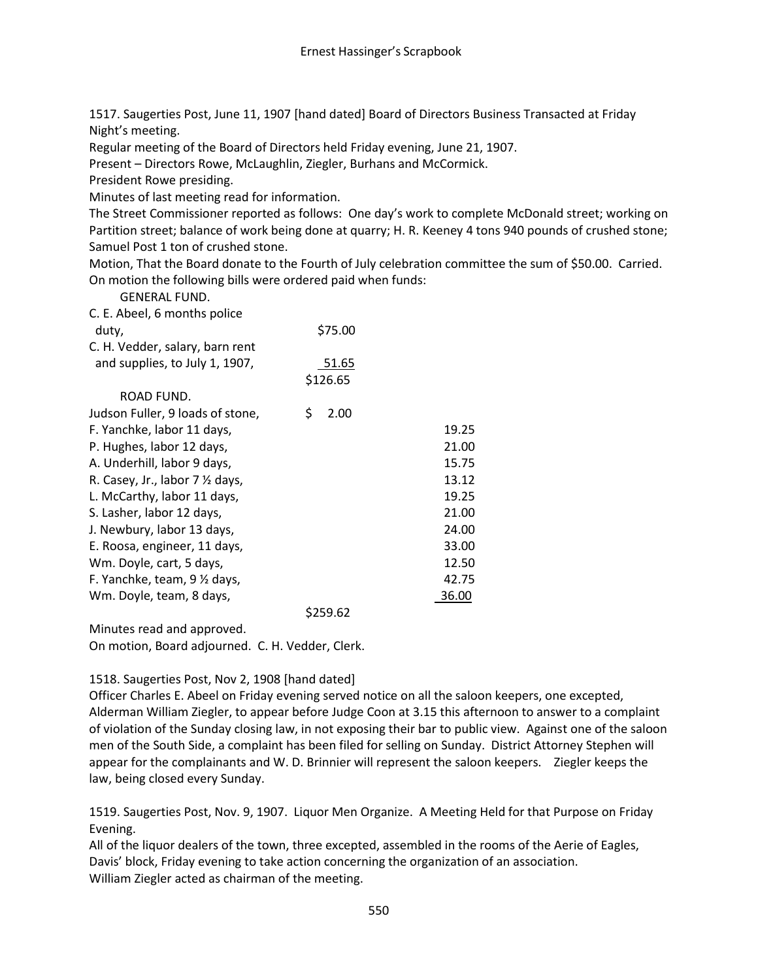1517. Saugerties Post, June 11, 1907 [hand dated] Board of Directors Business Transacted at Friday Night's meeting.

Regular meeting of the Board of Directors held Friday evening, June 21, 1907.

Present – Directors Rowe, McLaughlin, Ziegler, Burhans and McCormick.

President Rowe presiding.

Minutes of last meeting read for information.

The Street Commissioner reported as follows: One day's work to complete McDonald street; working on Partition street; balance of work being done at quarry; H. R. Keeney 4 tons 940 pounds of crushed stone; Samuel Post 1 ton of crushed stone.

Motion, That the Board donate to the Fourth of July celebration committee the sum of \$50.00. Carried. On motion the following bills were ordered paid when funds:

GENERAL FUND.

| C. E. Abeel, 6 months police               |            |       |
|--------------------------------------------|------------|-------|
| duty,                                      | \$75.00    |       |
| C. H. Vedder, salary, barn rent            |            |       |
| and supplies, to July 1, 1907,             | 51.65      |       |
|                                            | \$126.65   |       |
| ROAD FUND.                                 |            |       |
| Judson Fuller, 9 loads of stone,           | \$<br>2.00 |       |
| F. Yanchke, labor 11 days,                 |            | 19.25 |
| P. Hughes, labor 12 days,                  |            | 21.00 |
| A. Underhill, labor 9 days,                |            | 15.75 |
| R. Casey, Jr., labor $7 \frac{1}{2}$ days, |            | 13.12 |
| L. McCarthy, labor 11 days,                |            | 19.25 |
| S. Lasher, labor 12 days,                  |            | 21.00 |
| J. Newbury, labor 13 days,                 |            | 24.00 |
| E. Roosa, engineer, 11 days,               |            | 33.00 |
| Wm. Doyle, cart, 5 days,                   |            | 12.50 |
| F. Yanchke, team, 9 1/2 days,              |            | 42.75 |
| Wm. Doyle, team, 8 days,                   |            | 36.00 |
|                                            | \$259.62   |       |

Minutes read and approved. On motion, Board adjourned. C. H. Vedder, Clerk.

# 1518. Saugerties Post, Nov 2, 1908 [hand dated]

Officer Charles E. Abeel on Friday evening served notice on all the saloon keepers, one excepted, Alderman William Ziegler, to appear before Judge Coon at 3.15 this afternoon to answer to a complaint of violation of the Sunday closing law, in not exposing their bar to public view. Against one of the saloon men of the South Side, a complaint has been filed for selling on Sunday. District Attorney Stephen will appear for the complainants and W. D. Brinnier will represent the saloon keepers. Ziegler keeps the law, being closed every Sunday.

1519. Saugerties Post, Nov. 9, 1907. Liquor Men Organize. A Meeting Held for that Purpose on Friday Evening.

All of the liquor dealers of the town, three excepted, assembled in the rooms of the Aerie of Eagles, Davis' block, Friday evening to take action concerning the organization of an association. William Ziegler acted as chairman of the meeting.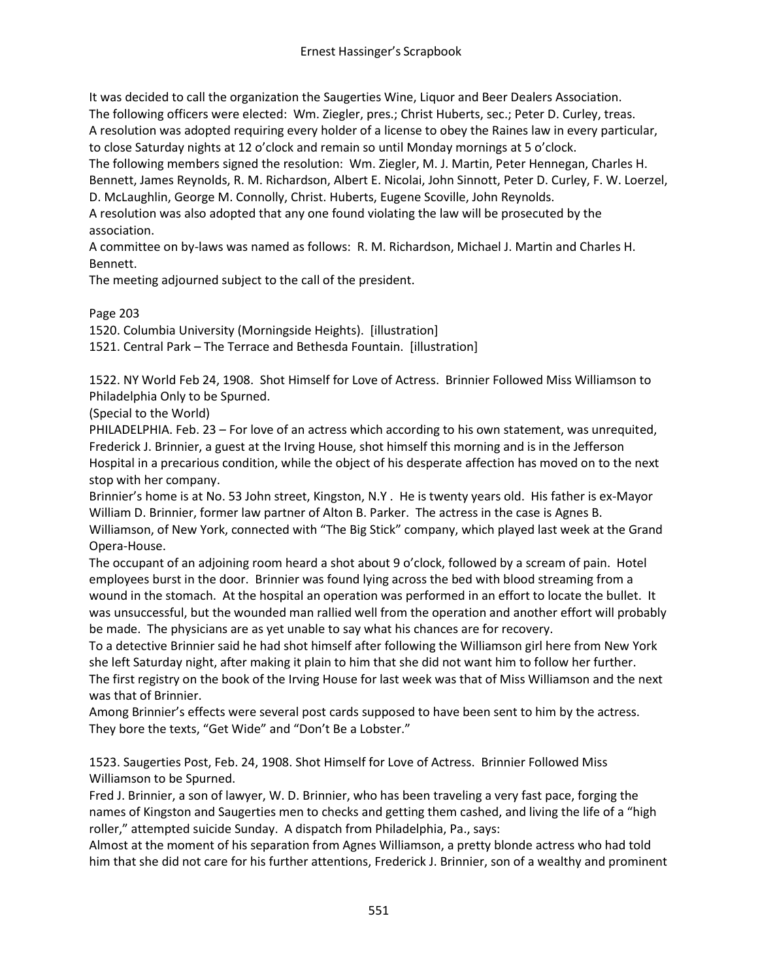It was decided to call the organization the Saugerties Wine, Liquor and Beer Dealers Association. The following officers were elected: Wm. Ziegler, pres.; Christ Huberts, sec.; Peter D. Curley, treas. A resolution was adopted requiring every holder of a license to obey the Raines law in every particular, to close Saturday nights at 12 o'clock and remain so until Monday mornings at 5 o'clock. The following members signed the resolution: Wm. Ziegler, M. J. Martin, Peter Hennegan, Charles H. Bennett, James Reynolds, R. M. Richardson, Albert E. Nicolai, John Sinnott, Peter D. Curley, F. W. Loerzel, D. McLaughlin, George M. Connolly, Christ. Huberts, Eugene Scoville, John Reynolds.

A resolution was also adopted that any one found violating the law will be prosecuted by the association.

A committee on by-laws was named as follows: R. M. Richardson, Michael J. Martin and Charles H. Bennett.

The meeting adjourned subject to the call of the president.

Page 203

1520. Columbia University (Morningside Heights). [illustration] 1521. Central Park – The Terrace and Bethesda Fountain. [illustration]

1522. NY World Feb 24, 1908. Shot Himself for Love of Actress. Brinnier Followed Miss Williamson to Philadelphia Only to be Spurned.

(Special to the World)

PHILADELPHIA. Feb. 23 – For love of an actress which according to his own statement, was unrequited, Frederick J. Brinnier, a guest at the Irving House, shot himself this morning and is in the Jefferson Hospital in a precarious condition, while the object of his desperate affection has moved on to the next stop with her company.

Brinnier's home is at No. 53 John street, Kingston, N.Y . He is twenty years old. His father is ex-Mayor William D. Brinnier, former law partner of Alton B. Parker. The actress in the case is Agnes B. Williamson, of New York, connected with "The Big Stick" company, which played last week at the Grand Opera-House.

The occupant of an adjoining room heard a shot about 9 o'clock, followed by a scream of pain. Hotel employees burst in the door. Brinnier was found lying across the bed with blood streaming from a wound in the stomach. At the hospital an operation was performed in an effort to locate the bullet. It was unsuccessful, but the wounded man rallied well from the operation and another effort will probably be made. The physicians are as yet unable to say what his chances are for recovery.

To a detective Brinnier said he had shot himself after following the Williamson girl here from New York she left Saturday night, after making it plain to him that she did not want him to follow her further. The first registry on the book of the Irving House for last week was that of Miss Williamson and the next was that of Brinnier.

Among Brinnier's effects were several post cards supposed to have been sent to him by the actress. They bore the texts, "Get Wide" and "Don't Be a Lobster."

1523. Saugerties Post, Feb. 24, 1908. Shot Himself for Love of Actress. Brinnier Followed Miss Williamson to be Spurned.

Fred J. Brinnier, a son of lawyer, W. D. Brinnier, who has been traveling a very fast pace, forging the names of Kingston and Saugerties men to checks and getting them cashed, and living the life of a "high roller," attempted suicide Sunday. A dispatch from Philadelphia, Pa., says:

Almost at the moment of his separation from Agnes Williamson, a pretty blonde actress who had told him that she did not care for his further attentions, Frederick J. Brinnier, son of a wealthy and prominent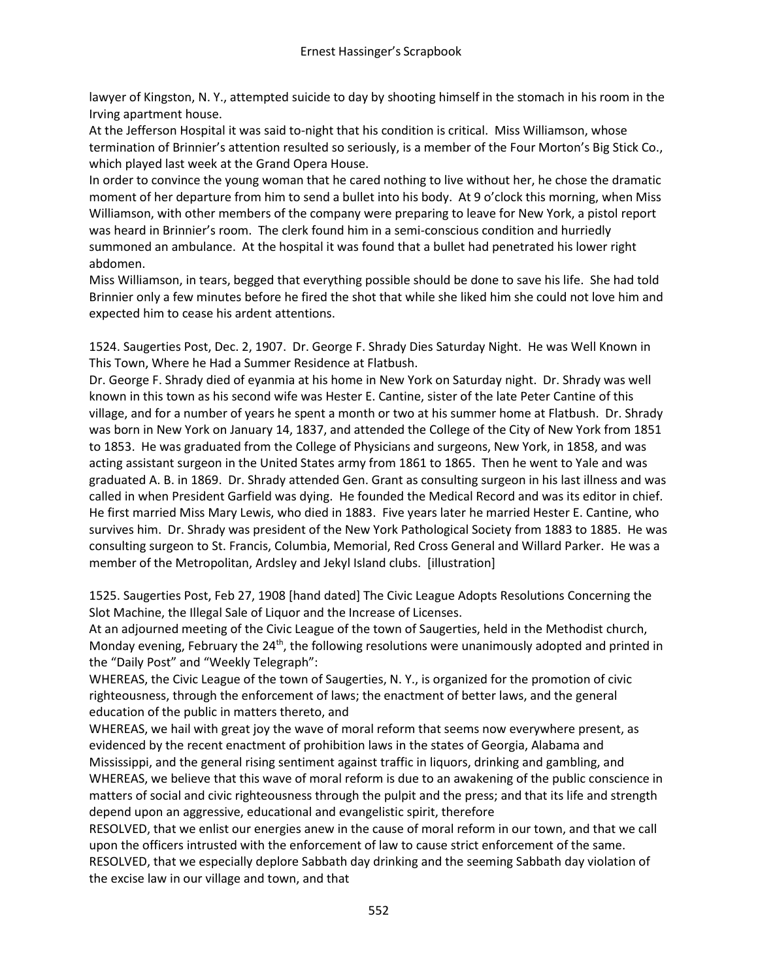lawyer of Kingston, N. Y., attempted suicide to day by shooting himself in the stomach in his room in the Irving apartment house.

At the Jefferson Hospital it was said to-night that his condition is critical. Miss Williamson, whose termination of Brinnier's attention resulted so seriously, is a member of the Four Morton's Big Stick Co., which played last week at the Grand Opera House.

In order to convince the young woman that he cared nothing to live without her, he chose the dramatic moment of her departure from him to send a bullet into his body. At 9 o'clock this morning, when Miss Williamson, with other members of the company were preparing to leave for New York, a pistol report was heard in Brinnier's room. The clerk found him in a semi-conscious condition and hurriedly summoned an ambulance. At the hospital it was found that a bullet had penetrated his lower right abdomen.

Miss Williamson, in tears, begged that everything possible should be done to save his life. She had told Brinnier only a few minutes before he fired the shot that while she liked him she could not love him and expected him to cease his ardent attentions.

1524. Saugerties Post, Dec. 2, 1907. Dr. George F. Shrady Dies Saturday Night. He was Well Known in This Town, Where he Had a Summer Residence at Flatbush.

Dr. George F. Shrady died of eyanmia at his home in New York on Saturday night. Dr. Shrady was well known in this town as his second wife was Hester E. Cantine, sister of the late Peter Cantine of this village, and for a number of years he spent a month or two at his summer home at Flatbush. Dr. Shrady was born in New York on January 14, 1837, and attended the College of the City of New York from 1851 to 1853. He was graduated from the College of Physicians and surgeons, New York, in 1858, and was acting assistant surgeon in the United States army from 1861 to 1865. Then he went to Yale and was graduated A. B. in 1869. Dr. Shrady attended Gen. Grant as consulting surgeon in his last illness and was called in when President Garfield was dying. He founded the Medical Record and was its editor in chief. He first married Miss Mary Lewis, who died in 1883. Five years later he married Hester E. Cantine, who survives him. Dr. Shrady was president of the New York Pathological Society from 1883 to 1885. He was consulting surgeon to St. Francis, Columbia, Memorial, Red Cross General and Willard Parker. He was a member of the Metropolitan, Ardsley and Jekyl Island clubs. [illustration]

1525. Saugerties Post, Feb 27, 1908 [hand dated] The Civic League Adopts Resolutions Concerning the Slot Machine, the Illegal Sale of Liquor and the Increase of Licenses.

At an adjourned meeting of the Civic League of the town of Saugerties, held in the Methodist church, Monday evening, February the 24<sup>th</sup>, the following resolutions were unanimously adopted and printed in the "Daily Post" and "Weekly Telegraph":

WHEREAS, the Civic League of the town of Saugerties, N. Y., is organized for the promotion of civic righteousness, through the enforcement of laws; the enactment of better laws, and the general education of the public in matters thereto, and

WHEREAS, we hail with great joy the wave of moral reform that seems now everywhere present, as evidenced by the recent enactment of prohibition laws in the states of Georgia, Alabama and Mississippi, and the general rising sentiment against traffic in liquors, drinking and gambling, and WHEREAS, we believe that this wave of moral reform is due to an awakening of the public conscience in matters of social and civic righteousness through the pulpit and the press; and that its life and strength depend upon an aggressive, educational and evangelistic spirit, therefore

RESOLVED, that we enlist our energies anew in the cause of moral reform in our town, and that we call upon the officers intrusted with the enforcement of law to cause strict enforcement of the same. RESOLVED, that we especially deplore Sabbath day drinking and the seeming Sabbath day violation of the excise law in our village and town, and that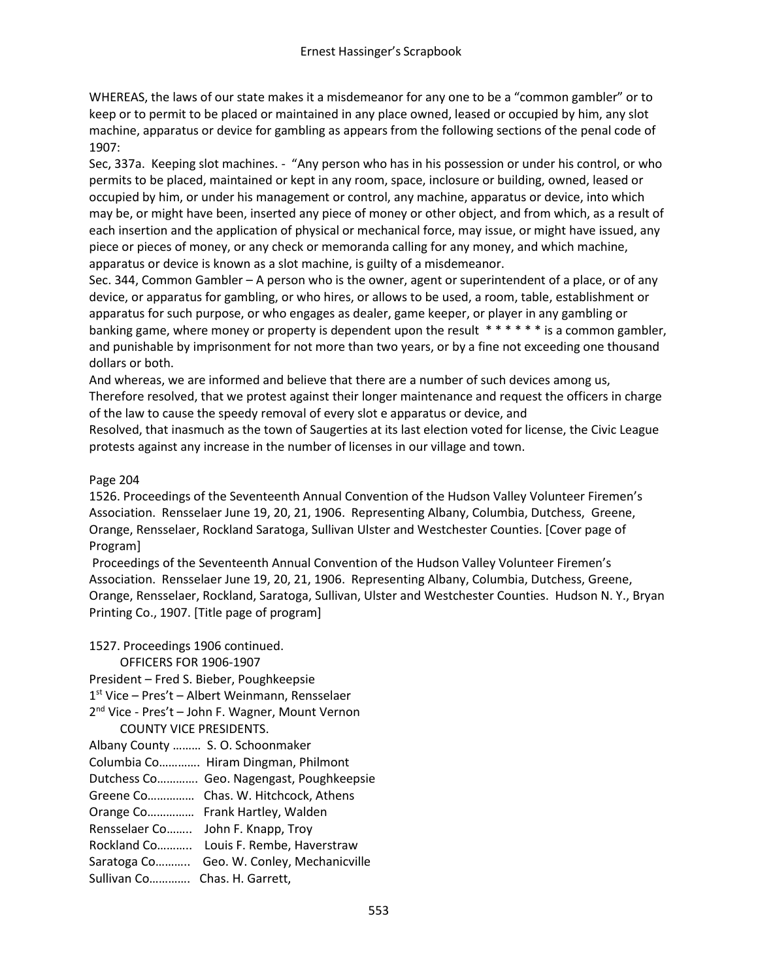WHEREAS, the laws of our state makes it a misdemeanor for any one to be a "common gambler" or to keep or to permit to be placed or maintained in any place owned, leased or occupied by him, any slot machine, apparatus or device for gambling as appears from the following sections of the penal code of 1907:

Sec, 337a. Keeping slot machines. - "Any person who has in his possession or under his control, or who permits to be placed, maintained or kept in any room, space, inclosure or building, owned, leased or occupied by him, or under his management or control, any machine, apparatus or device, into which may be, or might have been, inserted any piece of money or other object, and from which, as a result of each insertion and the application of physical or mechanical force, may issue, or might have issued, any piece or pieces of money, or any check or memoranda calling for any money, and which machine, apparatus or device is known as a slot machine, is guilty of a misdemeanor.

Sec. 344, Common Gambler – A person who is the owner, agent or superintendent of a place, or of any device, or apparatus for gambling, or who hires, or allows to be used, a room, table, establishment or apparatus for such purpose, or who engages as dealer, game keeper, or player in any gambling or banking game, where money or property is dependent upon the result \* \* \* \* \* \* is a common gambler, and punishable by imprisonment for not more than two years, or by a fine not exceeding one thousand dollars or both.

And whereas, we are informed and believe that there are a number of such devices among us, Therefore resolved, that we protest against their longer maintenance and request the officers in charge of the law to cause the speedy removal of every slot e apparatus or device, and

Resolved, that inasmuch as the town of Saugerties at its last election voted for license, the Civic League protests against any increase in the number of licenses in our village and town.

## Page 204

1526. Proceedings of the Seventeenth Annual Convention of the Hudson Valley Volunteer Firemen's Association. Rensselaer June 19, 20, 21, 1906. Representing Albany, Columbia, Dutchess, Greene, Orange, Rensselaer, Rockland Saratoga, Sullivan Ulster and Westchester Counties. [Cover page of Program]

Proceedings of the Seventeenth Annual Convention of the Hudson Valley Volunteer Firemen's Association. Rensselaer June 19, 20, 21, 1906. Representing Albany, Columbia, Dutchess, Greene, Orange, Rensselaer, Rockland, Saratoga, Sullivan, Ulster and Westchester Counties. Hudson N. Y., Bryan Printing Co., 1907. [Title page of program]

| 1527. Proceedings 1906 continued.<br>OFFICERS FOR 1906-1907 |                                                              |
|-------------------------------------------------------------|--------------------------------------------------------------|
|                                                             |                                                              |
| President - Fred S. Bieber, Poughkeepsie                    |                                                              |
|                                                             | $1st$ Vice – Pres't – Albert Weinmann, Rensselaer            |
|                                                             | 2 <sup>nd</sup> Vice - Pres't - John F. Wagner, Mount Vernon |
| <b>COUNTY VICE PRESIDENTS.</b>                              |                                                              |
| Albany County  S. O. Schoonmaker                            |                                                              |
|                                                             | Columbia Co Hiram Dingman, Philmont                          |
|                                                             | Dutchess Co Geo. Nagengast, Poughkeepsie                     |
|                                                             | Greene Co Chas. W. Hitchcock, Athens                         |
|                                                             | Orange Co Frank Hartley, Walden                              |
| Rensselaer Co John F. Knapp, Troy                           |                                                              |
|                                                             | Rockland Co Louis F. Rembe, Haverstraw                       |
|                                                             | Saratoga Co Geo. W. Conley, Mechanicville                    |

Sullivan Co…………. Chas. H. Garrett,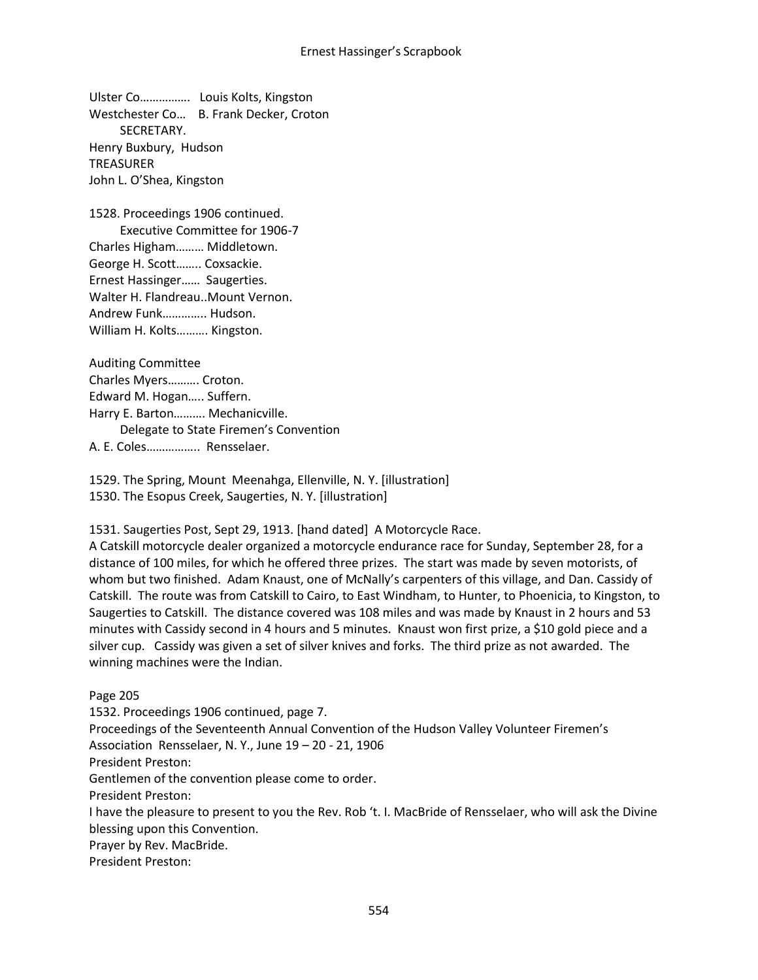Ulster Co……………. Louis Kolts, Kingston Westchester Co… B. Frank Decker, Croton SECRETARY. Henry Buxbury, Hudson TREASURER John L. O'Shea, Kingston

1528. Proceedings 1906 continued. Executive Committee for 1906-7 Charles Higham……… Middletown. George H. Scott…….. Coxsackie. Ernest Hassinger…… Saugerties. Walter H. Flandreau..Mount Vernon. Andrew Funk………….. Hudson. William H. Kolts………. Kingston.

Auditing Committee Charles Myers………. Croton. Edward M. Hogan….. Suffern. Harry E. Barton………. Mechanicville. Delegate to State Firemen's Convention A. E. Coles…………….. Rensselaer.

1529. The Spring, Mount Meenahga, Ellenville, N. Y. [illustration] 1530. The Esopus Creek, Saugerties, N. Y. [illustration]

1531. Saugerties Post, Sept 29, 1913. [hand dated] A Motorcycle Race.

A Catskill motorcycle dealer organized a motorcycle endurance race for Sunday, September 28, for a distance of 100 miles, for which he offered three prizes. The start was made by seven motorists, of whom but two finished. Adam Knaust, one of McNally's carpenters of this village, and Dan. Cassidy of Catskill. The route was from Catskill to Cairo, to East Windham, to Hunter, to Phoenicia, to Kingston, to Saugerties to Catskill. The distance covered was 108 miles and was made by Knaust in 2 hours and 53 minutes with Cassidy second in 4 hours and 5 minutes. Knaust won first prize, a \$10 gold piece and a silver cup. Cassidy was given a set of silver knives and forks. The third prize as not awarded. The winning machines were the Indian.

Page 205 1532. Proceedings 1906 continued, page 7. Proceedings of the Seventeenth Annual Convention of the Hudson Valley Volunteer Firemen's Association Rensselaer, N. Y., June 19 – 20 - 21, 1906 President Preston: Gentlemen of the convention please come to order. President Preston: I have the pleasure to present to you the Rev. Rob 't. I. MacBride of Rensselaer, who will ask the Divine blessing upon this Convention. Prayer by Rev. MacBride. President Preston: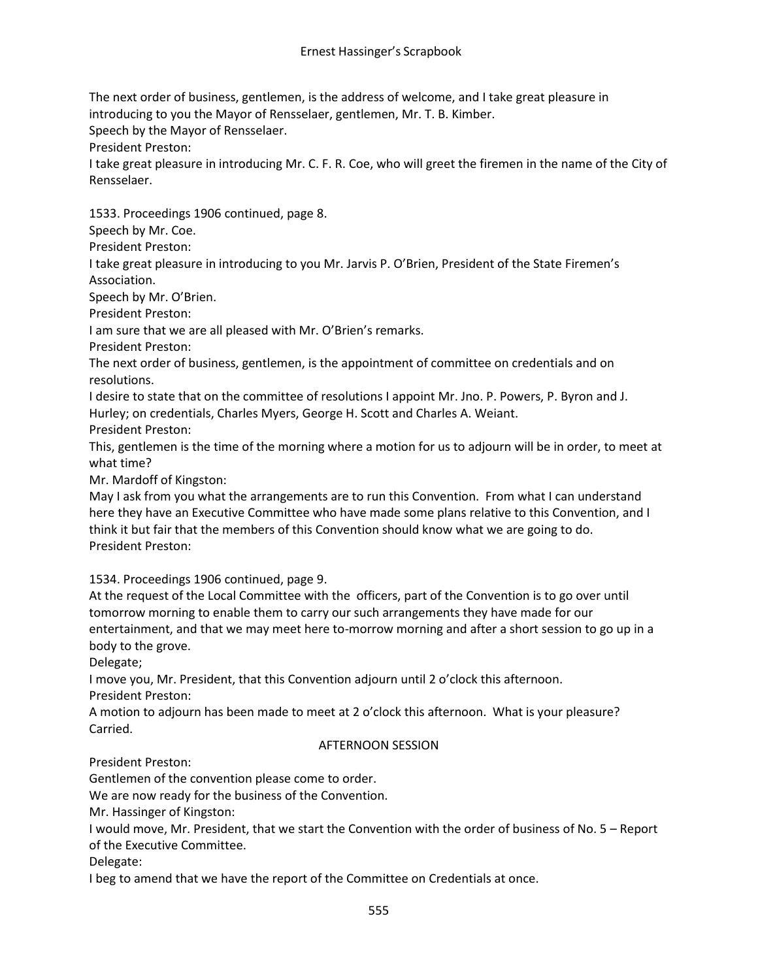The next order of business, gentlemen, is the address of welcome, and I take great pleasure in introducing to you the Mayor of Rensselaer, gentlemen, Mr. T. B. Kimber.

Speech by the Mayor of Rensselaer.

President Preston:

I take great pleasure in introducing Mr. C. F. R. Coe, who will greet the firemen in the name of the City of Rensselaer.

1533. Proceedings 1906 continued, page 8.

Speech by Mr. Coe.

President Preston:

I take great pleasure in introducing to you Mr. Jarvis P. O'Brien, President of the State Firemen's Association.

Speech by Mr. O'Brien.

President Preston:

I am sure that we are all pleased with Mr. O'Brien's remarks.

President Preston:

The next order of business, gentlemen, is the appointment of committee on credentials and on resolutions.

I desire to state that on the committee of resolutions I appoint Mr. Jno. P. Powers, P. Byron and J. Hurley; on credentials, Charles Myers, George H. Scott and Charles A. Weiant.

President Preston:

This, gentlemen is the time of the morning where a motion for us to adjourn will be in order, to meet at what time?

Mr. Mardoff of Kingston:

May I ask from you what the arrangements are to run this Convention. From what I can understand here they have an Executive Committee who have made some plans relative to this Convention, and I think it but fair that the members of this Convention should know what we are going to do. President Preston:

1534. Proceedings 1906 continued, page 9.

At the request of the Local Committee with the officers, part of the Convention is to go over until tomorrow morning to enable them to carry our such arrangements they have made for our entertainment, and that we may meet here to-morrow morning and after a short session to go up in a body to the grove.

Delegate;

I move you, Mr. President, that this Convention adjourn until 2 o'clock this afternoon.

President Preston:

A motion to adjourn has been made to meet at 2 o'clock this afternoon. What is your pleasure? Carried.

#### AFTERNOON SESSION

President Preston:

Gentlemen of the convention please come to order.

We are now ready for the business of the Convention.

Mr. Hassinger of Kingston:

I would move, Mr. President, that we start the Convention with the order of business of No. 5 – Report of the Executive Committee.

Delegate:

I beg to amend that we have the report of the Committee on Credentials at once.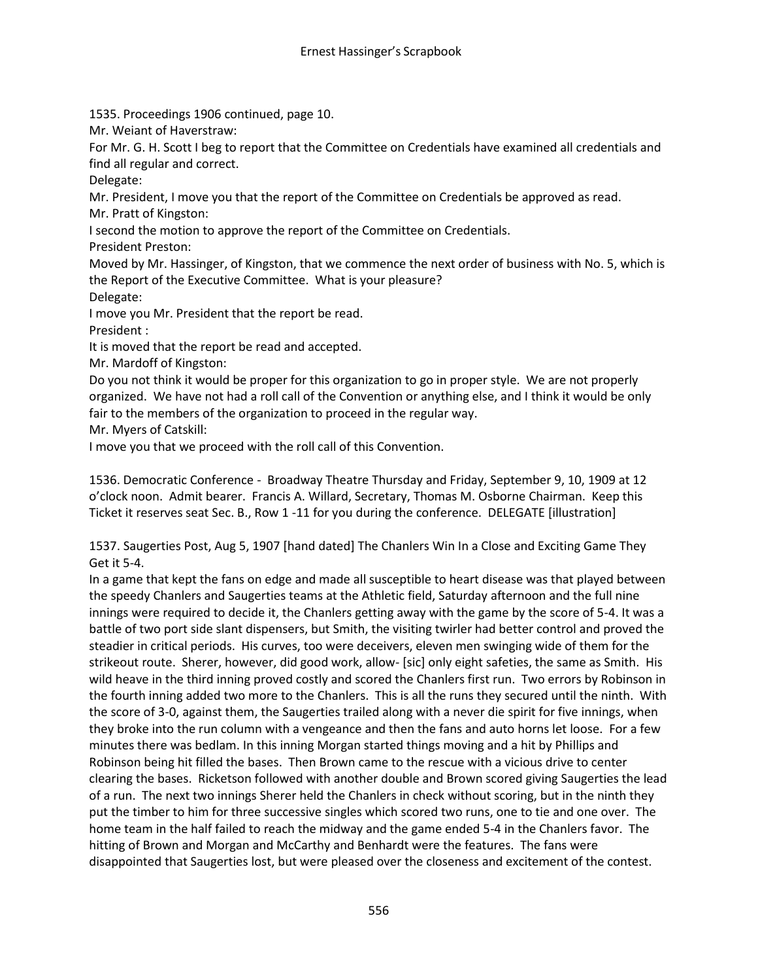1535. Proceedings 1906 continued, page 10.

Mr. Weiant of Haverstraw:

For Mr. G. H. Scott I beg to report that the Committee on Credentials have examined all credentials and find all regular and correct.

Delegate:

Mr. President, I move you that the report of the Committee on Credentials be approved as read.

Mr. Pratt of Kingston:

I second the motion to approve the report of the Committee on Credentials.

President Preston:

Moved by Mr. Hassinger, of Kingston, that we commence the next order of business with No. 5, which is the Report of the Executive Committee. What is your pleasure?

Delegate:

I move you Mr. President that the report be read.

President :

It is moved that the report be read and accepted.

Mr. Mardoff of Kingston:

Do you not think it would be proper for this organization to go in proper style. We are not properly organized. We have not had a roll call of the Convention or anything else, and I think it would be only fair to the members of the organization to proceed in the regular way.

Mr. Myers of Catskill:

I move you that we proceed with the roll call of this Convention.

1536. Democratic Conference - Broadway Theatre Thursday and Friday, September 9, 10, 1909 at 12 o'clock noon. Admit bearer. Francis A. Willard, Secretary, Thomas M. Osborne Chairman. Keep this Ticket it reserves seat Sec. B., Row 1 -11 for you during the conference. DELEGATE [illustration]

1537. Saugerties Post, Aug 5, 1907 [hand dated] The Chanlers Win In a Close and Exciting Game They Get it 5-4.

In a game that kept the fans on edge and made all susceptible to heart disease was that played between the speedy Chanlers and Saugerties teams at the Athletic field, Saturday afternoon and the full nine innings were required to decide it, the Chanlers getting away with the game by the score of 5-4. It was a battle of two port side slant dispensers, but Smith, the visiting twirler had better control and proved the steadier in critical periods. His curves, too were deceivers, eleven men swinging wide of them for the strikeout route. Sherer, however, did good work, allow- [sic] only eight safeties, the same as Smith. His wild heave in the third inning proved costly and scored the Chanlers first run. Two errors by Robinson in the fourth inning added two more to the Chanlers. This is all the runs they secured until the ninth. With the score of 3-0, against them, the Saugerties trailed along with a never die spirit for five innings, when they broke into the run column with a vengeance and then the fans and auto horns let loose. For a few minutes there was bedlam. In this inning Morgan started things moving and a hit by Phillips and Robinson being hit filled the bases. Then Brown came to the rescue with a vicious drive to center clearing the bases. Ricketson followed with another double and Brown scored giving Saugerties the lead of a run. The next two innings Sherer held the Chanlers in check without scoring, but in the ninth they put the timber to him for three successive singles which scored two runs, one to tie and one over. The home team in the half failed to reach the midway and the game ended 5-4 in the Chanlers favor. The hitting of Brown and Morgan and McCarthy and Benhardt were the features. The fans were disappointed that Saugerties lost, but were pleased over the closeness and excitement of the contest.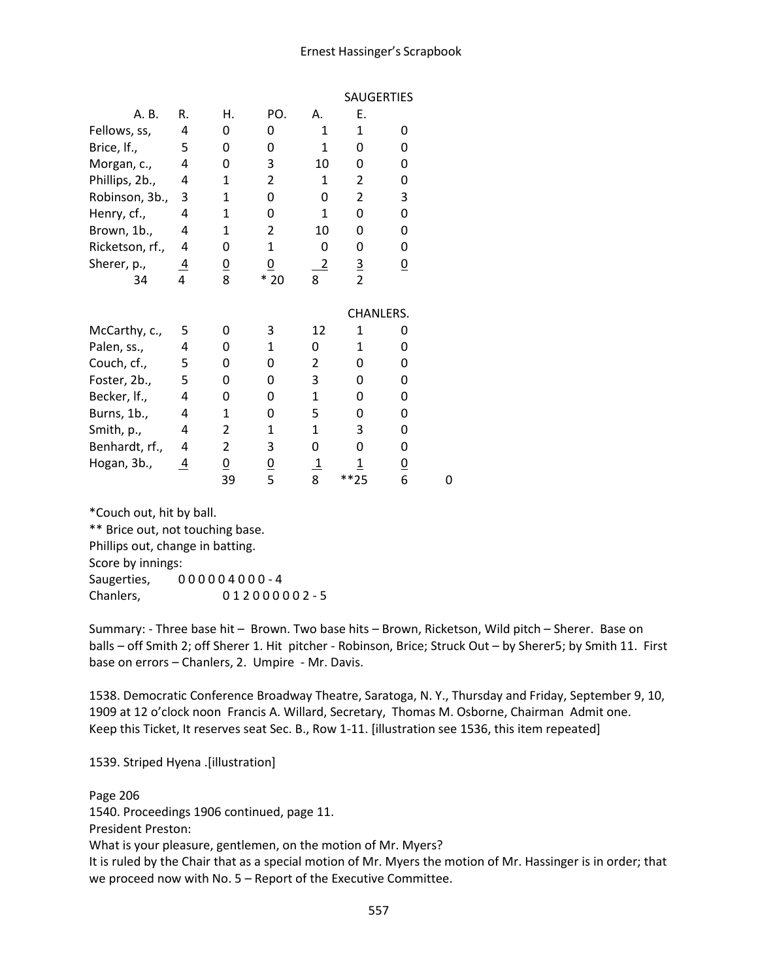#### Ernest Hassinger's Scrapbook

|                 |                |                |                |                | <b>SAUGERTIES</b> |                 |   |
|-----------------|----------------|----------------|----------------|----------------|-------------------|-----------------|---|
| A. B.           | R.             | Η.             | PO.            | А.             | Ε.                |                 |   |
| Fellows, ss,    | 4              | 0              | 0              | $\mathbf{1}$   | $\mathbf{1}$      | 0               |   |
| Brice, If.,     | 5              | 0              | 0              | $\mathbf{1}$   | 0                 | 0               |   |
| Morgan, c.,     | 4              | 0              | 3              | 10             | 0                 | 0               |   |
| Phillips, 2b.,  | 4              | $\mathbf{1}$   | 2              | 1              | 2                 | 0               |   |
| Robinson, 3b.,  | 3              | 1              | 0              | 0              | $\overline{2}$    | 3               |   |
| Henry, cf.,     | 4              | 1              | 0              | 1              | 0                 | 0               |   |
| Brown, 1b.,     | 4              | $\mathbf{1}$   | $\overline{2}$ | 10             | 0                 | 0               |   |
| Ricketson, rf., | 4              | 0              | $\mathbf{1}$   | 0              | 0                 | 0               |   |
| Sherer, p.,     | $\overline{4}$ | $\frac{0}{8}$  | $\overline{0}$ | $\overline{2}$ | $\frac{3}{2}$     | $\underline{0}$ |   |
| 34              | 4              |                | $*20$          | 8              |                   |                 |   |
|                 |                |                |                |                | CHANLERS.         |                 |   |
| McCarthy, c.,   | 5              | 0              | 3              | 12             | 1                 | 0               |   |
| Palen, ss.,     | 4              | 0              | 1              | 0              | 1                 | 0               |   |
| Couch, cf.,     | 5              | 0              | 0              | 2              | 0                 | 0               |   |
| Foster, 2b.,    | 5              | 0              | 0              | 3              | 0                 | 0               |   |
| Becker, If.,    | 4              | 0              | 0              | 1              | 0                 | 0               |   |
| Burns, 1b.,     | 4              | 1              | 0              | 5              | 0                 | 0               |   |
| Smith, p.,      | 4              | 2              | $\mathbf{1}$   | 1              | 3                 | 0               |   |
| Benhardt, rf.,  | 4              | $\overline{2}$ | 3              | 0              | 0                 | 0               |   |
| Hogan, 3b.,     | $\overline{4}$ | $\overline{0}$ |                | $\overline{1}$ | $\overline{1}$    |                 |   |
|                 |                | 39             | $\frac{0}{5}$  | 8              | **25              | $\frac{0}{6}$   | 0 |
|                 |                |                |                |                |                   |                 |   |
|                 |                |                |                |                |                   |                 |   |

\*Couch out, hit by ball. \*\* Brice out, not touching base. Phillips out, change in batting. Score by innings: Saugerties, 0 0 0 0 0 4 0 0 0 - 4 Chanlers, 0 1 2 0 0 0 0 0 2 - 5

Summary: - Three base hit – Brown. Two base hits – Brown, Ricketson, Wild pitch – Sherer. Base on balls – off Smith 2; off Sherer 1. Hit pitcher - Robinson, Brice; Struck Out – by Sherer5; by Smith 11. First base on errors – Chanlers, 2. Umpire - Mr. Davis.

1538. Democratic Conference Broadway Theatre, Saratoga, N. Y., Thursday and Friday, September 9, 10, 1909 at 12 o'clock noon Francis A. Willard, Secretary, Thomas M. Osborne, Chairman Admit one. Keep this Ticket, It reserves seat Sec. B., Row 1-11. [illustration see 1536, this item repeated]

1539. Striped Hyena .[illustration]

Page 206 1540. Proceedings 1906 continued, page 11. President Preston: What is your pleasure, gentlemen, on the motion of Mr. Myers? It is ruled by the Chair that as a special motion of Mr. Myers the motion of Mr. Hassinger is in order; that we proceed now with No. 5 – Report of the Executive Committee.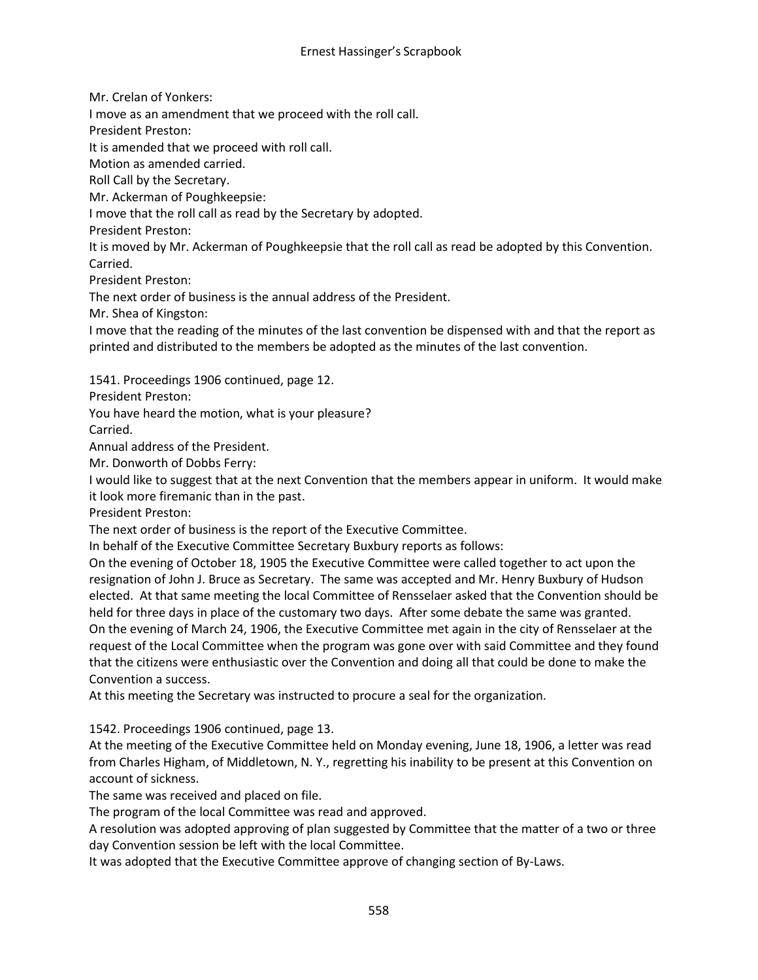Mr. Crelan of Yonkers:

I move as an amendment that we proceed with the roll call.

President Preston:

It is amended that we proceed with roll call.

Motion as amended carried.

Roll Call by the Secretary.

Mr. Ackerman of Poughkeepsie:

I move that the roll call as read by the Secretary by adopted.

President Preston:

It is moved by Mr. Ackerman of Poughkeepsie that the roll call as read be adopted by this Convention. Carried.

President Preston:

The next order of business is the annual address of the President.

Mr. Shea of Kingston:

I move that the reading of the minutes of the last convention be dispensed with and that the report as printed and distributed to the members be adopted as the minutes of the last convention.

1541. Proceedings 1906 continued, page 12.

President Preston:

You have heard the motion, what is your pleasure?

Carried.

Annual address of the President.

Mr. Donworth of Dobbs Ferry:

I would like to suggest that at the next Convention that the members appear in uniform. It would make it look more firemanic than in the past.

President Preston:

The next order of business is the report of the Executive Committee.

In behalf of the Executive Committee Secretary Buxbury reports as follows:

On the evening of October 18, 1905 the Executive Committee were called together to act upon the resignation of John J. Bruce as Secretary. The same was accepted and Mr. Henry Buxbury of Hudson elected. At that same meeting the local Committee of Rensselaer asked that the Convention should be held for three days in place of the customary two days. After some debate the same was granted. On the evening of March 24, 1906, the Executive Committee met again in the city of Rensselaer at the request of the Local Committee when the program was gone over with said Committee and they found that the citizens were enthusiastic over the Convention and doing all that could be done to make the Convention a success.

At this meeting the Secretary was instructed to procure a seal for the organization.

1542. Proceedings 1906 continued, page 13.

At the meeting of the Executive Committee held on Monday evening, June 18, 1906, a letter was read from Charles Higham, of Middletown, N. Y., regretting his inability to be present at this Convention on account of sickness.

The same was received and placed on file.

The program of the local Committee was read and approved.

A resolution was adopted approving of plan suggested by Committee that the matter of a two or three day Convention session be left with the local Committee.

It was adopted that the Executive Committee approve of changing section of By-Laws.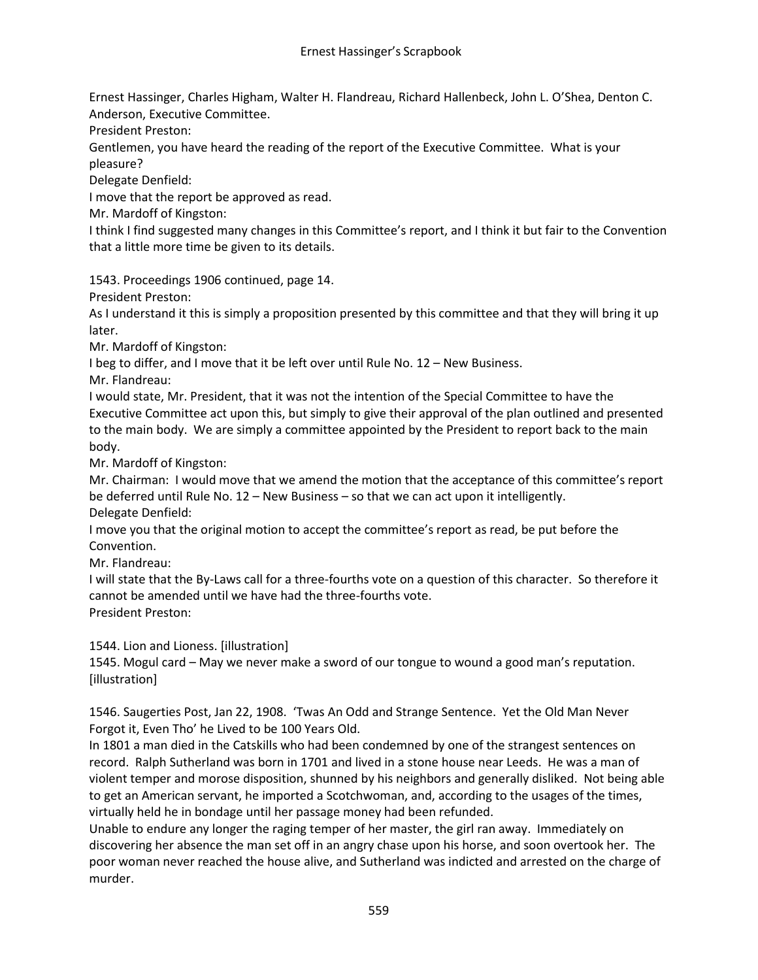Ernest Hassinger, Charles Higham, Walter H. Flandreau, Richard Hallenbeck, John L. O'Shea, Denton C. Anderson, Executive Committee.

President Preston:

Gentlemen, you have heard the reading of the report of the Executive Committee. What is your pleasure?

Delegate Denfield:

I move that the report be approved as read.

Mr. Mardoff of Kingston:

I think I find suggested many changes in this Committee's report, and I think it but fair to the Convention that a little more time be given to its details.

1543. Proceedings 1906 continued, page 14.

President Preston:

As I understand it this is simply a proposition presented by this committee and that they will bring it up later.

Mr. Mardoff of Kingston:

I beg to differ, and I move that it be left over until Rule No. 12 – New Business.

Mr. Flandreau:

I would state, Mr. President, that it was not the intention of the Special Committee to have the Executive Committee act upon this, but simply to give their approval of the plan outlined and presented to the main body. We are simply a committee appointed by the President to report back to the main body.

Mr. Mardoff of Kingston:

Mr. Chairman: I would move that we amend the motion that the acceptance of this committee's report be deferred until Rule No. 12 – New Business – so that we can act upon it intelligently. Delegate Denfield:

I move you that the original motion to accept the committee's report as read, be put before the Convention.

Mr. Flandreau:

I will state that the By-Laws call for a three-fourths vote on a question of this character. So therefore it cannot be amended until we have had the three-fourths vote. President Preston:

1544. Lion and Lioness. [illustration]

1545. Mogul card – May we never make a sword of our tongue to wound a good man's reputation. [illustration]

1546. Saugerties Post, Jan 22, 1908. 'Twas An Odd and Strange Sentence. Yet the Old Man Never Forgot it, Even Tho' he Lived to be 100 Years Old.

In 1801 a man died in the Catskills who had been condemned by one of the strangest sentences on record. Ralph Sutherland was born in 1701 and lived in a stone house near Leeds. He was a man of violent temper and morose disposition, shunned by his neighbors and generally disliked. Not being able to get an American servant, he imported a Scotchwoman, and, according to the usages of the times, virtually held he in bondage until her passage money had been refunded.

Unable to endure any longer the raging temper of her master, the girl ran away. Immediately on discovering her absence the man set off in an angry chase upon his horse, and soon overtook her. The poor woman never reached the house alive, and Sutherland was indicted and arrested on the charge of murder.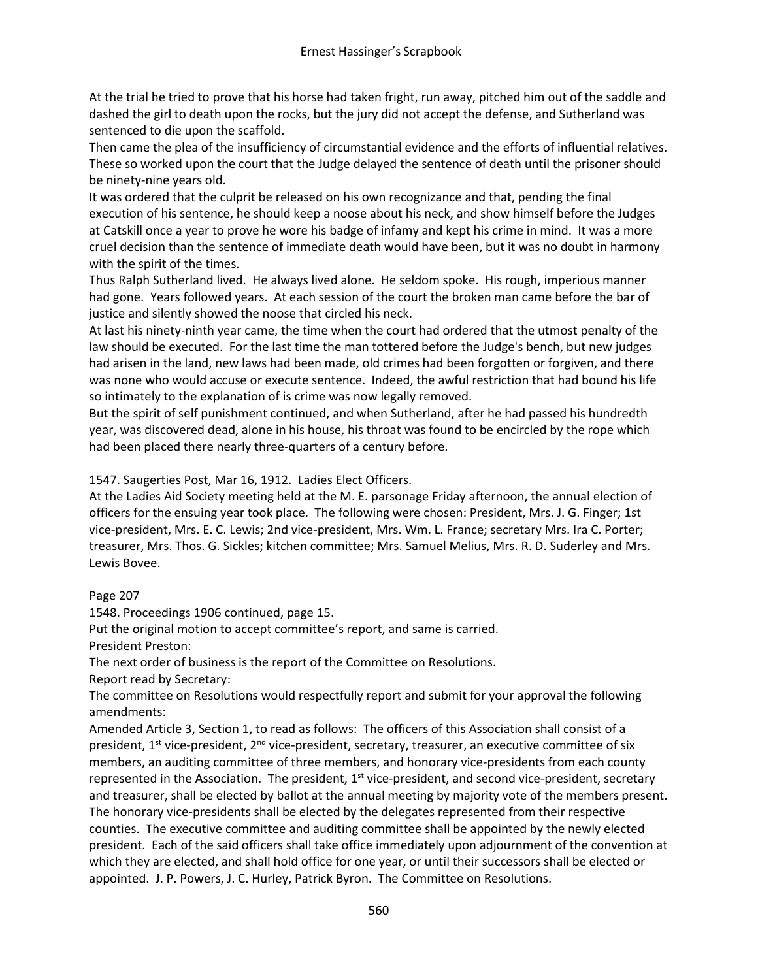At the trial he tried to prove that his horse had taken fright, run away, pitched him out of the saddle and dashed the girl to death upon the rocks, but the jury did not accept the defense, and Sutherland was sentenced to die upon the scaffold.

Then came the plea of the insufficiency of circumstantial evidence and the efforts of influential relatives. These so worked upon the court that the Judge delayed the sentence of death until the prisoner should be ninety-nine years old.

It was ordered that the culprit be released on his own recognizance and that, pending the final execution of his sentence, he should keep a noose about his neck, and show himself before the Judges at Catskill once a year to prove he wore his badge of infamy and kept his crime in mind. It was a more cruel decision than the sentence of immediate death would have been, but it was no doubt in harmony with the spirit of the times.

Thus Ralph Sutherland lived. He always lived alone. He seldom spoke. His rough, imperious manner had gone. Years followed years. At each session of the court the broken man came before the bar of justice and silently showed the noose that circled his neck.

At last his ninety-ninth year came, the time when the court had ordered that the utmost penalty of the law should be executed. For the last time the man tottered before the Judge's bench, but new judges had arisen in the land, new laws had been made, old crimes had been forgotten or forgiven, and there was none who would accuse or execute sentence. Indeed, the awful restriction that had bound his life so intimately to the explanation of is crime was now legally removed.

But the spirit of self punishment continued, and when Sutherland, after he had passed his hundredth year, was discovered dead, alone in his house, his throat was found to be encircled by the rope which had been placed there nearly three-quarters of a century before.

1547. Saugerties Post, Mar 16, 1912. Ladies Elect Officers.

At the Ladies Aid Society meeting held at the M. E. parsonage Friday afternoon, the annual election of officers for the ensuing year took place. The following were chosen: President, Mrs. J. G. Finger; 1st vice-president, Mrs. E. C. Lewis; 2nd vice-president, Mrs. Wm. L. France; secretary Mrs. Ira C. Porter; treasurer, Mrs. Thos. G. Sickles; kitchen committee; Mrs. Samuel Melius, Mrs. R. D. Suderley and Mrs. Lewis Bovee.

Page 207

1548. Proceedings 1906 continued, page 15.

Put the original motion to accept committee's report, and same is carried. President Preston:

The next order of business is the report of the Committee on Resolutions.

Report read by Secretary:

The committee on Resolutions would respectfully report and submit for your approval the following amendments:

Amended Article 3, Section 1, to read as follows: The officers of this Association shall consist of a president,  $1^{st}$  vice-president,  $2^{nd}$  vice-president, secretary, treasurer, an executive committee of six members, an auditing committee of three members, and honorary vice-presidents from each county represented in the Association. The president,  $1<sup>st</sup>$  vice-president, and second vice-president, secretary and treasurer, shall be elected by ballot at the annual meeting by majority vote of the members present. The honorary vice-presidents shall be elected by the delegates represented from their respective counties. The executive committee and auditing committee shall be appointed by the newly elected president. Each of the said officers shall take office immediately upon adjournment of the convention at which they are elected, and shall hold office for one year, or until their successors shall be elected or appointed. J. P. Powers, J. C. Hurley, Patrick Byron. The Committee on Resolutions.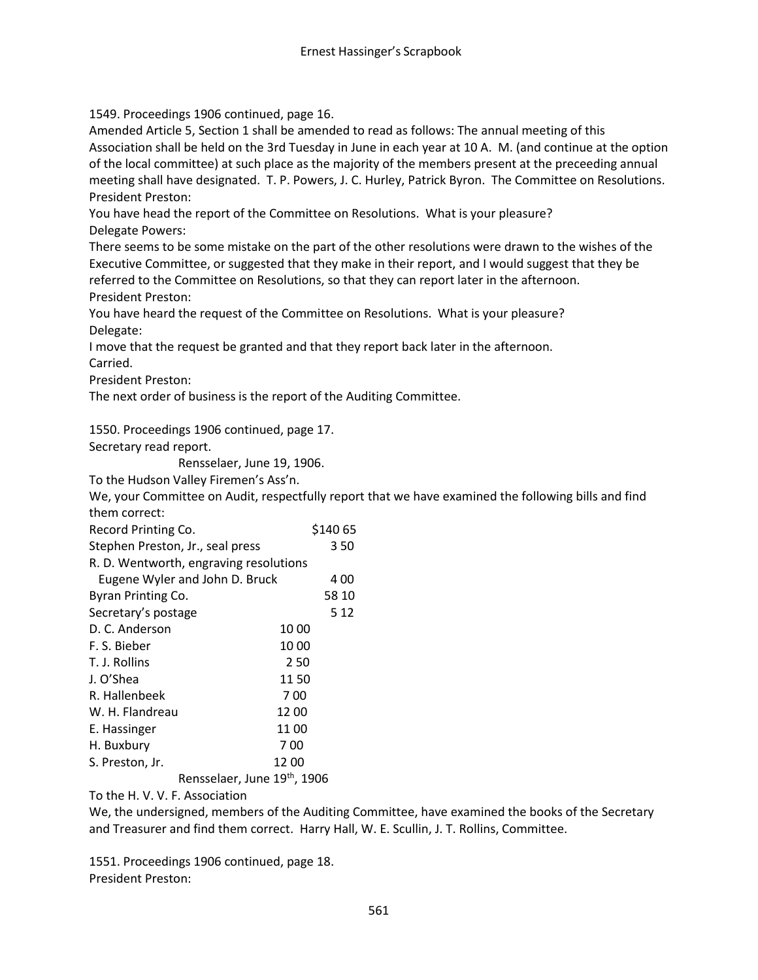1549. Proceedings 1906 continued, page 16.

Amended Article 5, Section 1 shall be amended to read as follows: The annual meeting of this Association shall be held on the 3rd Tuesday in June in each year at 10 A. M. (and continue at the option of the local committee) at such place as the majority of the members present at the preceeding annual meeting shall have designated. T. P. Powers, J. C. Hurley, Patrick Byron. The Committee on Resolutions. President Preston:

You have head the report of the Committee on Resolutions. What is your pleasure? Delegate Powers:

There seems to be some mistake on the part of the other resolutions were drawn to the wishes of the Executive Committee, or suggested that they make in their report, and I would suggest that they be referred to the Committee on Resolutions, so that they can report later in the afternoon. President Preston:

You have heard the request of the Committee on Resolutions. What is your pleasure? Delegate:

I move that the request be granted and that they report back later in the afternoon. Carried.

President Preston:

The next order of business is the report of the Auditing Committee.

1550. Proceedings 1906 continued, page 17.

Secretary read report.

Rensselaer, June 19, 1906.

To the Hudson Valley Firemen's Ass'n.

We, your Committee on Audit, respectfully report that we have examined the following bills and find them correct:

| Record Printing Co.                    | \$140 65 |       |
|----------------------------------------|----------|-------|
| Stephen Preston, Jr., seal press       |          | 350   |
| R. D. Wentworth, engraving resolutions |          |       |
| Eugene Wyler and John D. Bruck         |          | 4 00  |
| Byran Printing Co.                     |          | 58 10 |
| Secretary's postage                    |          | 5 12  |
| D. C. Anderson                         | 10 00    |       |
| F. S. Bieber                           | 10 00    |       |
| T. J. Rollins                          | 250      |       |
| J. O'Shea                              | 1150     |       |
| R. Hallenbeek                          | 700      |       |
| W. H. Flandreau                        | 1200     |       |
| E. Hassinger                           | 1100     |       |
| H. Buxbury                             | 700      |       |
| S. Preston, Jr.                        | 1200     |       |
| Rensselaer, June 19th, 1906            |          |       |

To the H. V. V. F. Association

We, the undersigned, members of the Auditing Committee, have examined the books of the Secretary and Treasurer and find them correct. Harry Hall, W. E. Scullin, J. T. Rollins, Committee.

1551. Proceedings 1906 continued, page 18. President Preston: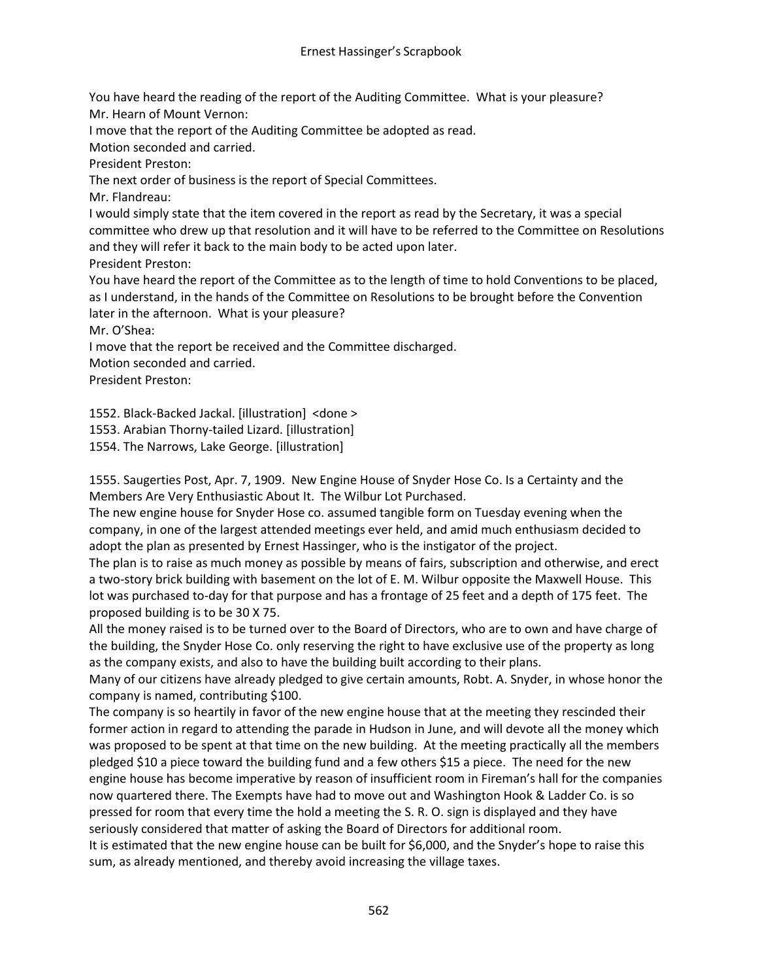You have heard the reading of the report of the Auditing Committee. What is your pleasure? Mr. Hearn of Mount Vernon:

I move that the report of the Auditing Committee be adopted as read.

Motion seconded and carried.

President Preston:

The next order of business is the report of Special Committees.

Mr. Flandreau:

I would simply state that the item covered in the report as read by the Secretary, it was a special committee who drew up that resolution and it will have to be referred to the Committee on Resolutions and they will refer it back to the main body to be acted upon later. President Preston:

You have heard the report of the Committee as to the length of time to hold Conventions to be placed, as I understand, in the hands of the Committee on Resolutions to be brought before the Convention later in the afternoon. What is your pleasure?

Mr. O'Shea:

I move that the report be received and the Committee discharged.

Motion seconded and carried.

President Preston:

1552. Black-Backed Jackal. [illustration] <done >

1553. Arabian Thorny-tailed Lizard. [illustration]

1554. The Narrows, Lake George. [illustration]

1555. Saugerties Post, Apr. 7, 1909. New Engine House of Snyder Hose Co. Is a Certainty and the Members Are Very Enthusiastic About It. The Wilbur Lot Purchased.

The new engine house for Snyder Hose co. assumed tangible form on Tuesday evening when the company, in one of the largest attended meetings ever held, and amid much enthusiasm decided to adopt the plan as presented by Ernest Hassinger, who is the instigator of the project.

The plan is to raise as much money as possible by means of fairs, subscription and otherwise, and erect a two-story brick building with basement on the lot of E. M. Wilbur opposite the Maxwell House. This lot was purchased to-day for that purpose and has a frontage of 25 feet and a depth of 175 feet. The proposed building is to be 30 X 75.

All the money raised is to be turned over to the Board of Directors, who are to own and have charge of the building, the Snyder Hose Co. only reserving the right to have exclusive use of the property as long as the company exists, and also to have the building built according to their plans.

Many of our citizens have already pledged to give certain amounts, Robt. A. Snyder, in whose honor the company is named, contributing \$100.

The company is so heartily in favor of the new engine house that at the meeting they rescinded their former action in regard to attending the parade in Hudson in June, and will devote all the money which was proposed to be spent at that time on the new building. At the meeting practically all the members pledged \$10 a piece toward the building fund and a few others \$15 a piece. The need for the new engine house has become imperative by reason of insufficient room in Fireman's hall for the companies now quartered there. The Exempts have had to move out and Washington Hook & Ladder Co. is so pressed for room that every time the hold a meeting the S. R. O. sign is displayed and they have seriously considered that matter of asking the Board of Directors for additional room.

It is estimated that the new engine house can be built for \$6,000, and the Snyder's hope to raise this sum, as already mentioned, and thereby avoid increasing the village taxes.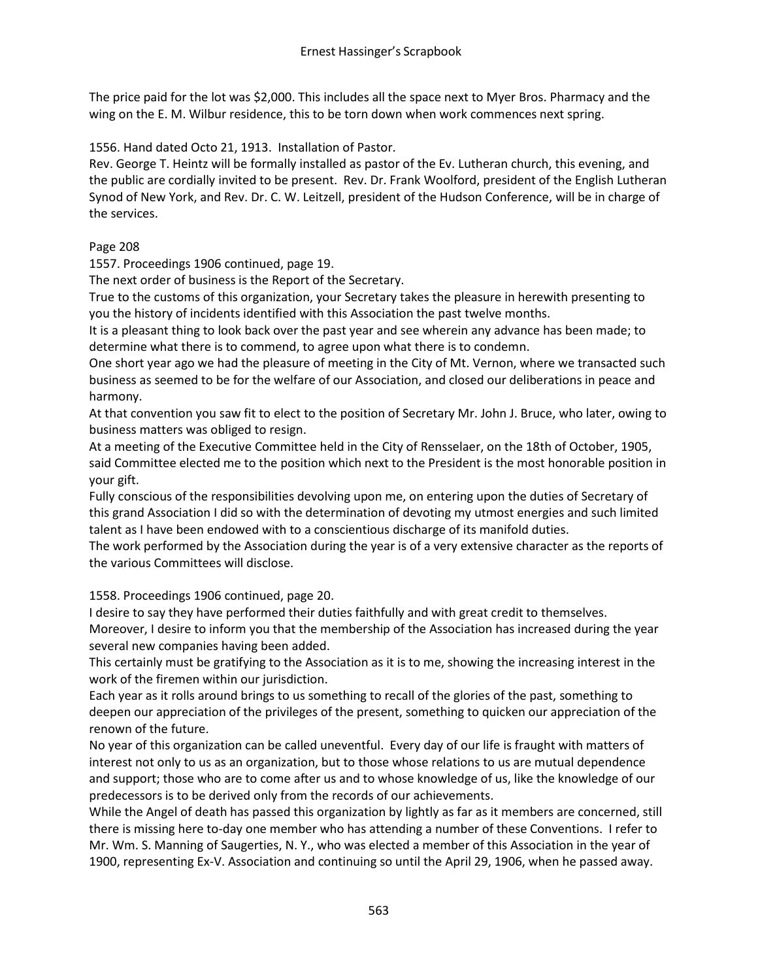The price paid for the lot was \$2,000. This includes all the space next to Myer Bros. Pharmacy and the wing on the E. M. Wilbur residence, this to be torn down when work commences next spring.

1556. Hand dated Octo 21, 1913. Installation of Pastor.

Rev. George T. Heintz will be formally installed as pastor of the Ev. Lutheran church, this evening, and the public are cordially invited to be present. Rev. Dr. Frank Woolford, president of the English Lutheran Synod of New York, and Rev. Dr. C. W. Leitzell, president of the Hudson Conference, will be in charge of the services.

## Page 208

1557. Proceedings 1906 continued, page 19.

The next order of business is the Report of the Secretary.

True to the customs of this organization, your Secretary takes the pleasure in herewith presenting to you the history of incidents identified with this Association the past twelve months.

It is a pleasant thing to look back over the past year and see wherein any advance has been made; to determine what there is to commend, to agree upon what there is to condemn.

One short year ago we had the pleasure of meeting in the City of Mt. Vernon, where we transacted such business as seemed to be for the welfare of our Association, and closed our deliberations in peace and harmony.

At that convention you saw fit to elect to the position of Secretary Mr. John J. Bruce, who later, owing to business matters was obliged to resign.

At a meeting of the Executive Committee held in the City of Rensselaer, on the 18th of October, 1905, said Committee elected me to the position which next to the President is the most honorable position in your gift.

Fully conscious of the responsibilities devolving upon me, on entering upon the duties of Secretary of this grand Association I did so with the determination of devoting my utmost energies and such limited talent as I have been endowed with to a conscientious discharge of its manifold duties.

The work performed by the Association during the year is of a very extensive character as the reports of the various Committees will disclose.

1558. Proceedings 1906 continued, page 20.

I desire to say they have performed their duties faithfully and with great credit to themselves. Moreover, I desire to inform you that the membership of the Association has increased during the year several new companies having been added.

This certainly must be gratifying to the Association as it is to me, showing the increasing interest in the work of the firemen within our jurisdiction.

Each year as it rolls around brings to us something to recall of the glories of the past, something to deepen our appreciation of the privileges of the present, something to quicken our appreciation of the renown of the future.

No year of this organization can be called uneventful. Every day of our life is fraught with matters of interest not only to us as an organization, but to those whose relations to us are mutual dependence and support; those who are to come after us and to whose knowledge of us, like the knowledge of our predecessors is to be derived only from the records of our achievements.

While the Angel of death has passed this organization by lightly as far as it members are concerned, still there is missing here to-day one member who has attending a number of these Conventions. I refer to Mr. Wm. S. Manning of Saugerties, N. Y., who was elected a member of this Association in the year of 1900, representing Ex-V. Association and continuing so until the April 29, 1906, when he passed away.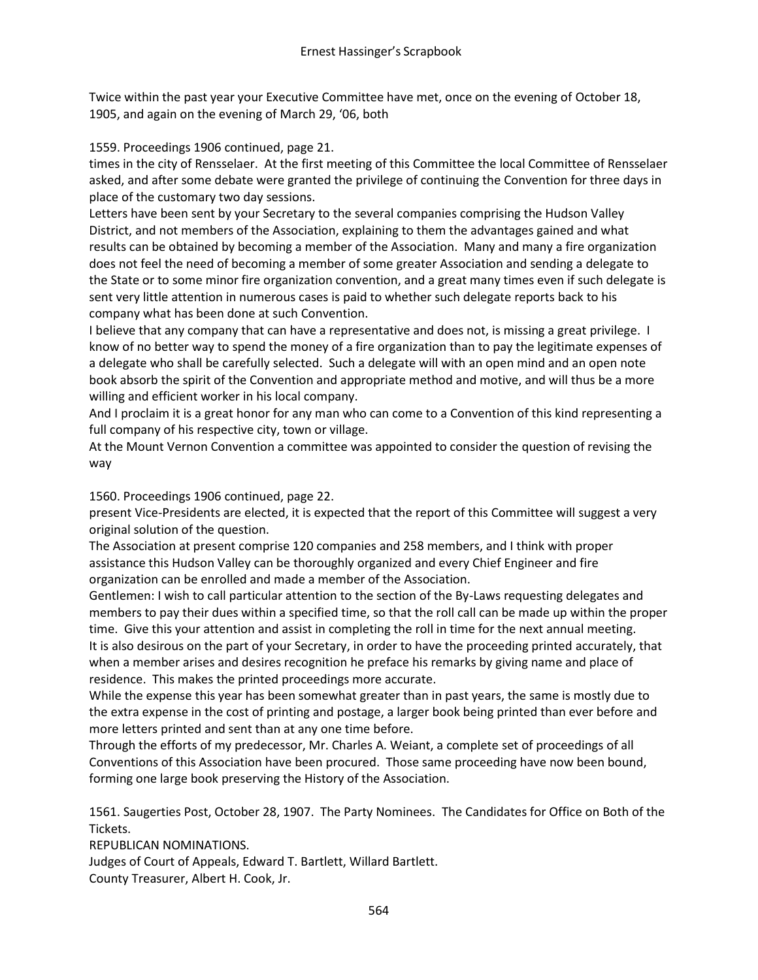Twice within the past year your Executive Committee have met, once on the evening of October 18, 1905, and again on the evening of March 29, '06, both

1559. Proceedings 1906 continued, page 21.

times in the city of Rensselaer. At the first meeting of this Committee the local Committee of Rensselaer asked, and after some debate were granted the privilege of continuing the Convention for three days in place of the customary two day sessions.

Letters have been sent by your Secretary to the several companies comprising the Hudson Valley District, and not members of the Association, explaining to them the advantages gained and what results can be obtained by becoming a member of the Association. Many and many a fire organization does not feel the need of becoming a member of some greater Association and sending a delegate to the State or to some minor fire organization convention, and a great many times even if such delegate is sent very little attention in numerous cases is paid to whether such delegate reports back to his company what has been done at such Convention.

I believe that any company that can have a representative and does not, is missing a great privilege. I know of no better way to spend the money of a fire organization than to pay the legitimate expenses of a delegate who shall be carefully selected. Such a delegate will with an open mind and an open note book absorb the spirit of the Convention and appropriate method and motive, and will thus be a more willing and efficient worker in his local company.

And I proclaim it is a great honor for any man who can come to a Convention of this kind representing a full company of his respective city, town or village.

At the Mount Vernon Convention a committee was appointed to consider the question of revising the way

1560. Proceedings 1906 continued, page 22.

present Vice-Presidents are elected, it is expected that the report of this Committee will suggest a very original solution of the question.

The Association at present comprise 120 companies and 258 members, and I think with proper assistance this Hudson Valley can be thoroughly organized and every Chief Engineer and fire organization can be enrolled and made a member of the Association.

Gentlemen: I wish to call particular attention to the section of the By-Laws requesting delegates and members to pay their dues within a specified time, so that the roll call can be made up within the proper time. Give this your attention and assist in completing the roll in time for the next annual meeting. It is also desirous on the part of your Secretary, in order to have the proceeding printed accurately, that when a member arises and desires recognition he preface his remarks by giving name and place of residence. This makes the printed proceedings more accurate.

While the expense this year has been somewhat greater than in past years, the same is mostly due to the extra expense in the cost of printing and postage, a larger book being printed than ever before and more letters printed and sent than at any one time before.

Through the efforts of my predecessor, Mr. Charles A. Weiant, a complete set of proceedings of all Conventions of this Association have been procured. Those same proceeding have now been bound, forming one large book preserving the History of the Association.

1561. Saugerties Post, October 28, 1907. The Party Nominees. The Candidates for Office on Both of the Tickets.

REPUBLICAN NOMINATIONS.

Judges of Court of Appeals, Edward T. Bartlett, Willard Bartlett. County Treasurer, Albert H. Cook, Jr.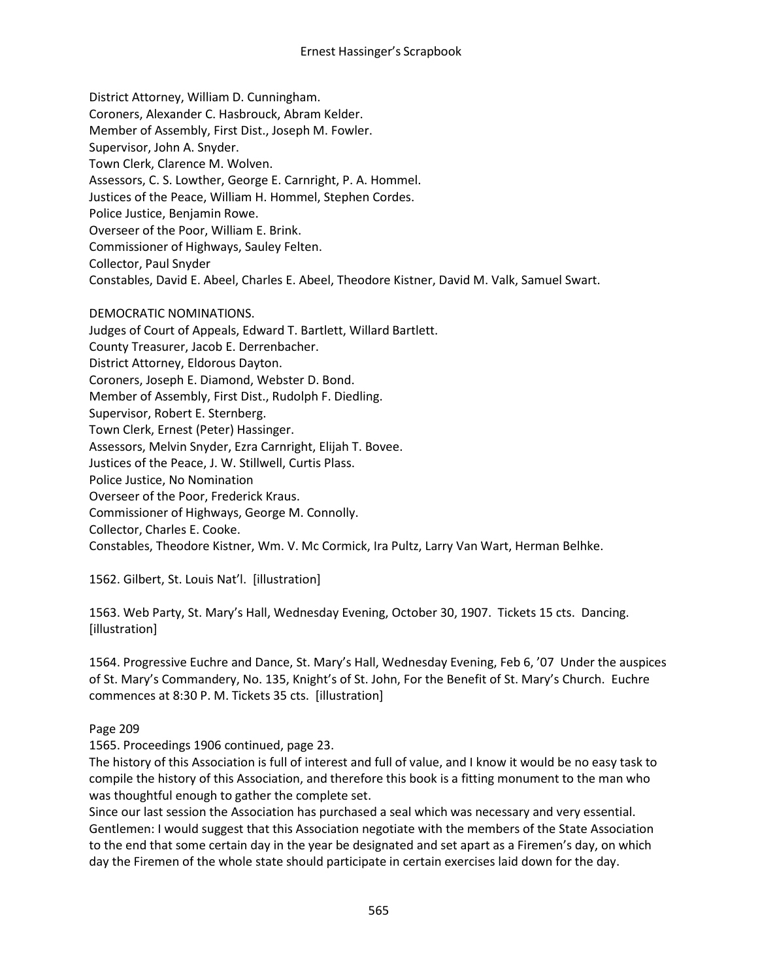District Attorney, William D. Cunningham. Coroners, Alexander C. Hasbrouck, Abram Kelder. Member of Assembly, First Dist., Joseph M. Fowler. Supervisor, John A. Snyder. Town Clerk, Clarence M. Wolven. Assessors, C. S. Lowther, George E. Carnright, P. A. Hommel. Justices of the Peace, William H. Hommel, Stephen Cordes. Police Justice, Benjamin Rowe. Overseer of the Poor, William E. Brink. Commissioner of Highways, Sauley Felten. Collector, Paul Snyder Constables, David E. Abeel, Charles E. Abeel, Theodore Kistner, David M. Valk, Samuel Swart.

#### DEMOCRATIC NOMINATIONS.

Judges of Court of Appeals, Edward T. Bartlett, Willard Bartlett.

County Treasurer, Jacob E. Derrenbacher.

District Attorney, Eldorous Dayton.

Coroners, Joseph E. Diamond, Webster D. Bond.

Member of Assembly, First Dist., Rudolph F. Diedling.

Supervisor, Robert E. Sternberg.

Town Clerk, Ernest (Peter) Hassinger.

Assessors, Melvin Snyder, Ezra Carnright, Elijah T. Bovee.

Justices of the Peace, J. W. Stillwell, Curtis Plass.

Police Justice, No Nomination

Overseer of the Poor, Frederick Kraus.

Commissioner of Highways, George M. Connolly.

Collector, Charles E. Cooke.

Constables, Theodore Kistner, Wm. V. Mc Cormick, Ira Pultz, Larry Van Wart, Herman Belhke.

1562. Gilbert, St. Louis Nat'l. [illustration]

1563. Web Party, St. Mary's Hall, Wednesday Evening, October 30, 1907. Tickets 15 cts. Dancing. [illustration]

1564. Progressive Euchre and Dance, St. Mary's Hall, Wednesday Evening, Feb 6, '07 Under the auspices of St. Mary's Commandery, No. 135, Knight's of St. John, For the Benefit of St. Mary's Church. Euchre commences at 8:30 P. M. Tickets 35 cts. [illustration]

Page 209

1565. Proceedings 1906 continued, page 23.

The history of this Association is full of interest and full of value, and I know it would be no easy task to compile the history of this Association, and therefore this book is a fitting monument to the man who was thoughtful enough to gather the complete set.

Since our last session the Association has purchased a seal which was necessary and very essential. Gentlemen: I would suggest that this Association negotiate with the members of the State Association to the end that some certain day in the year be designated and set apart as a Firemen's day, on which day the Firemen of the whole state should participate in certain exercises laid down for the day.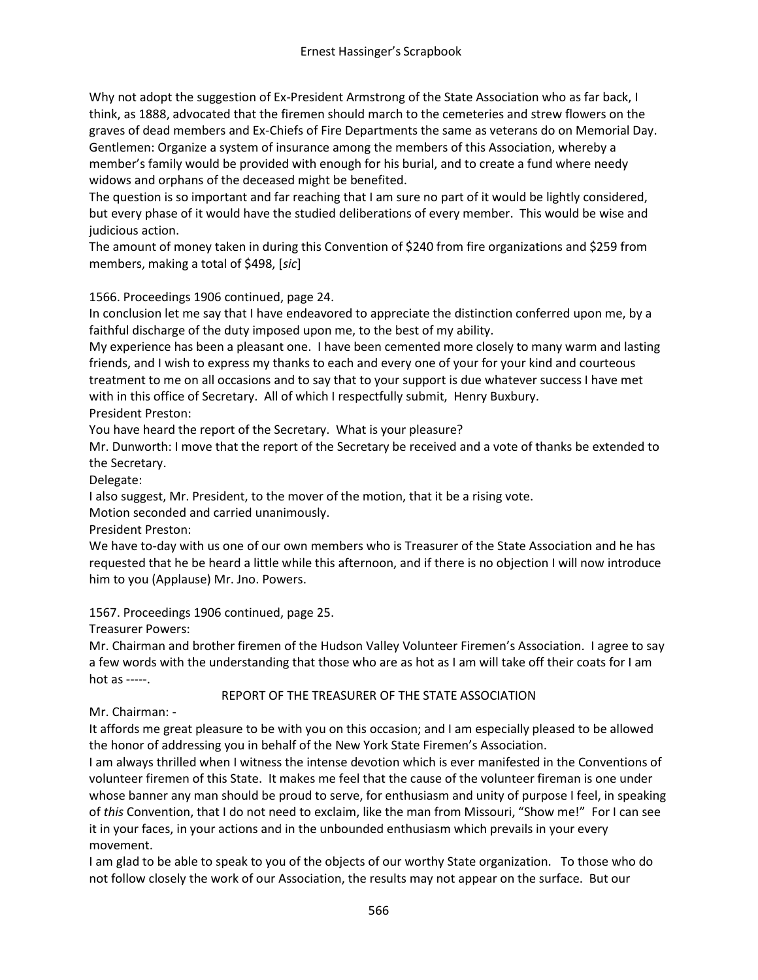Why not adopt the suggestion of Ex-President Armstrong of the State Association who as far back, I think, as 1888, advocated that the firemen should march to the cemeteries and strew flowers on the graves of dead members and Ex-Chiefs of Fire Departments the same as veterans do on Memorial Day. Gentlemen: Organize a system of insurance among the members of this Association, whereby a member's family would be provided with enough for his burial, and to create a fund where needy widows and orphans of the deceased might be benefited.

The question is so important and far reaching that I am sure no part of it would be lightly considered, but every phase of it would have the studied deliberations of every member. This would be wise and judicious action.

The amount of money taken in during this Convention of \$240 from fire organizations and \$259 from members, making a total of \$498, [*sic*]

1566. Proceedings 1906 continued, page 24.

In conclusion let me say that I have endeavored to appreciate the distinction conferred upon me, by a faithful discharge of the duty imposed upon me, to the best of my ability.

My experience has been a pleasant one. I have been cemented more closely to many warm and lasting friends, and I wish to express my thanks to each and every one of your for your kind and courteous treatment to me on all occasions and to say that to your support is due whatever success I have met with in this office of Secretary. All of which I respectfully submit, Henry Buxbury.

President Preston:

You have heard the report of the Secretary. What is your pleasure?

Mr. Dunworth: I move that the report of the Secretary be received and a vote of thanks be extended to the Secretary.

Delegate:

I also suggest, Mr. President, to the mover of the motion, that it be a rising vote.

Motion seconded and carried unanimously.

President Preston:

We have to-day with us one of our own members who is Treasurer of the State Association and he has requested that he be heard a little while this afternoon, and if there is no objection I will now introduce him to you (Applause) Mr. Jno. Powers.

1567. Proceedings 1906 continued, page 25.

Treasurer Powers:

Mr. Chairman and brother firemen of the Hudson Valley Volunteer Firemen's Association. I agree to say a few words with the understanding that those who are as hot as I am will take off their coats for I am hot as -----.

# REPORT OF THE TREASURER OF THE STATE ASSOCIATION

Mr. Chairman: -

It affords me great pleasure to be with you on this occasion; and I am especially pleased to be allowed the honor of addressing you in behalf of the New York State Firemen's Association.

I am always thrilled when I witness the intense devotion which is ever manifested in the Conventions of volunteer firemen of this State. It makes me feel that the cause of the volunteer fireman is one under whose banner any man should be proud to serve, for enthusiasm and unity of purpose I feel, in speaking of *this* Convention, that I do not need to exclaim, like the man from Missouri, "Show me!" For I can see it in your faces, in your actions and in the unbounded enthusiasm which prevails in your every movement.

I am glad to be able to speak to you of the objects of our worthy State organization. To those who do not follow closely the work of our Association, the results may not appear on the surface. But our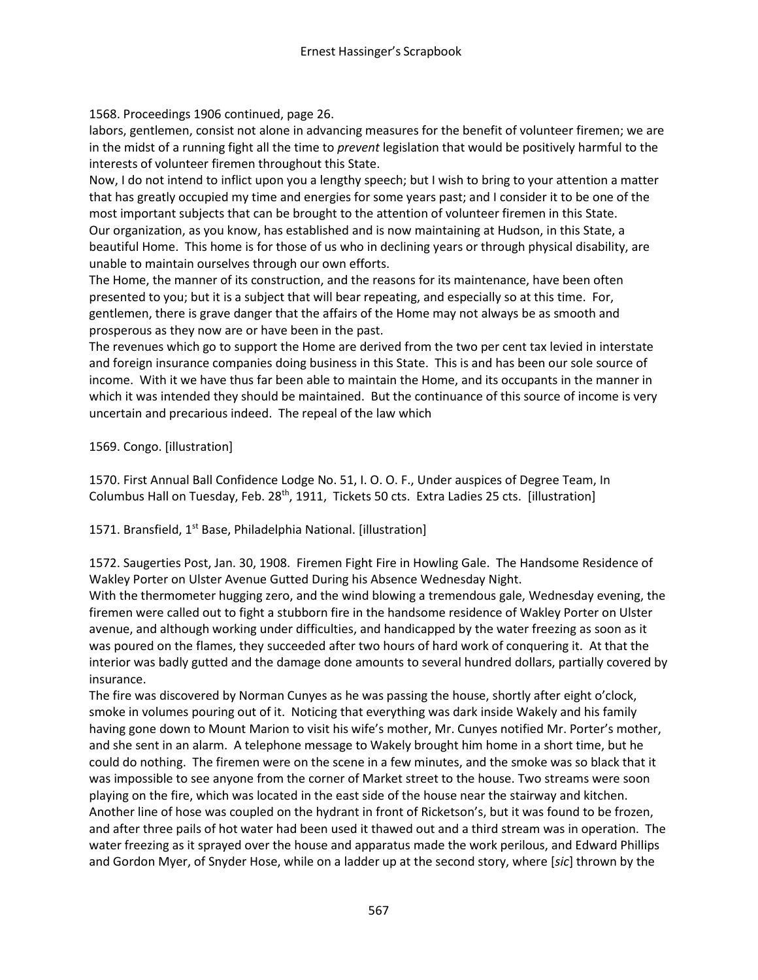1568. Proceedings 1906 continued, page 26.

labors, gentlemen, consist not alone in advancing measures for the benefit of volunteer firemen; we are in the midst of a running fight all the time to *prevent* legislation that would be positively harmful to the interests of volunteer firemen throughout this State.

Now, I do not intend to inflict upon you a lengthy speech; but I wish to bring to your attention a matter that has greatly occupied my time and energies for some years past; and I consider it to be one of the most important subjects that can be brought to the attention of volunteer firemen in this State. Our organization, as you know, has established and is now maintaining at Hudson, in this State, a beautiful Home. This home is for those of us who in declining years or through physical disability, are unable to maintain ourselves through our own efforts.

The Home, the manner of its construction, and the reasons for its maintenance, have been often presented to you; but it is a subject that will bear repeating, and especially so at this time. For, gentlemen, there is grave danger that the affairs of the Home may not always be as smooth and prosperous as they now are or have been in the past.

The revenues which go to support the Home are derived from the two per cent tax levied in interstate and foreign insurance companies doing business in this State. This is and has been our sole source of income. With it we have thus far been able to maintain the Home, and its occupants in the manner in which it was intended they should be maintained. But the continuance of this source of income is very uncertain and precarious indeed. The repeal of the law which

## 1569. Congo. [illustration]

1570. First Annual Ball Confidence Lodge No. 51, I. O. O. F., Under auspices of Degree Team, In Columbus Hall on Tuesday, Feb. 28<sup>th</sup>, 1911, Tickets 50 cts. Extra Ladies 25 cts. [illustration]

1571. Bransfield, 1<sup>st</sup> Base, Philadelphia National. [illustration]

1572. Saugerties Post, Jan. 30, 1908. Firemen Fight Fire in Howling Gale. The Handsome Residence of Wakley Porter on Ulster Avenue Gutted During his Absence Wednesday Night.

With the thermometer hugging zero, and the wind blowing a tremendous gale, Wednesday evening, the firemen were called out to fight a stubborn fire in the handsome residence of Wakley Porter on Ulster avenue, and although working under difficulties, and handicapped by the water freezing as soon as it was poured on the flames, they succeeded after two hours of hard work of conquering it. At that the interior was badly gutted and the damage done amounts to several hundred dollars, partially covered by insurance.

The fire was discovered by Norman Cunyes as he was passing the house, shortly after eight o'clock, smoke in volumes pouring out of it. Noticing that everything was dark inside Wakely and his family having gone down to Mount Marion to visit his wife's mother, Mr. Cunyes notified Mr. Porter's mother, and she sent in an alarm. A telephone message to Wakely brought him home in a short time, but he could do nothing. The firemen were on the scene in a few minutes, and the smoke was so black that it was impossible to see anyone from the corner of Market street to the house. Two streams were soon playing on the fire, which was located in the east side of the house near the stairway and kitchen. Another line of hose was coupled on the hydrant in front of Ricketson's, but it was found to be frozen, and after three pails of hot water had been used it thawed out and a third stream was in operation. The water freezing as it sprayed over the house and apparatus made the work perilous, and Edward Phillips and Gordon Myer, of Snyder Hose, while on a ladder up at the second story, where [*sic*] thrown by the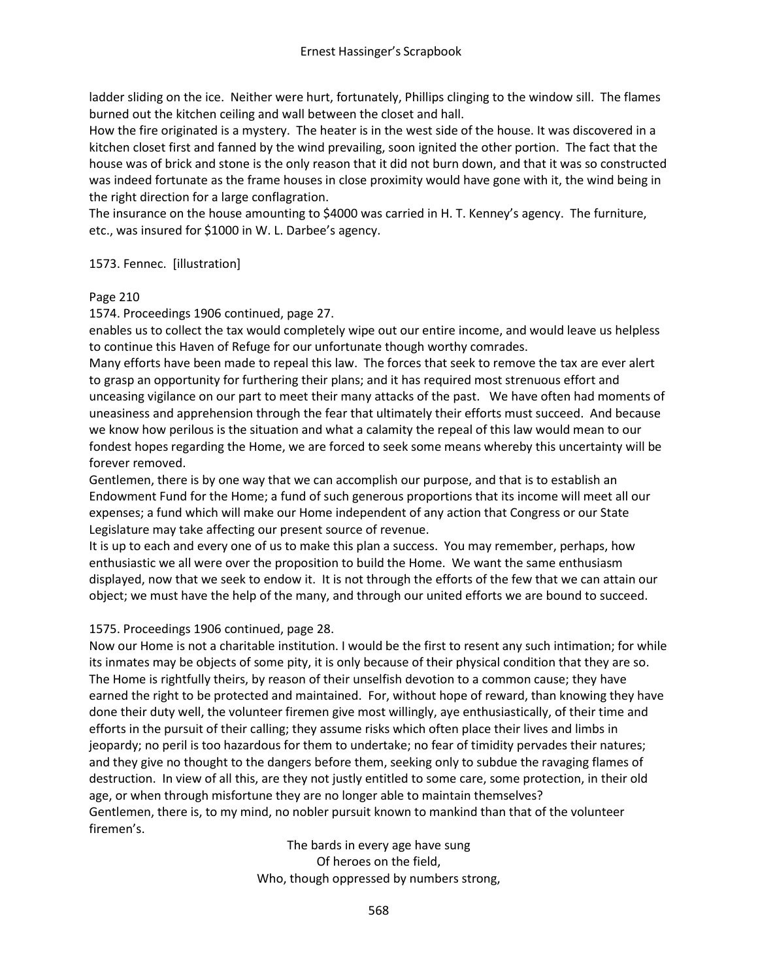ladder sliding on the ice. Neither were hurt, fortunately, Phillips clinging to the window sill. The flames burned out the kitchen ceiling and wall between the closet and hall.

How the fire originated is a mystery. The heater is in the west side of the house. It was discovered in a kitchen closet first and fanned by the wind prevailing, soon ignited the other portion. The fact that the house was of brick and stone is the only reason that it did not burn down, and that it was so constructed was indeed fortunate as the frame houses in close proximity would have gone with it, the wind being in the right direction for a large conflagration.

The insurance on the house amounting to \$4000 was carried in H. T. Kenney's agency. The furniture, etc., was insured for \$1000 in W. L. Darbee's agency.

## 1573. Fennec. [illustration]

#### Page 210

1574. Proceedings 1906 continued, page 27.

enables us to collect the tax would completely wipe out our entire income, and would leave us helpless to continue this Haven of Refuge for our unfortunate though worthy comrades.

Many efforts have been made to repeal this law. The forces that seek to remove the tax are ever alert to grasp an opportunity for furthering their plans; and it has required most strenuous effort and unceasing vigilance on our part to meet their many attacks of the past. We have often had moments of uneasiness and apprehension through the fear that ultimately their efforts must succeed. And because we know how perilous is the situation and what a calamity the repeal of this law would mean to our fondest hopes regarding the Home, we are forced to seek some means whereby this uncertainty will be forever removed.

Gentlemen, there is by one way that we can accomplish our purpose, and that is to establish an Endowment Fund for the Home; a fund of such generous proportions that its income will meet all our expenses; a fund which will make our Home independent of any action that Congress or our State Legislature may take affecting our present source of revenue.

It is up to each and every one of us to make this plan a success. You may remember, perhaps, how enthusiastic we all were over the proposition to build the Home. We want the same enthusiasm displayed, now that we seek to endow it. It is not through the efforts of the few that we can attain our object; we must have the help of the many, and through our united efforts we are bound to succeed.

# 1575. Proceedings 1906 continued, page 28.

Now our Home is not a charitable institution. I would be the first to resent any such intimation; for while its inmates may be objects of some pity, it is only because of their physical condition that they are so. The Home is rightfully theirs, by reason of their unselfish devotion to a common cause; they have earned the right to be protected and maintained. For, without hope of reward, than knowing they have done their duty well, the volunteer firemen give most willingly, aye enthusiastically, of their time and efforts in the pursuit of their calling; they assume risks which often place their lives and limbs in jeopardy; no peril is too hazardous for them to undertake; no fear of timidity pervades their natures; and they give no thought to the dangers before them, seeking only to subdue the ravaging flames of destruction. In view of all this, are they not justly entitled to some care, some protection, in their old age, or when through misfortune they are no longer able to maintain themselves? Gentlemen, there is, to my mind, no nobler pursuit known to mankind than that of the volunteer firemen's.

> The bards in every age have sung Of heroes on the field, Who, though oppressed by numbers strong,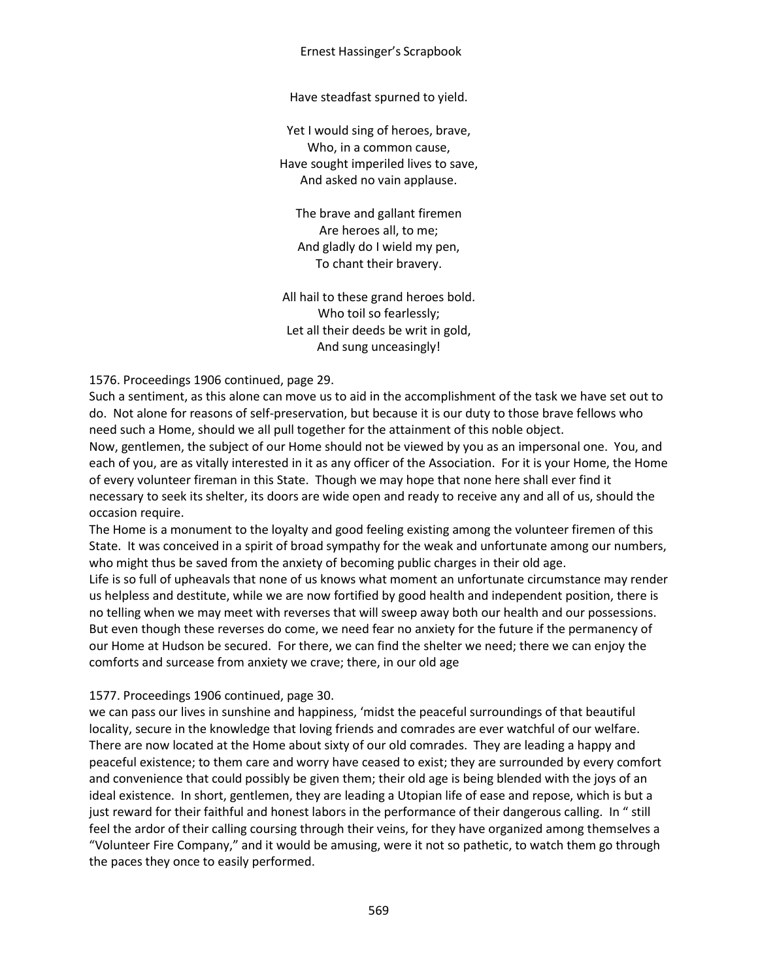#### Ernest Hassinger's Scrapbook

Have steadfast spurned to yield.

Yet I would sing of heroes, brave, Who, in a common cause, Have sought imperiled lives to save, And asked no vain applause.

The brave and gallant firemen Are heroes all, to me; And gladly do I wield my pen, To chant their bravery.

All hail to these grand heroes bold. Who toil so fearlessly; Let all their deeds be writ in gold, And sung unceasingly!

1576. Proceedings 1906 continued, page 29.

Such a sentiment, as this alone can move us to aid in the accomplishment of the task we have set out to do. Not alone for reasons of self-preservation, but because it is our duty to those brave fellows who need such a Home, should we all pull together for the attainment of this noble object.

Now, gentlemen, the subject of our Home should not be viewed by you as an impersonal one. You, and each of you, are as vitally interested in it as any officer of the Association. For it is your Home, the Home of every volunteer fireman in this State. Though we may hope that none here shall ever find it necessary to seek its shelter, its doors are wide open and ready to receive any and all of us, should the occasion require.

The Home is a monument to the loyalty and good feeling existing among the volunteer firemen of this State. It was conceived in a spirit of broad sympathy for the weak and unfortunate among our numbers, who might thus be saved from the anxiety of becoming public charges in their old age.

Life is so full of upheavals that none of us knows what moment an unfortunate circumstance may render us helpless and destitute, while we are now fortified by good health and independent position, there is no telling when we may meet with reverses that will sweep away both our health and our possessions. But even though these reverses do come, we need fear no anxiety for the future if the permanency of our Home at Hudson be secured. For there, we can find the shelter we need; there we can enjoy the comforts and surcease from anxiety we crave; there, in our old age

#### 1577. Proceedings 1906 continued, page 30.

we can pass our lives in sunshine and happiness, 'midst the peaceful surroundings of that beautiful locality, secure in the knowledge that loving friends and comrades are ever watchful of our welfare. There are now located at the Home about sixty of our old comrades. They are leading a happy and peaceful existence; to them care and worry have ceased to exist; they are surrounded by every comfort and convenience that could possibly be given them; their old age is being blended with the joys of an ideal existence. In short, gentlemen, they are leading a Utopian life of ease and repose, which is but a just reward for their faithful and honest labors in the performance of their dangerous calling. In " still feel the ardor of their calling coursing through their veins, for they have organized among themselves a "Volunteer Fire Company," and it would be amusing, were it not so pathetic, to watch them go through the paces they once to easily performed.